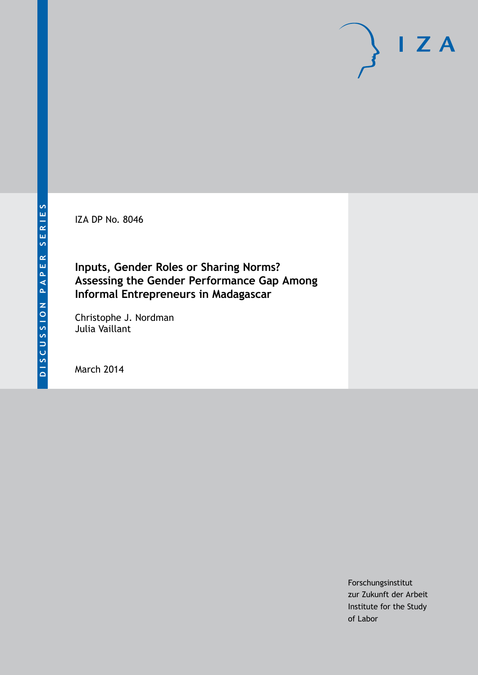IZA DP No. 8046

## **Inputs, Gender Roles or Sharing Norms? Assessing the Gender Performance Gap Among Informal Entrepreneurs in Madagascar**

Christophe J. Nordman Julia Vaillant

March 2014

Forschungsinstitut zur Zukunft der Arbeit Institute for the Study of Labor

 $I Z A$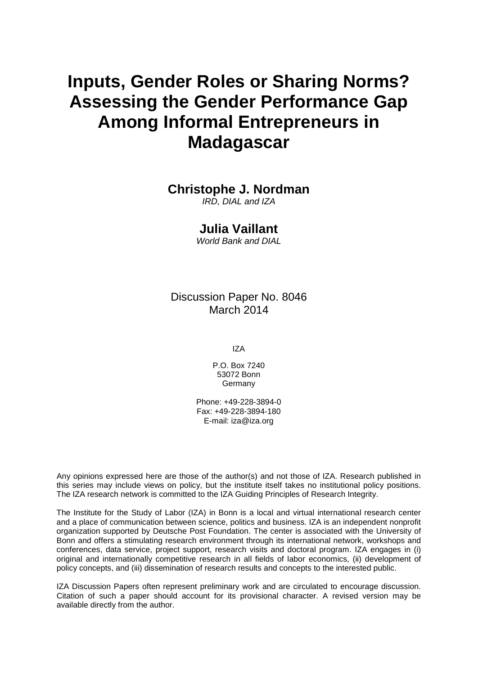# **Inputs, Gender Roles or Sharing Norms? Assessing the Gender Performance Gap Among Informal Entrepreneurs in Madagascar**

## **Christophe J. Nordman**

*IRD, DIAL and IZA*

### **Julia Vaillant**

*World Bank and DIAL*

Discussion Paper No. 8046 March 2014

IZA

P.O. Box 7240 53072 Bonn **Germany** 

Phone: +49-228-3894-0 Fax: +49-228-3894-180 E-mail: [iza@iza.org](mailto:iza@iza.org)

Any opinions expressed here are those of the author(s) and not those of IZA. Research published in this series may include views on policy, but the institute itself takes no institutional policy positions. The IZA research network is committed to the IZA Guiding Principles of Research Integrity.

The Institute for the Study of Labor (IZA) in Bonn is a local and virtual international research center and a place of communication between science, politics and business. IZA is an independent nonprofit organization supported by Deutsche Post Foundation. The center is associated with the University of Bonn and offers a stimulating research environment through its international network, workshops and conferences, data service, project support, research visits and doctoral program. IZA engages in (i) original and internationally competitive research in all fields of labor economics, (ii) development of policy concepts, and (iii) dissemination of research results and concepts to the interested public.

<span id="page-1-0"></span>IZA Discussion Papers often represent preliminary work and are circulated to encourage discussion. Citation of such a paper should account for its provisional character. A revised version may be available directly from the author.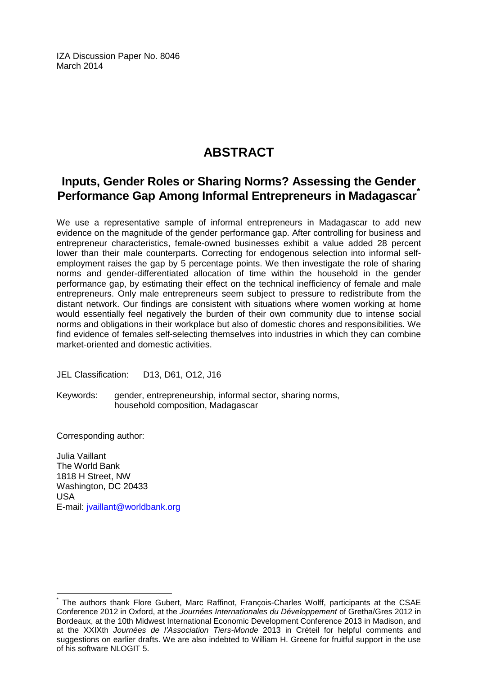IZA Discussion Paper No. 8046 March 2014

## **ABSTRACT**

## **Inputs, Gender Roles or Sharing Norms? Assessing the Gender Performance Gap Among Informal Entrepreneurs in Madagascar[\\*](#page-1-0)**

We use a representative sample of informal entrepreneurs in Madagascar to add new evidence on the magnitude of the gender performance gap. After controlling for business and entrepreneur characteristics, female-owned businesses exhibit a value added 28 percent lower than their male counterparts. Correcting for endogenous selection into informal selfemployment raises the gap by 5 percentage points. We then investigate the role of sharing norms and gender-differentiated allocation of time within the household in the gender performance gap, by estimating their effect on the technical inefficiency of female and male entrepreneurs. Only male entrepreneurs seem subject to pressure to redistribute from the distant network. Our findings are consistent with situations where women working at home would essentially feel negatively the burden of their own community due to intense social norms and obligations in their workplace but also of domestic chores and responsibilities. We find evidence of females self-selecting themselves into industries in which they can combine market-oriented and domestic activities.

JEL Classification: D13, D61, O12, J16

Keywords: gender, entrepreneurship, informal sector, sharing norms, household composition, Madagascar

Corresponding author:

Julia Vaillant The World Bank 1818 H Street, NW Washington, DC 20433 USA E-mail: [jvaillant@worldbank.org](mailto:jvaillant@worldbank.org)

The authors thank Flore Gubert, Marc Raffinot, Francois-Charles Wolff, participants at the CSAE Conference 2012 in Oxford, at the *Journées Internationales du Développement* of Gretha/Gres 2012 in Bordeaux, at the 10th Midwest International Economic Development Conference 2013 in Madison, and at the XXIXth *Journées de l'Association Tiers-Monde* 2013 in Créteil for helpful comments and suggestions on earlier drafts. We are also indebted to William H. Greene for fruitful support in the use of his software NLOGIT 5.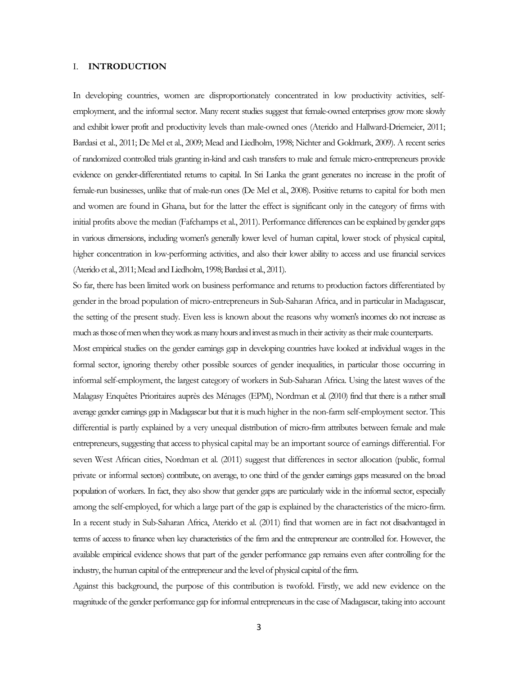#### I. **INTRODUCTION**

In developing countries, women are disproportionately concentrated in low productivity activities, selfemployment, and the informal sector. Many recent studies suggest that female-owned enterprises grow more slowly and exhibit lower profit and productivity levels than male-owned ones (Aterido and Hallward-Driemeier, 2011; Bardasi et al., 2011; De Mel et al., 2009; Mead and Liedholm, 1998; Nichter and Goldmark, 2009). A recent series of randomized controlled trials granting in-kind and cash transfers to male and female micro-entrepreneurs provide evidence on gender-differentiated returns to capital. In Sri Lanka the grant generates no increase in the profit of female-run businesses, unlike that of male-run ones (De Mel et al., 2008). Positive returns to capital for both men and women are found in Ghana, but for the latter the effect is significant only in the category of firms with initial profits above the median (Fafchamps et al., 2011). Performance differences can be explained by gender gaps in various dimensions, including women's generally lower level of human capital, lower stock of physical capital, higher concentration in low-performing activities, and also their lower ability to access and use financial services (Aterido et al., 2011; Mead and Liedholm, 1998; Bardasi et al., 2011).

So far, there has been limited work on business performance and returns to production factors differentiated by gender in the broad population of micro-entrepreneurs in Sub-Saharan Africa, and in particular in Madagascar, the setting of the present study. Even less is known about the reasons why women's incomes do not increase as much as those of men when they work as many hours and invest as much in their activity as their male counterparts.

Most empirical studies on the gender earnings gap in developing countries have looked at individual wages in the formal sector, ignoring thereby other possible sources of gender inequalities, in particular those occurring in informal self-employment, the largest category of workers in Sub-Saharan Africa. Using the latest waves of the Malagasy Enquêtes Prioritaires auprès des Ménages (EPM), Nordman et al. (2010) find that there is a rather small average gender earnings gap in Madagascar but that it is much higher in the non-farm self-employment sector. This differential is partly explained by a very unequal distribution of micro-firm attributes between female and male entrepreneurs, suggesting that access to physical capital may be an important source of earnings differential. For seven West African cities, Nordman et al. (2011) suggest that differences in sector allocation (public, formal private or informal sectors) contribute, on average, to one third of the gender earnings gaps measured on the broad population of workers. In fact, they also show that gender gaps are particularly wide in the informal sector, especially among the self-employed, for which a large part of the gap is explained by the characteristics of the micro-firm. In a recent study in Sub-Saharan Africa, Aterido et al. (2011) find that women are in fact not disadvantaged in terms of access to finance when key characteristics of the firm and the entrepreneur are controlled for. However, the available empirical evidence shows that part of the gender performance gap remains even after controlling for the industry, the human capital of the entrepreneur and the level of physical capital of the firm.

Against this background, the purpose of this contribution is twofold. Firstly, we add new evidence on the magnitude of the gender performance gap for informal entrepreneurs in the case of Madagascar, taking into account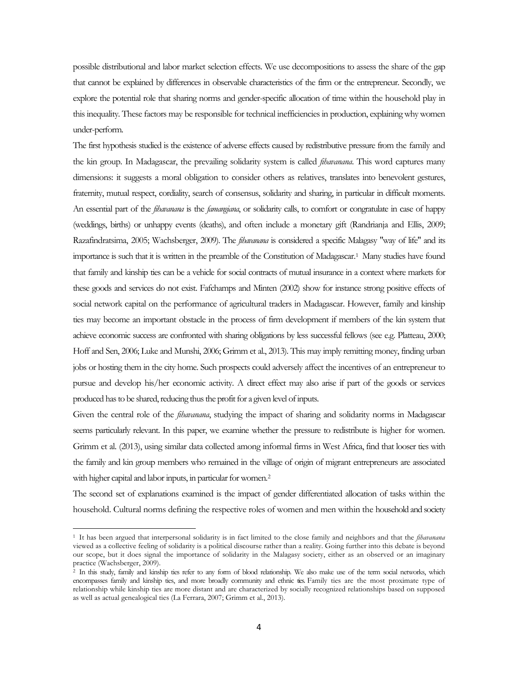possible distributional and labor market selection effects. We use decompositions to assess the share of the gap that cannot be explained by differences in observable characteristics of the firm or the entrepreneur. Secondly, we explore the potential role that sharing norms and gender-specific allocation of time within the household play in this inequality. These factors may be responsible for technical inefficiencies in production, explaining why women under-perform.

The first hypothesis studied is the existence of adverse effects caused by redistributive pressure from the family and the kin group. In Madagascar, the prevailing solidarity system is called *fihavanana*. This word captures many dimensions: it suggests a moral obligation to consider others as relatives, translates into benevolent gestures, fraternity, mutual respect, cordiality, search of consensus, solidarity and sharing, in particular in difficult moments. An essential part of the *fihavanana* is the *famangiana*, or solidarity calls, to comfort or congratulate in case of happy (weddings, births) or unhappy events (deaths), and often include a monetary gift (Randrianja and Ellis, 2009; Razafindratsima, 2005; Wachsberger, 2009). The *fihavanana* is considered a specific Malagasy "way of life" and its importance is such that it is written in the preamble of the Constitution of Madagascar.1 Many studies have found that family and kinship ties can be a vehicle for social contracts of mutual insurance in a context where markets for these goods and services do not exist. Fafchamps and Minten (2002) show for instance strong positive effects of social network capital on the performance of agricultural traders in Madagascar. However, family and kinship ties may become an important obstacle in the process of firm development if members of the kin system that achieve economic success are confronted with sharing obligations by less successful fellows (see e.g. Platteau, 2000; Hoff and Sen, 2006; Luke and Munshi, 2006; Grimm et al., 2013). This may imply remitting money, finding urban jobs or hosting them in the city home. Such prospects could adversely affect the incentives of an entrepreneur to pursue and develop his/her economic activity. A direct effect may also arise if part of the goods or services produced has to be shared, reducing thus the profit for a given level of inputs.

Given the central role of the *fihavanana*, studying the impact of sharing and solidarity norms in Madagascar seems particularly relevant. In this paper, we examine whether the pressure to redistribute is higher for women. Grimm et al. (2013), using similar data collected among informal firms in West Africa, find that looser ties with the family and kin group members who remained in the village of origin of migrant entrepreneurs are associated with higher capital and labor inputs, in particular for women.<sup>2</sup>

The second set of explanations examined is the impact of gender differentiated allocation of tasks within the household. Cultural norms defining the respective roles of women and men within the household and society

 $\overline{\phantom{a}}$ 

<sup>1</sup> It has been argued that interpersonal solidarity is in fact limited to the close family and neighbors and that the *fihavanana* viewed as a collective feeling of solidarity is a political discourse rather than a reality. Going further into this debate is beyond our scope, but it does signal the importance of solidarity in the Malagasy society, either as an observed or an imaginary practice (Wachsberger, 2009).

<span id="page-4-1"></span><span id="page-4-0"></span> $2$  In this study, family and kinship ties refer to any form of blood relationship. We also make use of the term social networks, which encompasses family and kinship ties, and more broadly community and ethnic ties. Family ties are the most proximate type of relationship while kinship ties are more distant and are characterized by socially recognized relationships based on supposed as well as actual genealogical ties (La Ferrara, 2007; Grimm et al., 2013).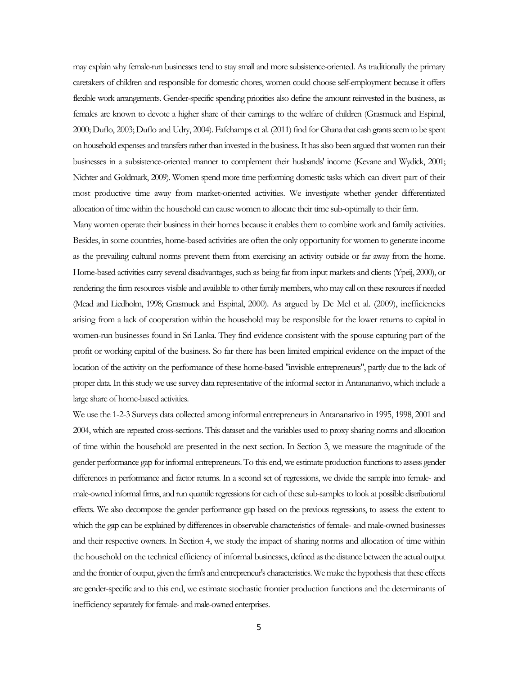may explain why female-run businesses tend to stay small and more subsistence-oriented. As traditionally the primary caretakers of children and responsible for domestic chores, women could choose self-employment because it offers flexible work arrangements. Gender-specific spending priorities also define the amount reinvested in the business, as females are known to devote a higher share of their earnings to the welfare of children (Grasmuck and Espinal, 2000; Duflo, 2003; Duflo and Udry, 2004). Fafchamps et al. (2011) find for Ghana that cash grants seem to be spent on household expenses and transfers rather than invested in the business. It has also been argued that women run their businesses in a subsistence-oriented manner to complement their husbands' income (Kevane and Wydick, 2001; Nichter and Goldmark, 2009). Women spend more time performing domestic tasks which can divert part of their most productive time away from market-oriented activities. We investigate whether gender differentiated allocation of time within the household can cause women to allocate their time sub-optimally to their firm.

Many women operate their business in their homes because it enables them to combine work and family activities. Besides, in some countries, home-based activities are often the only opportunity for women to generate income as the prevailing cultural norms prevent them from exercising an activity outside or far away from the home. Home-based activities carry several disadvantages, such as being far from input markets and clients (Ypeij, 2000), or rendering the firm resources visible and available to other family members, who may call on these resources if needed (Mead and Liedholm, 1998; Grasmuck and Espinal, 2000). As argued by De Mel et al. (2009), inefficiencies arising from a lack of cooperation within the household may be responsible for the lower returns to capital in women-run businesses found in Sri Lanka. They find evidence consistent with the spouse capturing part of the profit or working capital of the business. So far there has been limited empirical evidence on the impact of the location of the activity on the performance of these home-based "invisible entrepreneurs", partly due to the lack of proper data. In this study we use survey data representative of the informal sector in Antananarivo, which include a large share of home-based activities.

We use the 1-2-3 Surveys data collected among informal entrepreneurs in Antananarivo in 1995, 1998, 2001 and 2004, which are repeated cross-sections. This dataset and the variables used to proxy sharing norms and allocation of time within the household are presented in the next section. In Section 3, we measure the magnitude of the gender performance gap for informal entrepreneurs. To this end, we estimate production functions to assess gender differences in performance and factor returns. In a second set of regressions, we divide the sample into female- and male-owned informal firms, and run quantile regressions for each of these sub-samples to look at possible distributional effects. We also decompose the gender performance gap based on the previous regressions, to assess the extent to which the gap can be explained by differences in observable characteristics of female- and male-owned businesses and their respective owners. In Section 4, we study the impact of sharing norms and allocation of time within the household on the technical efficiency of informal businesses, defined as the distance between the actual output and the frontier of output, given the firm's and entrepreneur's characteristics. We make the hypothesis that these effects are gender-specific and to this end, we estimate stochastic frontier production functions and the determinants of inefficiency separately for female- and male-owned enterprises.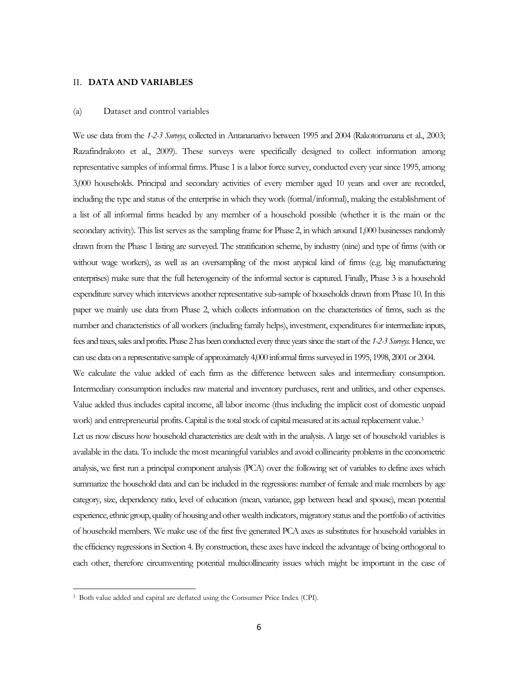#### II. **DATA AND VARIABLES**

#### (a) Dataset and control variables

We use data from the *1-2-3 Surveys*, collected in Antananarivo between 1995 and 2004 (Rakotomanana et al., 2003; Razafindrakoto et al., 2009). These surveys were specifically designed to collect information among representative samples of informal firms. Phase 1 is a labor force survey, conducted every year since 1995, among 3,000 households. Principal and secondary activities of every member aged 10 years and over are recorded, including the type and status of the enterprise in which they work (formal/informal), making the establishment of a list of all informal firms headed by any member of a household possible (whether it is the main or the secondary activity). This list serves as the sampling frame for Phase 2, in which around 1,000 businesses randomly drawn from the Phase 1 listing are surveyed. The stratification scheme, by industry (nine) and type of firms (with or without wage workers), as well as an oversampling of the most atypical kind of firms (e.g. big manufacturing enterprises) make sure that the full heterogeneity of the informal sector is captured. Finally, Phase 3 is a household expenditure survey which interviews another representative sub-sample of households drawn from Phase 10. In this paper we mainly use data from Phase 2, which collects information on the characteristics of firms, such as the number and characteristics of all workers (including family helps), investment, expenditures for intermediate inputs, fees and taxes, sales and profits. Phase 2 has been conducted every three years since the start of the *1-2-3 Surveys*. Hence, we can use data on a representative sample of approximately 4,000 informal firms surveyed in 1995, 1998, 2001 or 2004. We calculate the value added of each firm as the difference between sales and intermediary consumption. Intermediary consumption includes raw material and inventory purchases, rent and utilities, and other expenses. Value added thus includes capital income, all labor income (thus including the implicit cost of domestic unpaid work) and entrepreneurial profits. Capital is the total stock of capital measured at its actual replacement value.<sup>[3](#page-4-1)</sup> Let us now discuss how household characteristics are dealt with in the analysis. A large set of household variables is available in the data. To include the most meaningful variables and avoid collinearity problems in the econometric analysis, we first run a principal component analysis (PCA) over the following set of variables to define axes which summarize the household data and can be included in the regressions: number of female and male members by age category, size, dependency ratio, level of education (mean, variance, gap between head and spouse), mean potential experience, ethnic group, quality of housing and other wealth indicators, migratory status and the portfolio of activities of household members. We make use of the first five generated PCA axes as substitutes for household variables in the efficiency regressions in Section 4. By construction, these axes have indeed the advantage of being orthogonal to each other, therefore circumventing potential multicollinearity issues which might be important in the case of

<span id="page-6-0"></span><sup>3</sup> Both value added and capital are deflated using the Consumer Price Index (CPI).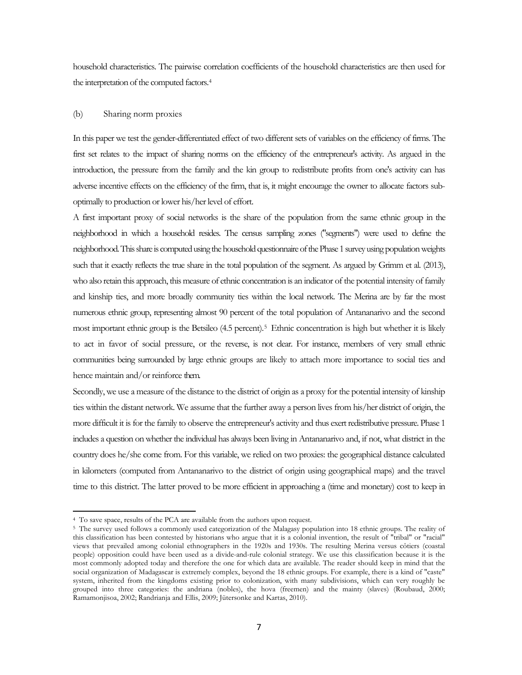household characteristics. The pairwise correlation coefficients of the household characteristics are then used for the interpretation of the computed factors[.4](#page-6-0)

#### (b) Sharing norm proxies

In this paper we test the gender-differentiated effect of two different sets of variables on the efficiency of firms. The first set relates to the impact of sharing norms on the efficiency of the entrepreneur's activity. As argued in the introduction, the pressure from the family and the kin group to redistribute profits from one's activity can has adverse incentive effects on the efficiency of the firm, that is, it might encourage the owner to allocate factors suboptimally to production or lower his/her level of effort.

A first important proxy of social networks is the share of the population from the same ethnic group in the neighborhood in which a household resides. The census sampling zones ("segments") were used to define the neighborhood. This share is computed using the household questionnaire of the Phase 1 survey using population weights such that it exactly reflects the true share in the total population of the segment. As argued by Grimm et al. (2013), who also retain this approach, this measure of ethnic concentration is an indicator of the potential intensity of family and kinship ties, and more broadly community ties within the local network. The Merina are by far the most numerous ethnic group, representing almost 90 percent of the total population of Antananarivo and the second most important ethnic group is the Betsileo (4.5 percent).[5](#page-7-0) Ethnic concentration is high but whether it is likely to act in favor of social pressure, or the reverse, is not clear. For instance, members of very small ethnic communities being surrounded by large ethnic groups are likely to attach more importance to social ties and hence maintain and/or reinforce them.

Secondly, we use a measure of the distance to the district of origin as a proxy for the potential intensity of kinship ties within the distant network. We assume that the further away a person lives from his/her district of origin, the more difficult it is for the family to observe the entrepreneur's activity and thus exert redistributive pressure. Phase 1 includes a question on whether the individual has always been living in Antananarivo and, if not, what district in the country does he/she come from. For this variable, we relied on two proxies: the geographical distance calculated in kilometers (computed from Antananarivo to the district of origin using geographical maps) and the travel time to this district. The latter proved to be more efficient in approaching a (time and monetary) cost to keep in

 $\overline{\phantom{a}}$ 

<sup>4</sup> To save space, results of the PCA are available from the authors upon request.

<span id="page-7-1"></span><span id="page-7-0"></span><sup>5</sup> The survey used follows a commonly used categorization of the Malagasy population into 18 ethnic groups. The reality of this classification has been contested by historians who argue that it is a colonial invention, the result of "tribal" or "racial" views that prevailed among colonial ethnographers in the 1920s and 1930s. The resulting Merina versus côtiers (coastal people) opposition could have been used as a divide-and-rule colonial strategy. We use this classification because it is the most commonly adopted today and therefore the one for which data are available. The reader should keep in mind that the social organization of Madagascar is extremely complex, beyond the 18 ethnic groups. For example, there is a kind of "caste" system, inherited from the kingdoms existing prior to colonization, with many subdivisions, which can very roughly be grouped into three categories: the andriana (nobles), the hova (freemen) and the mainty (slaves) (Roubaud, 2000; Ramamonjisoa, 2002; Randrianja and Ellis, 2009; Jütersonke and Kartas, 2010).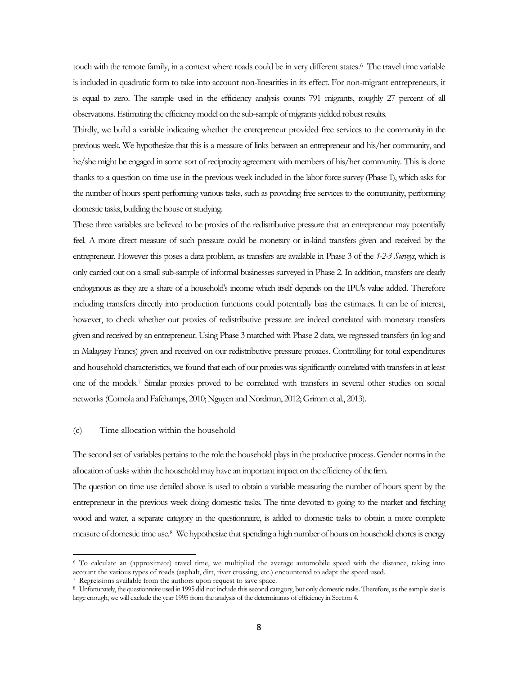touch with the remote family, in a context where roads could be in very different states.<sup>[6](#page-7-1)</sup> The travel time variable is included in quadratic form to take into account non-linearities in its effect. For non-migrant entrepreneurs, it is equal to zero. The sample used in the efficiency analysis counts 791 migrants, roughly 27 percent of all observations. Estimating the efficiency model on the sub-sample of migrants yielded robust results.

Thirdly, we build a variable indicating whether the entrepreneur provided free services to the community in the previous week. We hypothesize that this is a measure of links between an entrepreneur and his/her community, and he/she might be engaged in some sort of reciprocity agreement with members of his/her community. This is done thanks to a question on time use in the previous week included in the labor force survey (Phase 1), which asks for the number of hours spent performing various tasks, such as providing free services to the community, performing domestic tasks, building the house or studying.

These three variables are believed to be proxies of the redistributive pressure that an entrepreneur may potentially feel. A more direct measure of such pressure could be monetary or in-kind transfers given and received by the entrepreneur. However this poses a data problem, as transfers are available in Phase 3 of the *1-2-3 Surveys*, which is only carried out on a small sub-sample of informal businesses surveyed in Phase 2. In addition, transfers are clearly endogenous as they are a share of a household's income which itself depends on the IPU's value added. Therefore including transfers directly into production functions could potentially bias the estimates. It can be of interest, however, to check whether our proxies of redistributive pressure are indeed correlated with monetary transfers given and received by an entrepreneur. Using Phase 3 matched with Phase 2 data, we regressed transfers (in log and in Malagasy Francs) given and received on our redistributive pressure proxies. Controlling for total expenditures and household characteristics, we found that each of our proxies was significantly correlated with transfers in at least one of the models.[7](#page-8-0) Similar proxies proved to be correlated with transfers in several other studies on social networks (Comola and Fafchamps, 2010; Nguyen and Nordman, 2012; Grimm et al., 2013).

#### (c) Time allocation within the household

 $\overline{\phantom{a}}$ 

The second set of variables pertains to the role the household plays in the productive process. Gender norms in the allocation of tasks within the household may have an important impact on the efficiency of the firm.

The question on time use detailed above is used to obtain a variable measuring the number of hours spent by the entrepreneur in the previous week doing domestic tasks. The time devoted to going to the market and fetching wood and water, a separate category in the questionnaire, is added to domestic tasks to obtain a more complete measure of domestic time use[.8](#page-8-1) We hypothesize that spending a high number of hours on household chores is energy

<sup>6</sup> To calculate an (approximate) travel time, we multiplied the average automobile speed with the distance, taking into account the various types of roads (asphalt, dirt, river crossing, etc.) encountered to adapt the speed used.

<span id="page-8-1"></span><span id="page-8-0"></span>Regressions available from the authors upon request to save space.

<span id="page-8-2"></span><sup>8</sup> Unfortunately, the questionnaire used in 1995 did not include this second category, but only domestic tasks. Therefore, as the sample size is large enough, we will exclude the year 1995 from the analysis of the determinants of efficiency in Section 4.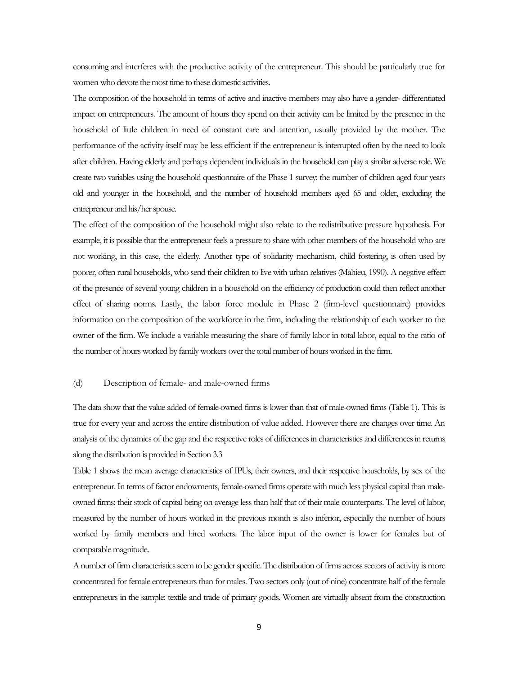consuming and interferes with the productive activity of the entrepreneur. This should be particularly true for women who devote the most time to these domestic activities.

The composition of the household in terms of active and inactive members may also have a gender- differentiated impact on entrepreneurs. The amount of hours they spend on their activity can be limited by the presence in the household of little children in need of constant care and attention, usually provided by the mother. The performance of the activity itself may be less efficient if the entrepreneur is interrupted often by the need to look after children. Having elderly and perhaps dependent individuals in the household can play a similar adverse role. We create two variables using the household questionnaire of the Phase 1 survey: the number of children aged four years old and younger in the household, and the number of household members aged 65 and older, excluding the entrepreneur and his/her spouse.

The effect of the composition of the household might also relate to the redistributive pressure hypothesis. For example, it is possible that the entrepreneur feels a pressure to share with other members of the household who are not working, in this case, the elderly. Another type of solidarity mechanism, child fostering, is often used by poorer, often rural households, who send their children to live with urban relatives (Mahieu, 1990). A negative effect of the presence of several young children in a household on the efficiency of production could then reflect another effect of sharing norms. Lastly, the labor force module in Phase 2 (firm-level questionnaire) provides information on the composition of the workforce in the firm, including the relationship of each worker to the owner of the firm. We include a variable measuring the share of family labor in total labor, equal to the ratio of the number of hours worked by family workers over the total number of hours worked in the firm.

#### (d) Description of female- and male-owned firms

The data show that the value added of female-owned firms is lower than that of male-owned firms (Table 1). This is true for every year and across the entire distribution of value added. However there are changes over time. An analysis of the dynamics of the gap and the respective roles of differences in characteristics and differences in returns along the distribution is provided in Section 3.3

Table 1 shows the mean average characteristics of IPUs, their owners, and their respective households, by sex of the entrepreneur. In terms of factor endowments, female-owned firms operate with much less physical capital than maleowned firms: their stock of capital being on average less than half that of their male counterparts. The level of labor, measured by the number of hours worked in the previous month is also inferior, especially the number of hours worked by family members and hired workers. The labor input of the owner is lower for females but of comparable magnitude.

A number of firm characteristics seem to be gender specific. The distribution of firms across sectors of activity is more concentrated for female entrepreneurs than for males. Two sectors only (out of nine) concentrate half of the female entrepreneurs in the sample: textile and trade of primary goods. Women are virtually absent from the construction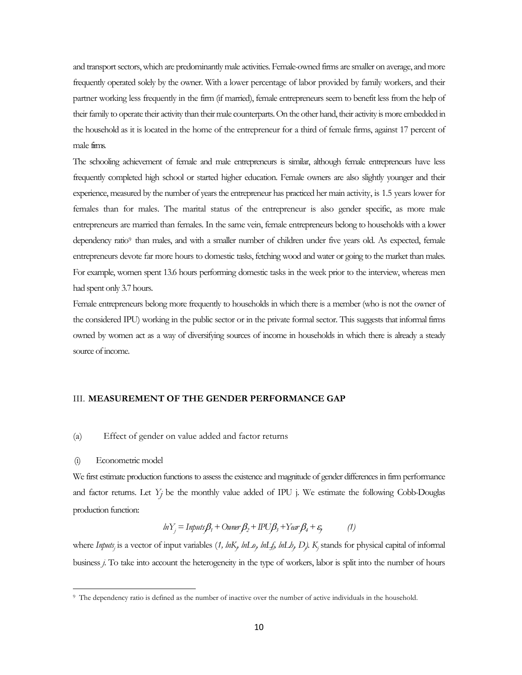and transport sectors, which are predominantly male activities. Female-owned firms are smaller on average, and more frequently operated solely by the owner. With a lower percentage of labor provided by family workers, and their partner working less frequently in the firm (if married), female entrepreneurs seem to benefit less from the help of their family to operate their activity than their male counterparts. On the other hand, their activity is more embedded in the household as it is located in the home of the entrepreneur for a third of female firms, against 17 percent of male firms.

The schooling achievement of female and male entrepreneurs is similar, although female entrepreneurs have less frequently completed high school or started higher education. Female owners are also slightly younger and their experience, measured by the number of years the entrepreneur has practiced her main activity, is 1.5 years lower for females than for males. The marital status of the entrepreneur is also gender specific, as more male entrepreneurs are married than females. In the same vein, female entrepreneurs belong to households with a lower dependency ratio<sup>9</sup> than males, and with a smaller number of children under five years old. As expected, female entrepreneurs devote far more hours to domestic tasks, fetching wood and water or going to the market than males. For example, women spent 13.6 hours performing domestic tasks in the week prior to the interview, whereas men had spent only 3.7 hours.

Female entrepreneurs belong more frequently to households in which there is a member (who is not the owner of the considered IPU) working in the public sector or in the private formal sector. This suggests that informal firms owned by women act as a way of diversifying sources of income in households in which there is already a steady source of income.

#### III. **MEASUREMENT OF THE GENDER PERFORMANCE GAP**

#### (a) Effect of gender on value added and factor returns

#### (i) Econometric model

l

We first estimate production functions to assess the existence and magnitude of gender differences in firm performance and factor returns. Let  $Y_j$  be the monthly value added of IPU j. We estimate the following Cobb-Douglas production function:

$$
ln Y_j = Imputs\beta_t + Owner\beta_2 + IDU\beta_3 + Year\beta_4 + \varepsilon_j
$$
 (1)

where *Inputs<sub>j</sub>* is a vector of input variables (1, *lnK<sub>j</sub>*, *lnLo<sub>j</sub>*, *lnLf<sub>j</sub>*, *lnLh<sub>j</sub>*, *D*). K<sub>j</sub> stands for physical capital of informal business *j*. To take into account the heterogeneity in the type of workers, labor is split into the number of hours

<span id="page-10-0"></span><sup>9</sup> The dependency ratio is defined as the number of inactive over the number of active individuals in the household.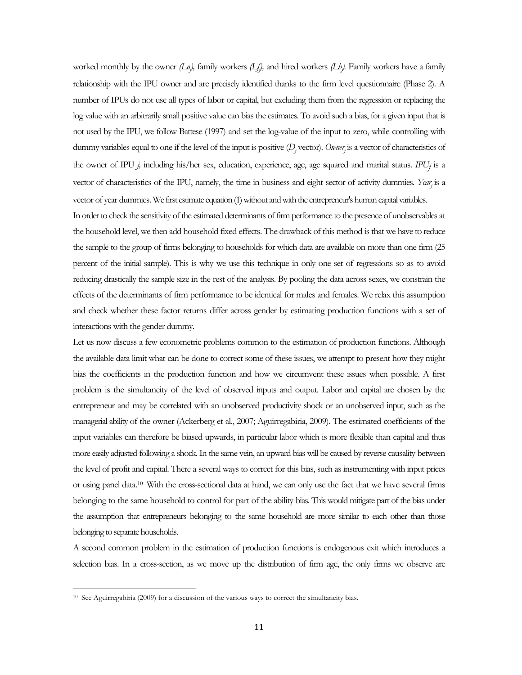worked monthly by the owner *(Lo<sub>j</sub>)*, family workers *(Lf)*, and hired workers *(Lh)*. Family workers have a family relationship with the IPU owner and are precisely identified thanks to the firm level questionnaire (Phase 2). A number of IPUs do not use all types of labor or capital, but excluding them from the regression or replacing the log value with an arbitrarily small positive value can bias the estimates. To avoid such a bias, for a given input that is not used by the IPU, we follow Battese (1997) and set the log-value of the input to zero, while controlling with dummy variables equal to one if the level of the input is positive (*Dj* vector). *Ownerj* is a vector of characteristics of the owner of IPU *j,* including his/her sex, education, experience, age, age squared and marital status. *IPUj* is a vector of characteristics of the IPU, namely, the time in business and eight sector of activity dummies. *Yearj* is a vector of year dummies. We first estimate equation (1) without and with the entrepreneur's human capital variables.

In order to check the sensitivity of the estimated determinants of firm performance to the presence of unobservables at the household level, we then add household fixed effects. The drawback of this method is that we have to reduce the sample to the group of firms belonging to households for which data are available on more than one firm (25 percent of the initial sample). This is why we use this technique in only one set of regressions so as to avoid reducing drastically the sample size in the rest of the analysis. By pooling the data across sexes, we constrain the effects of the determinants of firm performance to be identical for males and females. We relax this assumption and check whether these factor returns differ across gender by estimating production functions with a set of interactions with the gender dummy.

Let us now discuss a few econometric problems common to the estimation of production functions. Although the available data limit what can be done to correct some of these issues, we attempt to present how they might bias the coefficients in the production function and how we circumvent these issues when possible. A first problem is the simultaneity of the level of observed inputs and output. Labor and capital are chosen by the entrepreneur and may be correlated with an unobserved productivity shock or an unobserved input, such as the managerial ability of the owner (Ackerberg et al., 2007; Aguirregabiria, 2009). The estimated coefficients of the input variables can therefore be biased upwards, in particular labor which is more flexible than capital and thus more easily adjusted following a shock. In the same vein, an upward bias will be caused by reverse causality between the level of profit and capital. There a several ways to correct for this bias, such as instrumenting with input prices or using panel data[.10](#page-10-0) With the cross-sectional data at hand, we can only use the fact that we have several firms belonging to the same household to control for part of the ability bias. This would mitigate part of the bias under the assumption that entrepreneurs belonging to the same household are more similar to each other than those belonging to separate households.

<span id="page-11-0"></span>A second common problem in the estimation of production functions is endogenous exit which introduces a selection bias. In a cross-section, as we move up the distribution of firm age, the only firms we observe are

<sup>&</sup>lt;sup>10</sup> See Aguirregabiria (2009) for a discussion of the various ways to correct the simultaneity bias.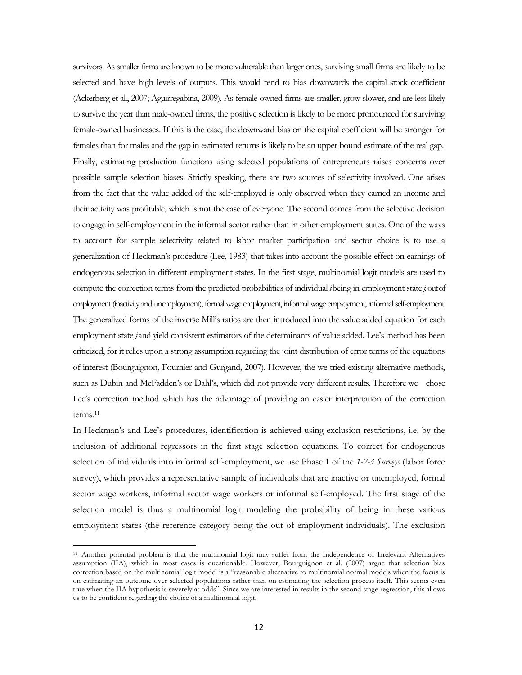survivors. As smaller firms are known to be more vulnerable than larger ones, surviving small firms are likely to be selected and have high levels of outputs. This would tend to bias downwards the capital stock coefficient (Ackerberg et al., 2007; Aguirregabiria, 2009). As female-owned firms are smaller, grow slower, and are less likely to survive the year than male-owned firms, the positive selection is likely to be more pronounced for surviving female-owned businesses. If this is the case, the downward bias on the capital coefficient will be stronger for females than for males and the gap in estimated returns is likely to be an upper bound estimate of the real gap. Finally, estimating production functions using selected populations of entrepreneurs raises concerns over possible sample selection biases. Strictly speaking, there are two sources of selectivity involved. One arises from the fact that the value added of the self-employed is only observed when they earned an income and their activity was profitable, which is not the case of everyone. The second comes from the selective decision to engage in self-employment in the informal sector rather than in other employment states. One of the ways to account for sample selectivity related to labor market participation and sector choice is to use a generalization of Heckman's procedure (Lee, 1983) that takes into account the possible effect on earnings of endogenous selection in different employment states. In the first stage, multinomial logit models are used to compute the correction terms from the predicted probabilities of individual *i*being in employment state *j*: out of employment (inactivity and unemployment), formal wage employment, informal wage employment, informal self-employment. The generalized forms of the inverse Mill's ratios are then introduced into the value added equation for each employment state *j* and yield consistent estimators of the determinants of value added. Lee's method has been criticized, for it relies upon a strong assumption regarding the joint distribution of error terms of the equations of interest (Bourguignon, Fournier and Gurgand, 2007). However, the we tried existing alternative methods, such as Dubin and McFadden's or Dahl's, which did not provide very different results. Therefore we chose Lee's correction method which has the advantage of providing an easier interpretation of the correction terms.[11](#page-11-0)

In Heckman's and Lee's procedures, identification is achieved using exclusion restrictions, i.e. by the inclusion of additional regressors in the first stage selection equations. To correct for endogenous selection of individuals into informal self-employment, we use Phase 1 of the *1-2-3 Surveys* (labor force survey), which provides a representative sample of individuals that are inactive or unemployed, formal sector wage workers, informal sector wage workers or informal self-employed. The first stage of the selection model is thus a multinomial logit modeling the probability of being in these various employment states (the reference category being the out of employment individuals). The exclusion

<span id="page-12-0"></span><sup>11</sup> Another potential problem is that the multinomial logit may suffer from the Independence of Irrelevant Alternatives assumption (IIA), which in most cases is questionable. However, Bourguignon et al. (2007) argue that selection bias correction based on the multinomial logit model is a ''reasonable alternative to multinomial normal models when the focus is on estimating an outcome over selected populations rather than on estimating the selection process itself. This seems even true when the IIA hypothesis is severely at odds". Since we are interested in results in the second stage regression, this allows us to be confident regarding the choice of a multinomial logit.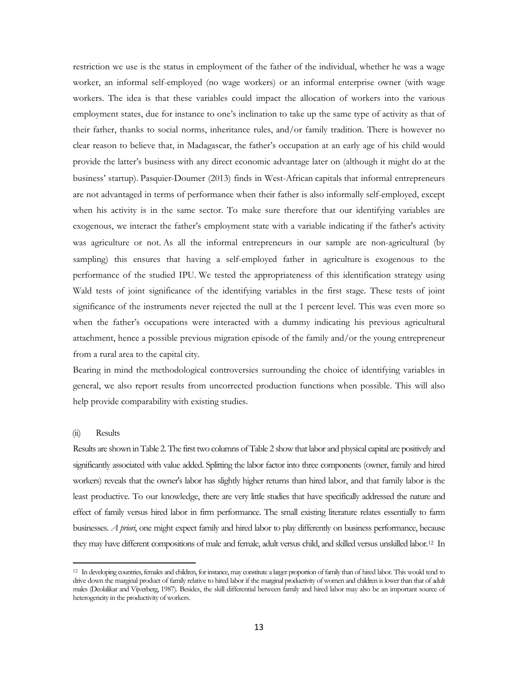restriction we use is the status in employment of the father of the individual, whether he was a wage worker, an informal self-employed (no wage workers) or an informal enterprise owner (with wage workers. The idea is that these variables could impact the allocation of workers into the various employment states, due for instance to one's inclination to take up the same type of activity as that of their father, thanks to social norms, inheritance rules, and/or family tradition. There is however no clear reason to believe that, in Madagascar, the father's occupation at an early age of his child would provide the latter's business with any direct economic advantage later on (although it might do at the business' startup). Pasquier-Doumer (2013) finds in West-African capitals that informal entrepreneurs are not advantaged in terms of performance when their father is also informally self-employed, except when his activity is in the same sector. To make sure therefore that our identifying variables are exogenous, we interact the father's employment state with a variable indicating if the father's activity was agriculture or not. As all the informal entrepreneurs in our sample are non-agricultural (by sampling) this ensures that having a self-employed father in agriculture is exogenous to the performance of the studied IPU. We tested the appropriateness of this identification strategy using Wald tests of joint significance of the identifying variables in the first stage. These tests of joint significance of the instruments never rejected the null at the 1 percent level. This was even more so when the father's occupations were interacted with a dummy indicating his previous agricultural attachment, hence a possible previous migration episode of the family and/or the young entrepreneur from a rural area to the capital city.

Bearing in mind the methodological controversies surrounding the choice of identifying variables in general, we also report results from uncorrected production functions when possible. This will also help provide comparability with existing studies.

#### (ii) Results

l

<span id="page-13-0"></span>Results are shown in Table 2. The first two columns of Table 2 show that labor and physical capital are positively and significantly associated with value added. Splitting the labor factor into three components (owner, family and hired workers) reveals that the owner's labor has slightly higher returns than hired labor, and that family labor is the least productive. To our knowledge, there are very little studies that have specifically addressed the nature and effect of family versus hired labor in firm performance. The small existing literature relates essentially to farm businesses. *A priori*, one might expect family and hired labor to play differently on business performance, because they may have different compositions of male and female, adult versus child, and skilled versus unskilled labor[.12](#page-12-0) In

<sup>&</sup>lt;sup>12</sup> In developing countries, females and children, for instance, may constitute a larger proportion of family than of hired labor. This would tend to drive down the marginal product of family relative to hired labor if the marginal productivity of women and children is lower than that of adult males (Deolalikar and Vijverberg, 1987). Besides, the skill differential between family and hired labor may also be an important source of heterogeneity in the productivity of workers.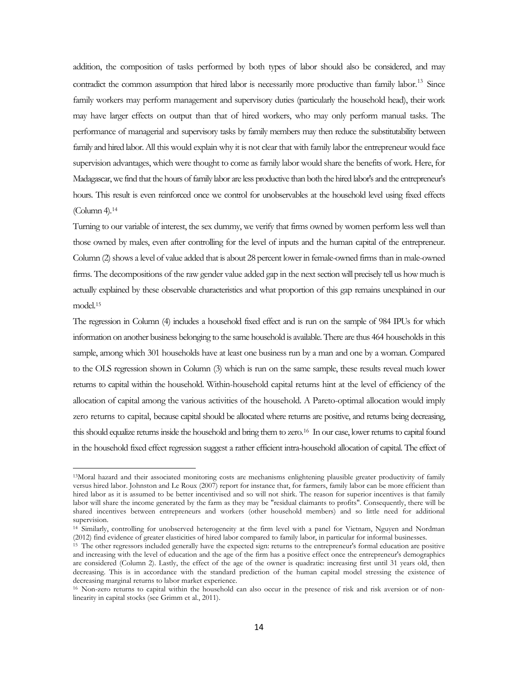addition, the composition of tasks performed by both types of labor should also be considered, and may contradict the common assumption that hired labor is necessarily more productive than family labor.<sup>[13](#page-13-0)</sup> Since family workers may perform management and supervisory duties (particularly the household head), their work may have larger effects on output than that of hired workers, who may only perform manual tasks. The performance of managerial and supervisory tasks by family members may then reduce the substitutability between family and hired labor. All this would explain why it is not clear that with family labor the entrepreneur would face supervision advantages, which were thought to come as family labor would share the benefits of work. Here, for Madagascar, we find that the hours of family labor are less productive than both the hired labor's and the entrepreneur's hours. This result is even reinforced once we control for unobservables at the household level using fixed effects (Column 4)[.14](#page-14-0)

Turning to our variable of interest, the sex dummy, we verify that firms owned by women perform less well than those owned by males, even after controlling for the level of inputs and the human capital of the entrepreneur. Column (2) shows a level of value added that is about 28 percent lower in female-owned firms than in male-owned firms. The decompositions of the raw gender value added gap in the next section will precisely tell us how much is actually explained by these observable characteristics and what proportion of this gap remains unexplained in our model[.15](#page-14-1)

The regression in Column (4) includes a household fixed effect and is run on the sample of 984 IPUs for which information on another business belonging to the same household is available. There are thus 464 households in this sample, among which 301 households have at least one business run by a man and one by a woman. Compared to the OLS regression shown in Column (3) which is run on the same sample, these results reveal much lower returns to capital within the household. Within-household capital returns hint at the level of efficiency of the allocation of capital among the various activities of the household. A Pareto-optimal allocation would imply zero returns to capital, because capital should be allocated where returns are positive, and returns being decreasing, this should equalize returns inside the household and bring them to zero[.16](#page-14-2) In our case, lower returns to capital found in the household fixed effect regression suggest a rather efficient intra-household allocation of capital. The effect of

<sup>13</sup>Moral hazard and their associated monitoring costs are mechanisms enlightening plausible greater productivity of family versus hired labor. Johnston and Le Roux (2007) report for instance that, for farmers, family labor can be more efficient than hired labor as it is assumed to be better incentivised and so will not shirk. The reason for superior incentives is that family labor will share the income generated by the farm as they may be "residual claimants to profits". Consequently, there will be shared incentives between entrepreneurs and workers (other household members) and so little need for additional supervision.

<span id="page-14-0"></span><sup>14</sup> Similarly, controlling for unobserved heterogeneity at the firm level with a panel for Vietnam, Nguyen and Nordman (2012) find evidence of greater elasticities of hired labor compared to family labor, in particular for informal businesses.

<span id="page-14-1"></span><sup>15</sup> The other regressors included generally have the expected sign: returns to the entrepreneur's formal education are positive and increasing with the level of education and the age of the firm has a positive effect once the entrepreneur's demographics are considered (Column 2). Lastly, the effect of the age of the owner is quadratic: increasing first until 31 years old, then decreasing. This is in accordance with the standard prediction of the human capital model stressing the existence of decreasing marginal returns to labor market experience.

<span id="page-14-2"></span><sup>&</sup>lt;sup>16</sup> Non-zero returns to capital within the household can also occur in the presence of risk and risk aversion or of nonlinearity in capital stocks (see Grimm et al., 2011).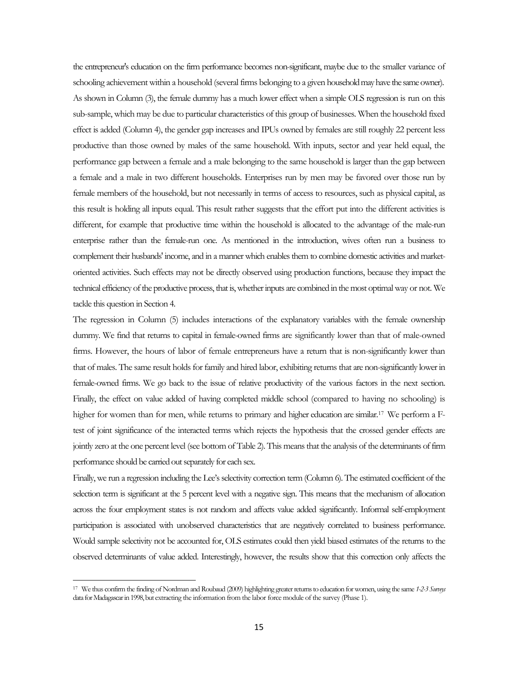the entrepreneur's education on the firm performance becomes non-significant, maybe due to the smaller variance of schooling achievement within a household (several firms belonging to a given household may have the same owner). As shown in Column (3), the female dummy has a much lower effect when a simple OLS regression is run on this sub-sample, which may be due to particular characteristics of this group of businesses. When the household fixed effect is added (Column 4), the gender gap increases and IPUs owned by females are still roughly 22 percent less productive than those owned by males of the same household. With inputs, sector and year held equal, the performance gap between a female and a male belonging to the same household is larger than the gap between a female and a male in two different households. Enterprises run by men may be favored over those run by female members of the household, but not necessarily in terms of access to resources, such as physical capital, as this result is holding all inputs equal. This result rather suggests that the effort put into the different activities is different, for example that productive time within the household is allocated to the advantage of the male-run enterprise rather than the female-run one. As mentioned in the introduction, wives often run a business to complement their husbands' income, and in a manner which enables them to combine domestic activities and marketoriented activities. Such effects may not be directly observed using production functions, because they impact the technical efficiency of the productive process, that is, whether inputs are combined in the most optimal way or not. We tackle this question in Section 4.

The regression in Column (5) includes interactions of the explanatory variables with the female ownership dummy. We find that returns to capital in female-owned firms are significantly lower than that of male-owned firms. However, the hours of labor of female entrepreneurs have a return that is non-significantly lower than that of males. The same result holds for family and hired labor, exhibiting returns that are non-significantly lower in female-owned firms. We go back to the issue of relative productivity of the various factors in the next section. Finally, the effect on value added of having completed middle school (compared to having no schooling) is higher for women than for men, while returns to primary and higher education are similar.<sup>[17](#page-14-2)</sup> We perform a Ftest of joint significance of the interacted terms which rejects the hypothesis that the crossed gender effects are jointly zero at the one percent level (see bottom of Table 2). This means that the analysis of the determinants of firm performance should be carried out separately for each sex.

Finally, we run a regression including the Lee's selectivity correction term (Column 6). The estimated coefficient of the selection term is significant at the 5 percent level with a negative sign. This means that the mechanism of allocation across the four employment states is not random and affects value added significantly. Informal self-employment participation is associated with unobserved characteristics that are negatively correlated to business performance. Would sample selectivity not be accounted for, OLS estimates could then yield biased estimates of the returns to the observed determinants of value added. Interestingly, however, the results show that this correction only affects the

 $\overline{\phantom{a}}$ 

<span id="page-15-0"></span><sup>17</sup> We thus confirm the finding of Nordman and Roubaud (2009) highlighting greater returns to education for women, using the same *1-2-3 Surveys* data for Madagascar in 1998, but extracting the information from the labor force module of the survey (Phase 1).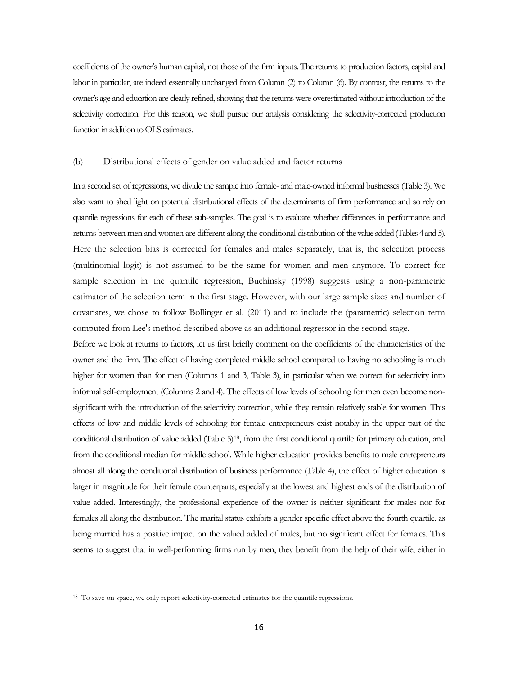coefficients of the owner's human capital, not those of the firm inputs. The returns to production factors, capital and labor in particular, are indeed essentially unchanged from Column (2) to Column (6). By contrast, the returns to the owner's age and education are clearly refined, showing that the returns were overestimated without introduction of the selectivity correction. For this reason, we shall pursue our analysis considering the selectivity-corrected production function in addition to OLS estimates.

#### (b) Distributional effects of gender on value added and factor returns

In a second set of regressions, we divide the sample into female- and male-owned informal businesses (Table 3). We also want to shed light on potential distributional effects of the determinants of firm performance and so rely on quantile regressions for each of these sub-samples. The goal is to evaluate whether differences in performance and returns between men and women are different along the conditional distribution of the value added (Tables 4 and 5). Here the selection bias is corrected for females and males separately, that is, the selection process (multinomial logit) is not assumed to be the same for women and men anymore. To correct for sample selection in the quantile regression, Buchinsky (1998) suggests using a non-parametric estimator of the selection term in the first stage. However, with our large sample sizes and number of covariates, we chose to follow Bollinger et al. (2011) and to include the (parametric) selection term computed from Lee's method described above as an additional regressor in the second stage.

Before we look at returns to factors, let us first briefly comment on the coefficients of the characteristics of the owner and the firm. The effect of having completed middle school compared to having no schooling is much higher for women than for men (Columns 1 and 3, Table 3), in particular when we correct for selectivity into informal self-employment (Columns 2 and 4). The effects of low levels of schooling for men even become nonsignificant with the introduction of the selectivity correction, while they remain relatively stable for women. This effects of low and middle levels of schooling for female entrepreneurs exist notably in the upper part of the conditional distribution of value added (Table 5[\)18,](#page-15-0) from the first conditional quartile for primary education, and from the conditional median for middle school. While higher education provides benefits to male entrepreneurs almost all along the conditional distribution of business performance (Table 4), the effect of higher education is larger in magnitude for their female counterparts, especially at the lowest and highest ends of the distribution of value added. Interestingly, the professional experience of the owner is neither significant for males nor for females all along the distribution. The marital status exhibits a gender specific effect above the fourth quartile, as being married has a positive impact on the valued added of males, but no significant effect for females. This seems to suggest that in well-performing firms run by men, they benefit from the help of their wife, either in

<span id="page-16-0"></span><sup>&</sup>lt;sup>18</sup> To save on space, we only report selectivity-corrected estimates for the quantile regressions.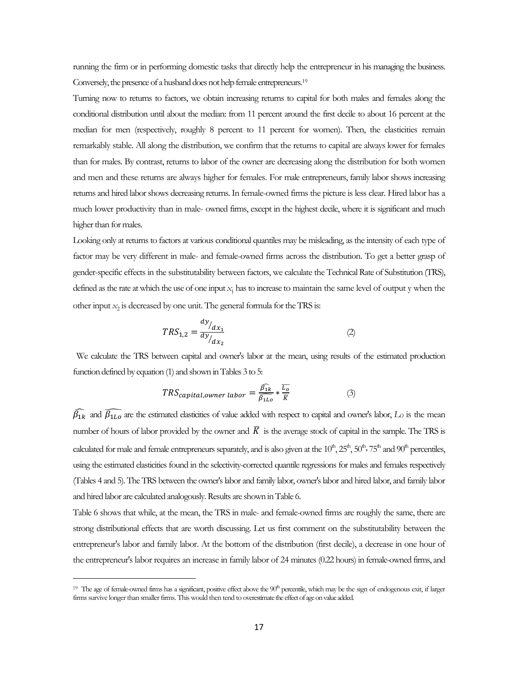running the firm or in performing domestic tasks that directly help the entrepreneur in his managing the business. Conversely, the presence of a husband does not help female entrepreneurs[.19](#page-16-0)

Turning now to returns to factors, we obtain increasing returns to capital for both males and females along the conditional distribution until about the median: from 11 percent around the first decile to about 16 percent at the median for men (respectively, roughly 8 percent to 11 percent for women). Then, the elasticities remain remarkably stable. All along the distribution, we confirm that the returns to capital are always lower for females than for males. By contrast, returns to labor of the owner are decreasing along the distribution for both women and men and these returns are always higher for females. For male entrepreneurs, family labor shows increasing returns and hired labor shows decreasing returns. In female-owned firms the picture is less clear. Hired labor has a much lower productivity than in male- owned firms, except in the highest decile, where it is significant and much higher than for males.

Looking only at returns to factors at various conditional quantiles may be misleading, as the intensity of each type of factor may be very different in male- and female-owned firms across the distribution. To get a better grasp of gender-specific effects in the substitutability between factors, we calculate the Technical Rate of Substitution (TRS), defined as the rate at which the use of one input *x*<sub>1</sub> has to increase to maintain the same level of output y when the other input  $x_2$  is decreased by one unit. The general formula for the TRS is:

$$
TRS_{1,2} = \frac{dy/_{dx_1}}{dy/_{dx_2}}
$$
 (2)

We calculate the TRS between capital and owner's labor at the mean, using results of the estimated production function defined by equation (1) and shown in Tables 3 to 5:

$$
TRS_{capital,owner \, labor} = \frac{\widehat{\beta_{1k}}}{\widehat{\beta_{1Lo}}} * \frac{\overline{L_o}}{\overline{K}}
$$
 (3)

 $\bar{\beta}_{1k}$  and  $\bar{\beta}_{1L0}$  are the estimated elasticities of value added with respect to capital and owner's labor,  $L_0$  is the mean number of hours of labor provided by the owner and  $\overline{K}$  is the average stock of capital in the sample. The TRS is calculated for male and female entrepreneurs separately, and is also given at the  $10^{\text{th}}$ ,  $25^{\text{th}}$ ,  $50^{\text{th}}$ ,  $75^{\text{th}}$  and  $90^{\text{th}}$  percentiles, using the estimated elasticities found in the selectivity-corrected quantile regressions for males and females respectively (Tables 4 and 5). The TRS between the owner's labor and family labor, owner's labor and hired labor, and family labor and hired labor are calculated analogously. Results are shown in Table 6.

Table 6 shows that while, at the mean, the TRS in male- and female-owned firms are roughly the same, there are strong distributional effects that are worth discussing. Let us first comment on the substitutability between the entrepreneur's labor and family labor. At the bottom of the distribution (first decile), a decrease in one hour of the entrepreneur's labor requires an increase in family labor of 24 minutes (0.22 hours) in female-owned firms, and

<span id="page-17-0"></span> $\overline{\phantom{a}}$ 

<sup>&</sup>lt;sup>19</sup> The age of female-owned firms has a significant, positive effect above the  $90<sup>h</sup>$  percentile, which may be the sign of endogenous exit, if larger firms survive longer than smaller firms. This would then tend to overestimate the effect of age on value added.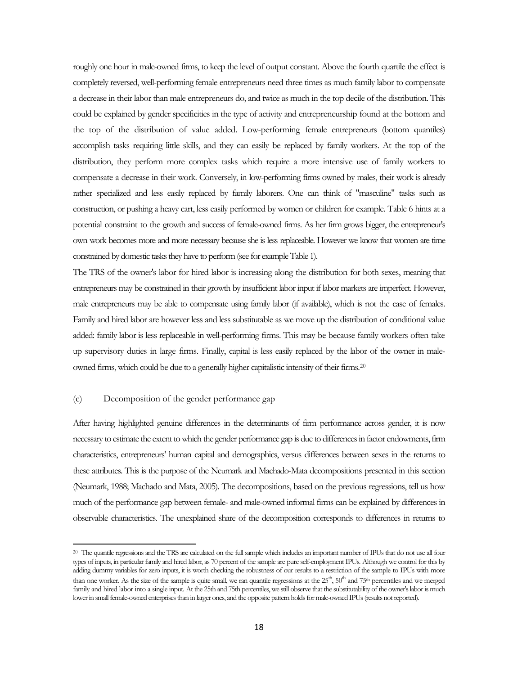roughly one hour in male-owned firms, to keep the level of output constant. Above the fourth quartile the effect is completely reversed, well-performing female entrepreneurs need three times as much family labor to compensate a decrease in their labor than male entrepreneurs do, and twice as much in the top decile of the distribution. This could be explained by gender specificities in the type of activity and entrepreneurship found at the bottom and the top of the distribution of value added. Low-performing female entrepreneurs (bottom quantiles) accomplish tasks requiring little skills, and they can easily be replaced by family workers. At the top of the distribution, they perform more complex tasks which require a more intensive use of family workers to compensate a decrease in their work. Conversely, in low-performing firms owned by males, their work is already rather specialized and less easily replaced by family laborers. One can think of "masculine" tasks such as construction, or pushing a heavy cart, less easily performed by women or children for example. Table 6 hints at a potential constraint to the growth and success of female-owned firms. As her firm grows bigger, the entrepreneur's own work becomes more and more necessary because she is less replaceable. However we know that women are time constrained by domestic tasks they have to perform (see for example Table 1).

The TRS of the owner's labor for hired labor is increasing along the distribution for both sexes, meaning that entrepreneurs may be constrained in their growth by insufficient labor input if labor markets are imperfect. However, male entrepreneurs may be able to compensate using family labor (if available), which is not the case of females. Family and hired labor are however less and less substitutable as we move up the distribution of conditional value added: family labor is less replaceable in well-performing firms. This may be because family workers often take up supervisory duties in large firms. Finally, capital is less easily replaced by the labor of the owner in maleowned firms, which could be due to a generally higher capitalistic intensity of their firms.[20](#page-17-0)

#### (c) Decomposition of the gender performance gap

 $\overline{\phantom{a}}$ 

After having highlighted genuine differences in the determinants of firm performance across gender, it is now necessary to estimate the extent to which the gender performance gap is due to differences in factor endowments, firm characteristics, entrepreneurs' human capital and demographics, versus differences between sexes in the returns to these attributes. This is the purpose of the Neumark and Machado-Mata decompositions presented in this section (Neumark, 1988; Machado and Mata, 2005). The decompositions, based on the previous regressions, tell us how much of the performance gap between female- and male-owned informal firms can be explained by differences in observable characteristics. The unexplained share of the decomposition corresponds to differences in returns to

<span id="page-18-0"></span><sup>20</sup> The quantile regressions and the TRS are calculated on the full sample which includes an important number of IPUs that do not use all four types of inputs, in particular family and hired labor, as 70 percent of the sample are pure self-employment IPUs. Although we control for this by adding dummy variables for zero inputs, it is worth checking the robustness of our results to a restriction of the sample to IPUs with more than one worker. As the size of the sample is quite small, we ran quantile regressions at the  $25<sup>th</sup>$ ,  $50<sup>th</sup>$  and  $75<sup>th</sup>$  percentiles and we merged family and hired labor into a single input. At the 25th and 75th percentiles, we still observe that the substitutability of the owner's labor is much lower in small female-owned enterprises than in larger ones, and the opposite pattern holds for male-owned IPUs (results not reported).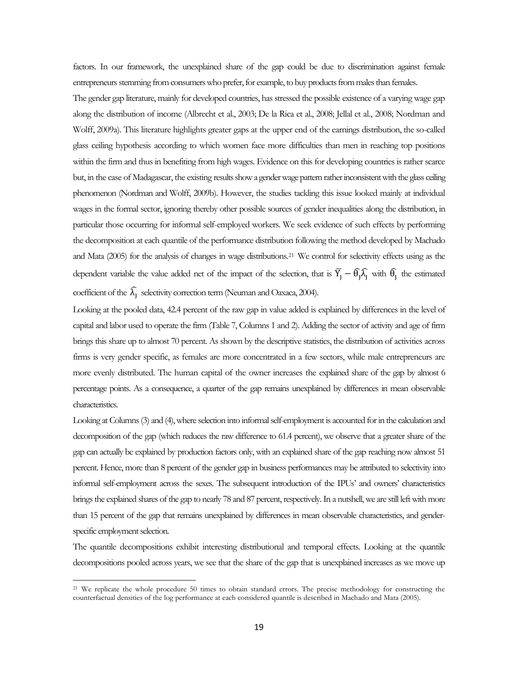factors. In our framework, the unexplained share of the gap could be due to discrimination against female entrepreneurs stemming from consumers who prefer, for example, to buy products from males than females.

The gender gap literature, mainly for developed countries, has stressed the possible existence of a varying wage gap along the distribution of income (Albrecht et al., 2003; De la Rica et al., 2008; Jellal et al., 2008; Nordman and Wolff, 2009a). This literature highlights greater gaps at the upper end of the earnings distribution, the so-called glass ceiling hypothesis according to which women face more difficulties than men in reaching top positions within the firm and thus in benefiting from high wages. Evidence on this for developing countries is rather scarce but, in the case of Madagascar, the existing results show a gender wage pattern rather inconsistent with the glass ceiling phenomenon (Nordman and Wolff, 2009b). However, the studies tackling this issue looked mainly at individual wages in the formal sector, ignoring thereby other possible sources of gender inequalities along the distribution, in particular those occurring for informal self-employed workers. We seek evidence of such effects by performing the decomposition at each quantile of the performance distribution following the method developed by Machado and Mata (2005) for the analysis of changes in wage distributions.[21](#page-18-0) We control for selectivity effects using as the dependent variable the value added net of the impact of the selection, that is  $\overline{Y}_j - \hat{\theta}_j \hat{\lambda}_j$  with  $\hat{\theta}_j$  the estimated coefficient of the  $\lambda_j$  selectivity correction term (Neuman and Oaxaca, 2004).

Looking at the pooled data, 42.4 percent of the raw gap in value added is explained by differences in the level of capital and labor used to operate the firm (Table 7, Columns 1 and 2). Adding the sector of activity and age of firm brings this share up to almost 70 percent. As shown by the descriptive statistics, the distribution of activities across firms is very gender specific, as females are more concentrated in a few sectors, while male entrepreneurs are more evenly distributed. The human capital of the owner increases the explained share of the gap by almost 6 percentage points. As a consequence, a quarter of the gap remains unexplained by differences in mean observable characteristics.

Looking at Columns (3) and (4), where selection into informal self-employment is accounted for in the calculation and decomposition of the gap (which reduces the raw difference to 61.4 percent), we observe that a greater share of the gap can actually be explained by production factors only, with an explained share of the gap reaching now almost 51 percent. Hence, more than 8 percent of the gender gap in business performances may be attributed to selectivity into informal self-employment across the sexes. The subsequent introduction of the IPUs' and owners' characteristics brings the explained shares of the gap to nearly 78 and 87 percent, respectively. In a nutshell, we are still left with more than 15 percent of the gap that remains unexplained by differences in mean observable characteristics, and genderspecific employment selection.

<span id="page-19-0"></span>The quantile decompositions exhibit interesting distributional and temporal effects. Looking at the quantile decompositions pooled across years, we see that the share of the gap that is unexplained increases as we move up

 $\overline{\phantom{a}}$ 

<sup>&</sup>lt;sup>21</sup> We replicate the whole procedure 50 times to obtain standard errors. The precise methodology for constructing the counterfactual densities of the log performance at each considered quantile is described in Machado and Mata (2005).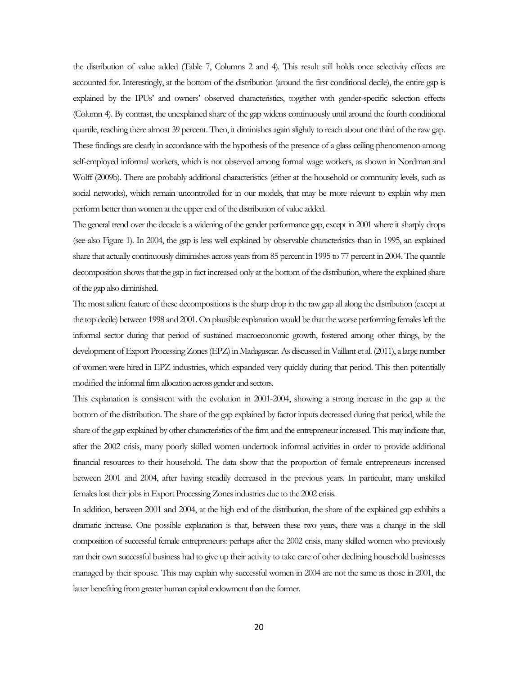the distribution of value added (Table 7, Columns 2 and 4). This result still holds once selectivity effects are accounted for. Interestingly, at the bottom of the distribution (around the first conditional decile), the entire gap is explained by the IPUs' and owners' observed characteristics, together with gender-specific selection effects (Column 4). By contrast, the unexplained share of the gap widens continuously until around the fourth conditional quartile, reaching there almost 39 percent. Then, it diminishes again slightly to reach about one third of the raw gap. These findings are clearly in accordance with the hypothesis of the presence of a glass ceiling phenomenon among self-employed informal workers, which is not observed among formal wage workers, as shown in Nordman and Wolff (2009b). There are probably additional characteristics (either at the household or community levels, such as social networks), which remain uncontrolled for in our models, that may be more relevant to explain why men perform better than women at the upper end of the distribution of value added.

The general trend over the decade is a widening of the gender performance gap, except in 2001 where it sharply drops (see also Figure 1). In 2004, the gap is less well explained by observable characteristics than in 1995, an explained share that actually continuously diminishes across years from 85 percent in 1995 to 77 percent in 2004. The quantile decomposition shows that the gap in fact increased only at the bottom of the distribution, where the explained share of the gap also diminished.

The most salient feature of these decompositions is the sharp drop in the raw gap all along the distribution (except at the top decile) between 1998 and 2001. On plausible explanation would be that the worse performing females left the informal sector during that period of sustained macroeconomic growth, fostered among other things, by the development of Export Processing Zones (EPZ) in Madagascar. As discussed in Vaillant et al. (2011), a large number of women were hired in EPZ industries, which expanded very quickly during that period. This then potentially modified the informal firm allocation across gender and sectors.

This explanation is consistent with the evolution in 2001-2004, showing a strong increase in the gap at the bottom of the distribution. The share of the gap explained by factor inputs decreased during that period, while the share of the gap explained by other characteristics of the firm and the entrepreneur increased. This may indicate that, after the 2002 crisis, many poorly skilled women undertook informal activities in order to provide additional financial resources to their household. The data show that the proportion of female entrepreneurs increased between 2001 and 2004, after having steadily decreased in the previous years. In particular, many unskilled females lost their jobs in Export Processing Zones industries due to the 2002 crisis.

In addition, between 2001 and 2004, at the high end of the distribution, the share of the explained gap exhibits a dramatic increase. One possible explanation is that, between these two years, there was a change in the skill composition of successful female entrepreneurs: perhaps after the 2002 crisis, many skilled women who previously ran their own successful business had to give up their activity to take care of other declining household businesses managed by their spouse. This may explain why successful women in 2004 are not the same as those in 2001, the latter benefiting from greater human capital endowment than the former.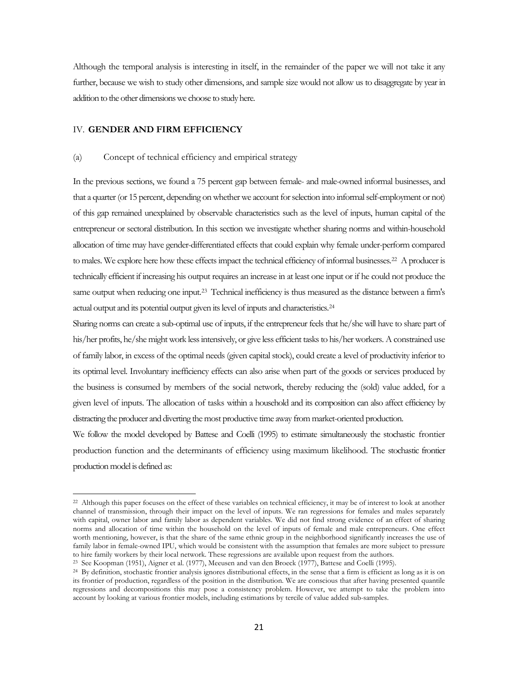Although the temporal analysis is interesting in itself, in the remainder of the paper we will not take it any further, because we wish to study other dimensions, and sample size would not allow us to disaggregate by year in addition to the other dimensions we choose to study here.

#### IV. **GENDER AND FIRM EFFICIENCY**

l

#### (a) Concept of technical efficiency and empirical strategy

In the previous sections, we found a 75 percent gap between female- and male-owned informal businesses, and that a quarter (or 15 percent, depending on whether we account for selection into informal self-employment or not) of this gap remained unexplained by observable characteristics such as the level of inputs, human capital of the entrepreneur or sectoral distribution. In this section we investigate whether sharing norms and within-household allocation of time may have gender-differentiated effects that could explain why female under-perform compared to males. We explore here how these effects impact the technical efficiency of informal businesses[.22](#page-19-0) A producer is technically efficient if increasing his output requires an increase in at least one input or if he could not produce the same output when reducing one input.<sup>[23](#page-21-0)</sup> Technical inefficiency is thus measured as the distance between a firm's actual output and its potential output given its level of inputs and characteristics[.24](#page-21-1)

Sharing norms can create a sub-optimal use of inputs, if the entrepreneur feels that he/she will have to share part of his/her profits, he/she might work less intensively, or give less efficient tasks to his/her workers. A constrained use of family labor, in excess of the optimal needs (given capital stock), could create a level of productivity inferior to its optimal level. Involuntary inefficiency effects can also arise when part of the goods or services produced by the business is consumed by members of the social network, thereby reducing the (sold) value added, for a given level of inputs. The allocation of tasks within a household and its composition can also affect efficiency by distracting the producer and diverting the most productive time away from market-oriented production.

We follow the model developed by Battese and Coelli (1995) to estimate simultaneously the stochastic frontier production function and the determinants of efficiency using maximum likelihood. The stochastic frontier production model is defined as:

<sup>&</sup>lt;sup>22</sup> Although this paper focuses on the effect of these variables on technical efficiency, it may be of interest to look at another channel of transmission, through their impact on the level of inputs. We ran regressions for females and males separately with capital, owner labor and family labor as dependent variables. We did not find strong evidence of an effect of sharing norms and allocation of time within the household on the level of inputs of female and male entrepreneurs. One effect worth mentioning, however, is that the share of the same ethnic group in the neighborhood significantly increases the use of family labor in female-owned IPU, which would be consistent with the assumption that females are more subject to pressure to hire family workers by their local network. These regressions are available upon request from the authors.

<sup>23</sup> See Koopman (1951), Aigner et al. (1977), Meeusen and van den Broeck (1977), Battese and Coelli (1995).

<span id="page-21-1"></span><span id="page-21-0"></span><sup>&</sup>lt;sup>24</sup> By definition, stochastic frontier analysis ignores distributional effects, in the sense that a firm is efficient as long as it is on its frontier of production, regardless of the position in the distribution. We are conscious that after having presented quantile regressions and decompositions this may pose a consistency problem. However, we attempt to take the problem into account by looking at various frontier models, including estimations by tercile of value added sub-samples.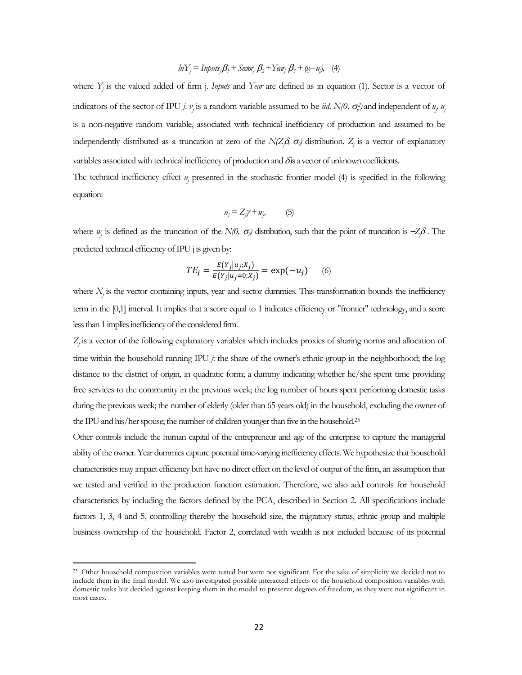$$
ln Y_j = Imputs_j\beta_1 + Sector_j\beta_2 + Year_j\beta_3 + (v_j - u_j),
$$
 (4)

where *Yj* is the valued added of firm j. *Inputs* and *Year* are defined as in equation (1). Sector is a vector of indicators of the sector of IPU *j*. *v<sub>j</sub>* is a random variable assumed to be *iid*. N(0,  $\sigma_v^2$ ) and independent of *u<sub>j</sub> u*<sub>j</sub> is a non-negative random variable, associated with technical inefficiency of production and assumed to be independently distributed as a truncation at zero of the *N(Zj* <sup>δ</sup>*,* <sup>σ</sup>*2)* distribution. *Zj* is a vector of explanatory variables associated with technical inefficiency of production and δis a vector of unknown coefficients. The technical inefficiency effect *uj* presented in the stochastic frontier model (4) is specified in the following

equation:

$$
u_j = Z_j \gamma + w_j, \qquad (5)
$$

where  $w_j$  is defined as the truncation of the *N(0,*  $\sigma_j$ ) distribution, such that the point of truncation is  $-Z_j\delta$ . The predicted technical efficiency of IPU j is given by:

$$
TE_j = \frac{E(Y_j|u_j; X_j)}{E(Y_j|u_j=0; X_j)} = \exp(-u_j) \quad (6)
$$

where *X<sub>i</sub>* is the vector containing inputs, year and sector dummies. This transformation bounds the inefficiency term in the [0,1] interval. It implies that a score equal to 1 indicates efficiency or "frontier" technology, and a score less than 1 implies inefficiency of the considered firm.

*Zj* is a vector of the following explanatory variables which includes proxies of sharing norms and allocation of time within the household running IPU *j*: the share of the owner's ethnic group in the neighborhood; the log distance to the district of origin, in quadratic form; a dummy indicating whether he/she spent time providing free services to the community in the previous week; the log number of hours spent performing domestic tasks during the previous week; the number of elderly (older than 65 years old) in the household, excluding the owner of the IPU and his/her spouse; the number of children younger than five in the household[.25](#page-21-1)

<span id="page-22-0"></span>Other controls include the human capital of the entrepreneur and age of the enterprise to capture the managerial ability of the owner. Year dummies capture potential time-varying inefficiency effects. We hypothesize that household characteristics may impact efficiency but have no direct effect on the level of output of the firm, an assumption that we tested and verified in the production function estimation. Therefore, we also add controls for household characteristics by including the factors defined by the PCA, described in Section 2. All specifications include factors 1, 3, 4 and 5, controlling thereby the household size, the migratory status, ethnic group and multiple business ownership of the household. Factor 2, correlated with wealth is not included because of its potential

<sup>&</sup>lt;sup>25</sup> Other household composition variables were tested but were not significant. For the sake of simplicity we decided not to include them in the final model. We also investigated possible interacted effects of the household composition variables with domestic tasks but decided against keeping them in the model to preserve degrees of freedom, as they were not significant in most cases.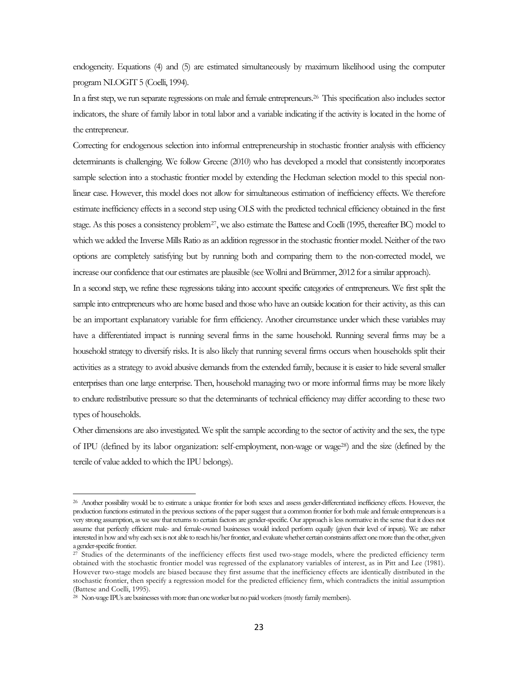endogeneity. Equations (4) and (5) are estimated simultaneously by maximum likelihood using the computer program NLOGIT 5 (Coelli, 1994).

In a first step, we run separate regressions on male and female entrepreneurs[.26](#page-22-0) This specification also includes sector indicators, the share of family labor in total labor and a variable indicating if the activity is located in the home of the entrepreneur.

Correcting for endogenous selection into informal entrepreneurship in stochastic frontier analysis with efficiency determinants is challenging. We follow Greene (2010) who has developed a model that consistently incorporates sample selection into a stochastic frontier model by extending the Heckman selection model to this special nonlinear case. However, this model does not allow for simultaneous estimation of inefficiency effects. We therefore estimate inefficiency effects in a second step using OLS with the predicted technical efficiency obtained in the first stage. As this poses a consistency problem<sup>[27](#page-23-0)</sup>, we also estimate the Battese and Coelli (1995, thereafter BC) model to which we added the Inverse Mills Ratio as an addition regressor in the stochastic frontier model. Neither of the two options are completely satisfying but by running both and comparing them to the non-corrected model, we increase our confidence that our estimates are plausible (see Wollni and Brümmer, 2012 for a similar approach).

In a second step, we refine these regressions taking into account specific categories of entrepreneurs. We first split the sample into entrepreneurs who are home based and those who have an outside location for their activity, as this can be an important explanatory variable for firm efficiency. Another circumstance under which these variables may have a differentiated impact is running several firms in the same household. Running several firms may be a household strategy to diversify risks. It is also likely that running several firms occurs when households split their activities as a strategy to avoid abusive demands from the extended family, because it is easier to hide several smaller enterprises than one large enterprise. Then, household managing two or more informal firms may be more likely to endure redistributive pressure so that the determinants of technical efficiency may differ according to these two types of households.

Other dimensions are also investigated. We split the sample according to the sector of activity and the sex, the type of IPU (defined by its labor organization: self-employment, non-wage or wag[e28\)](#page-23-1) and the size (defined by the tercile of value added to which the IPU belongs).

<sup>&</sup>lt;sup>26</sup> Another possibility would be to estimate a unique frontier for both sexes and assess gender-differentiated inefficiency effects. However, the production functions estimated in the previous sections of the paper suggest that a common frontier for both male and female entrepreneurs is a very strong assumption, as we saw that returns to certain factors are gender-specific. Our approach is less normative in the sense that it does not assume that perfectly efficient male- and female-owned businesses would indeed perform equally (given their level of inputs). We are rather interested in how and why each sex is not able to reach his/her frontier, and evaluate whether certain constraints affect one more than the other, given a gender-specific frontier.

<span id="page-23-0"></span><sup>&</sup>lt;sup>27</sup> Studies of the determinants of the inefficiency effects first used two-stage models, where the predicted efficiency term obtained with the stochastic frontier model was regressed of the explanatory variables of interest, as in Pitt and Lee (1981). However two-stage models are biased because they first assume that the inefficiency effects are identically distributed in the stochastic frontier, then specify a regression model for the predicted efficiency firm, which contradicts the initial assumption (Battese and Coelli, 1995).

<span id="page-23-1"></span><sup>&</sup>lt;sup>28</sup> Non-wage IPUs are businesses with more than one worker but no paid workers (mostly family members).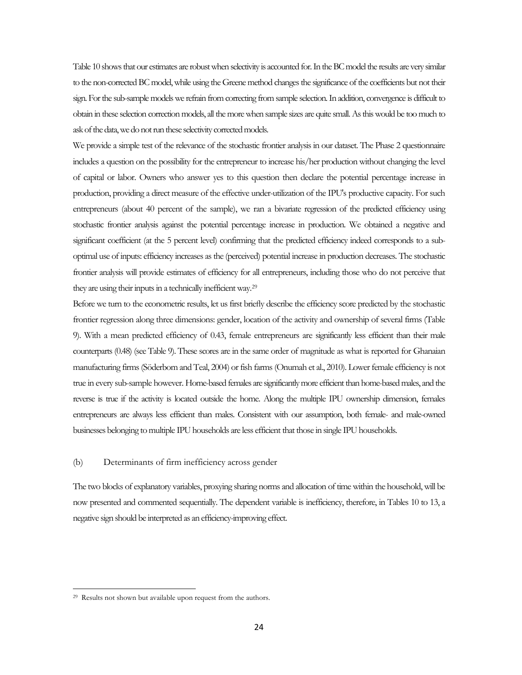Table 10 shows that our estimates are robust when selectivity is accounted for. In the BC model the results are very similar to the non-corrected BC model, while using the Greene method changes the significance of the coefficients but not their sign. For the sub-sample models we refrain from correcting from sample selection. In addition, convergence is difficult to obtain in these selection correction models, all the more when sample sizes are quite small. As this would be too much to ask of the data, we do not run these selectivity corrected models.

We provide a simple test of the relevance of the stochastic frontier analysis in our dataset. The Phase 2 questionnaire includes a question on the possibility for the entrepreneur to increase his/her production without changing the level of capital or labor. Owners who answer yes to this question then declare the potential percentage increase in production, providing a direct measure of the effective under-utilization of the IPU's productive capacity. For such entrepreneurs (about 40 percent of the sample), we ran a bivariate regression of the predicted efficiency using stochastic frontier analysis against the potential percentage increase in production. We obtained a negative and significant coefficient (at the 5 percent level) confirming that the predicted efficiency indeed corresponds to a suboptimal use of inputs: efficiency increases as the (perceived) potential increase in production decreases. The stochastic frontier analysis will provide estimates of efficiency for all entrepreneurs, including those who do not perceive that they are using their inputs in a technically inefficient way[.29](#page-23-1)

Before we turn to the econometric results, let us first briefly describe the efficiency score predicted by the stochastic frontier regression along three dimensions: gender, location of the activity and ownership of several firms (Table 9). With a mean predicted efficiency of 0.43, female entrepreneurs are significantly less efficient than their male counterparts (0.48) (see Table 9). These scores are in the same order of magnitude as what is reported for Ghanaian manufacturing firms (Söderbom and Teal, 2004) or fish farms (Onumah et al., 2010). Lower female efficiency is not true in every sub-sample however. Home-based females are significantly more efficient than home-based males, and the reverse is true if the activity is located outside the home. Along the multiple IPU ownership dimension, females entrepreneurs are always less efficient than males. Consistent with our assumption, both female- and male-owned businesses belonging to multiple IPU households are less efficient that those in single IPU households.

#### (b) Determinants of firm inefficiency across gender

The two blocks of explanatory variables, proxying sharing norms and allocation of time within the household, will be now presented and commented sequentially. The dependent variable is inefficiency, therefore, in Tables 10 to 13, a negative sign should be interpreted as an efficiency-improving effect.

<span id="page-24-0"></span><sup>29</sup> Results not shown but available upon request from the authors.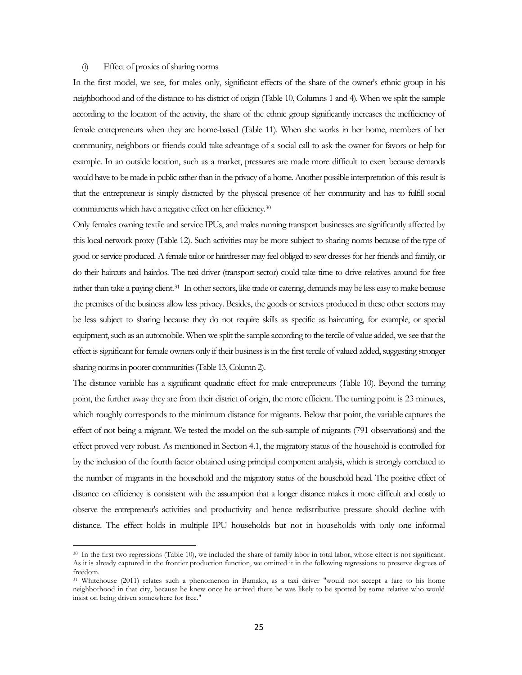#### (i) Effect of proxies of sharing norms

l

In the first model, we see, for males only, significant effects of the share of the owner's ethnic group in his neighborhood and of the distance to his district of origin (Table 10, Columns 1 and 4). When we split the sample according to the location of the activity, the share of the ethnic group significantly increases the inefficiency of female entrepreneurs when they are home-based (Table 11). When she works in her home, members of her community, neighbors or friends could take advantage of a social call to ask the owner for favors or help for example. In an outside location, such as a market, pressures are made more difficult to exert because demands would have to be made in public rather than in the privacy of a home. Another possible interpretation of this result is that the entrepreneur is simply distracted by the physical presence of her community and has to fulfill social commitments which have a negative effect on her efficiency.[30](#page-24-0)

Only females owning textile and service IPUs, and males running transport businesses are significantly affected by this local network proxy (Table 12). Such activities may be more subject to sharing norms because of the type of good or service produced. A female tailor or hairdresser may feel obliged to sew dresses for her friends and family, or do their haircuts and hairdos. The taxi driver (transport sector) could take time to drive relatives around for free rather than take a paying client.[31](#page-25-0) In other sectors, like trade or catering, demands may be less easy to make because the premises of the business allow less privacy. Besides, the goods or services produced in these other sectors may be less subject to sharing because they do not require skills as specific as haircutting, for example, or special equipment, such as an automobile. When we split the sample according to the tercile of value added, we see that the effect is significant for female owners only if their business is in the first tercile of valued added, suggesting stronger sharing norms in poorer communities (Table 13, Column 2).

The distance variable has a significant quadratic effect for male entrepreneurs (Table 10). Beyond the turning point, the further away they are from their district of origin, the more efficient. The turning point is 23 minutes, which roughly corresponds to the minimum distance for migrants. Below that point, the variable captures the effect of not being a migrant. We tested the model on the sub-sample of migrants (791 observations) and the effect proved very robust. As mentioned in Section 4.1, the migratory status of the household is controlled for by the inclusion of the fourth factor obtained using principal component analysis, which is strongly correlated to the number of migrants in the household and the migratory status of the household head. The positive effect of distance on efficiency is consistent with the assumption that a longer distance makes it more difficult and costly to observe the entrepreneur's activities and productivity and hence redistributive pressure should decline with distance. The effect holds in multiple IPU households but not in households with only one informal

<sup>&</sup>lt;sup>30</sup> In the first two regressions (Table 10), we included the share of family labor in total labor, whose effect is not significant. As it is already captured in the frontier production function, we omitted it in the following regressions to preserve degrees of freedom.

<span id="page-25-1"></span><span id="page-25-0"></span><sup>31</sup> Whitehouse (2011) relates such a phenomenon in Bamako, as a taxi driver "would not accept a fare to his home neighborhood in that city, because he knew once he arrived there he was likely to be spotted by some relative who would insist on being driven somewhere for free."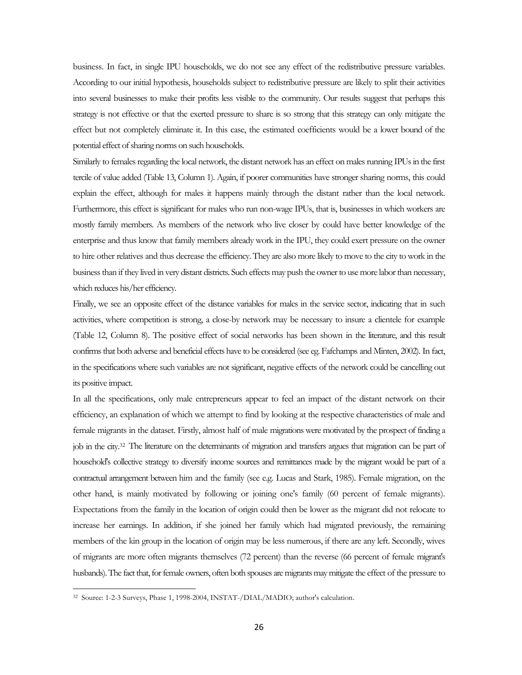business. In fact, in single IPU households, we do not see any effect of the redistributive pressure variables. According to our initial hypothesis, households subject to redistributive pressure are likely to split their activities into several businesses to make their profits less visible to the community. Our results suggest that perhaps this strategy is not effective or that the exerted pressure to share is so strong that this strategy can only mitigate the effect but not completely eliminate it. In this case, the estimated coefficients would be a lower bound of the potential effect of sharing norms on such households.

Similarly to females regarding the local network, the distant network has an effect on males running IPUs in the first tercile of value added (Table 13, Column 1). Again, if poorer communities have stronger sharing norms, this could explain the effect, although for males it happens mainly through the distant rather than the local network. Furthermore, this effect is significant for males who run non-wage IPUs, that is, businesses in which workers are mostly family members. As members of the network who live closer by could have better knowledge of the enterprise and thus know that family members already work in the IPU, they could exert pressure on the owner to hire other relatives and thus decrease the efficiency. They are also more likely to move to the city to work in the business than if they lived in very distant districts. Such effects may push the owner to use more labor than necessary, which reduces his/her efficiency.

Finally, we see an opposite effect of the distance variables for males in the service sector, indicating that in such activities, where competition is strong, a close-by network may be necessary to insure a clientele for example (Table 12, Column 8). The positive effect of social networks has been shown in the literature, and this result confirms that both adverse and beneficial effects have to be considered (see eg. Fafchamps and Minten, 2002). In fact, in the specifications where such variables are not significant, negative effects of the network could be cancelling out its positive impact.

In all the specifications, only male entrepreneurs appear to feel an impact of the distant network on their efficiency, an explanation of which we attempt to find by looking at the respective characteristics of male and female migrants in the dataset. Firstly, almost half of male migrations were motivated by the prospect of finding a job in the city[.32](#page-25-1) The literature on the determinants of migration and transfers argues that migration can be part of household's collective strategy to diversify income sources and remittances made by the migrant would be part of a contractual arrangement between him and the family (see e.g. Lucas and Stark, 1985). Female migration, on the other hand, is mainly motivated by following or joining one's family (60 percent of female migrants). Expectations from the family in the location of origin could then be lower as the migrant did not relocate to increase her earnings. In addition, if she joined her family which had migrated previously, the remaining members of the kin group in the location of origin may be less numerous, if there are any left. Secondly, wives of migrants are more often migrants themselves (72 percent) than the reverse (66 percent of female migrant's husbands). The fact that, for female owners, often both spouses are migrants may mitigate the effect of the pressure to

<span id="page-26-0"></span><sup>32</sup> Source: 1-2-3 Surveys, Phase 1, 1998-2004, INSTAT-/DIAL/MADIO; author's calculation.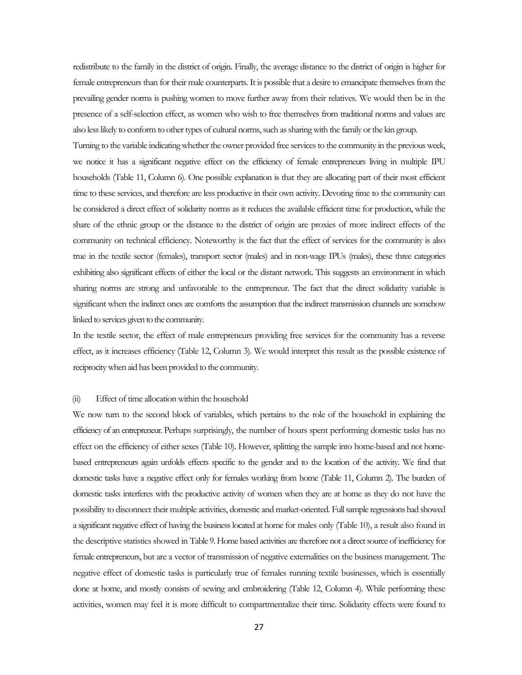redistribute to the family in the district of origin. Finally, the average distance to the district of origin is higher for female entrepreneurs than for their male counterparts. It is possible that a desire to emancipate themselves from the prevailing gender norms is pushing women to move further away from their relatives. We would then be in the presence of a self-selection effect, as women who wish to free themselves from traditional norms and values are also less likely to conform to other types of cultural norms, such as sharing with the family or the kin group.

Turning to the variable indicating whether the owner provided free services to the community in the previous week, we notice it has a significant negative effect on the efficiency of female entrepreneurs living in multiple IPU households (Table 11, Column 6). One possible explanation is that they are allocating part of their most efficient time to these services, and therefore are less productive in their own activity. Devoting time to the community can be considered a direct effect of solidarity norms as it reduces the available efficient time for production, while the share of the ethnic group or the distance to the district of origin are proxies of more indirect effects of the community on technical efficiency. Noteworthy is the fact that the effect of services for the community is also true in the textile sector (females), transport sector (males) and in non-wage IPUs (males), these three categories exhibiting also significant effects of either the local or the distant network. This suggests an environment in which sharing norms are strong and unfavorable to the entrepreneur. The fact that the direct solidarity variable is significant when the indirect ones are comforts the assumption that the indirect transmission channels are somehow linked to services given to the community.

In the textile sector, the effect of male entrepreneurs providing free services for the community has a reverse effect, as it increases efficiency (Table 12, Column 3). We would interpret this result as the possible existence of reciprocity when aid has been provided to the community.

#### (ii) Effect of time allocation within the household

We now turn to the second block of variables, which pertains to the role of the household in explaining the efficiency of an entrepreneur. Perhaps surprisingly, the number of hours spent performing domestic tasks has no effect on the efficiency of either sexes (Table 10). However, splitting the sample into home-based and not homebased entrepreneurs again unfolds effects specific to the gender and to the location of the activity. We find that domestic tasks have a negative effect only for females working from home (Table 11, Column 2). The burden of domestic tasks interferes with the productive activity of women when they are at home as they do not have the possibility to disconnect their multiple activities, domestic and market-oriented. Full sample regressions had showed a significant negative effect of having the business located at home for males only (Table 10), a result also found in the descriptive statistics showed in Table 9. Home based activities are therefore not a direct source of inefficiency for female entrepreneurs, but are a vector of transmission of negative externalities on the business management. The negative effect of domestic tasks is particularly true of females running textile businesses, which is essentially done at home, and mostly consists of sewing and embroidering (Table 12, Column 4). While performing these activities, women may feel it is more difficult to compartmentalize their time. Solidarity effects were found to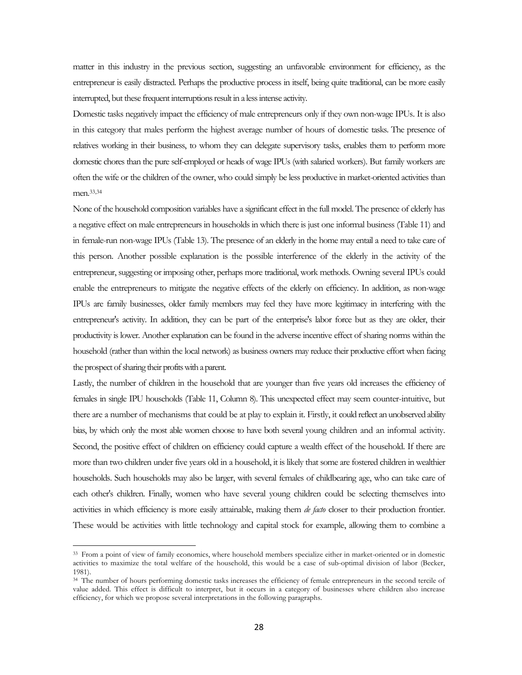matter in this industry in the previous section, suggesting an unfavorable environment for efficiency, as the entrepreneur is easily distracted. Perhaps the productive process in itself, being quite traditional, can be more easily interrupted, but these frequent interruptions result in a less intense activity.

Domestic tasks negatively impact the efficiency of male entrepreneurs only if they own non-wage IPUs. It is also in this category that males perform the highest average number of hours of domestic tasks. The presence of relatives working in their business, to whom they can delegate supervisory tasks, enables them to perform more domestic chores than the pure self-employed or heads of wage IPUs (with salaried workers). But family workers are often the wife or the children of the owner, who could simply be less productive in market-oriented activities than men[.33,](#page-26-0)[34](#page-28-0)

None of the household composition variables have a significant effect in the full model. The presence of elderly has a negative effect on male entrepreneurs in households in which there is just one informal business (Table 11) and in female-run non-wage IPUs (Table 13). The presence of an elderly in the home may entail a need to take care of this person. Another possible explanation is the possible interference of the elderly in the activity of the entrepreneur, suggesting or imposing other, perhaps more traditional, work methods. Owning several IPUs could enable the entrepreneurs to mitigate the negative effects of the elderly on efficiency. In addition, as non-wage IPUs are family businesses, older family members may feel they have more legitimacy in interfering with the entrepreneur's activity. In addition, they can be part of the enterprise's labor force but as they are older, their productivity is lower. Another explanation can be found in the adverse incentive effect of sharing norms within the household (rather than within the local network) as business owners may reduce their productive effort when facing the prospect of sharing their profits with a parent.

Lastly, the number of children in the household that are younger than five years old increases the efficiency of females in single IPU households (Table 11, Column 8). This unexpected effect may seem counter-intuitive, but there are a number of mechanisms that could be at play to explain it. Firstly, it could reflect an unobserved ability bias, by which only the most able women choose to have both several young children and an informal activity. Second, the positive effect of children on efficiency could capture a wealth effect of the household. If there are more than two children under five years old in a household, it is likely that some are fostered children in wealthier households. Such households may also be larger, with several females of childbearing age, who can take care of each other's children. Finally, women who have several young children could be selecting themselves into activities in which efficiency is more easily attainable, making them *de facto* closer to their production frontier. These would be activities with little technology and capital stock for example, allowing them to combine a

<sup>&</sup>lt;sup>33</sup> From a point of view of family economics, where household members specialize either in market-oriented or in domestic activities to maximize the total welfare of the household, this would be a case of sub-optimal division of labor (Becker, 1981).

<span id="page-28-0"></span><sup>&</sup>lt;sup>34</sup> The number of hours performing domestic tasks increases the efficiency of female entrepreneurs in the second tercile of value added. This effect is difficult to interpret, but it occurs in a category of businesses where children also increase efficiency, for which we propose several interpretations in the following paragraphs.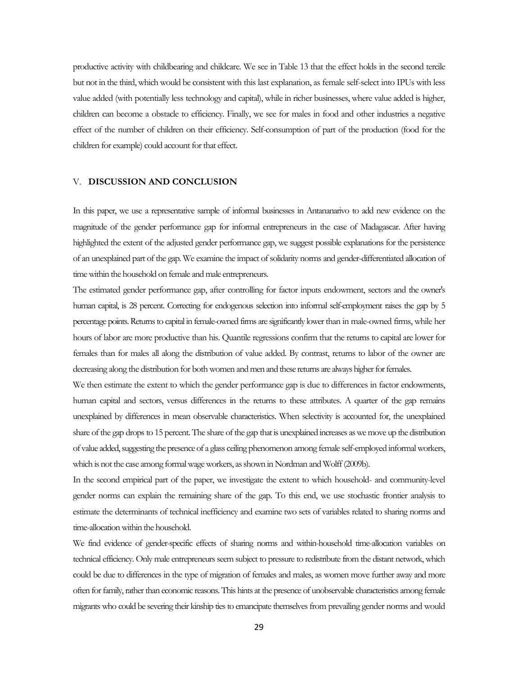productive activity with childbearing and childcare. We see in Table 13 that the effect holds in the second tercile but not in the third, which would be consistent with this last explanation, as female self-select into IPUs with less value added (with potentially less technology and capital), while in richer businesses, where value added is higher, children can become a obstacle to efficiency. Finally, we see for males in food and other industries a negative effect of the number of children on their efficiency. Self-consumption of part of the production (food for the children for example) could account for that effect.

#### V. **DISCUSSION AND CONCLUSION**

In this paper, we use a representative sample of informal businesses in Antananarivo to add new evidence on the magnitude of the gender performance gap for informal entrepreneurs in the case of Madagascar. After having highlighted the extent of the adjusted gender performance gap, we suggest possible explanations for the persistence of an unexplained part of the gap. We examine the impact of solidarity norms and gender-differentiated allocation of time within the household on female and male entrepreneurs.

The estimated gender performance gap, after controlling for factor inputs endowment, sectors and the owner's human capital, is 28 percent. Correcting for endogenous selection into informal self-employment raises the gap by 5 percentage points.Returns to capital in female-owned firms are significantly lower than in male-owned firms, while her hours of labor are more productive than his. Quantile regressions confirm that the returns to capital are lower for females than for males all along the distribution of value added. By contrast, returns to labor of the owner are decreasing along the distribution for both women and men and these returns are always higher for females.

We then estimate the extent to which the gender performance gap is due to differences in factor endowments, human capital and sectors, versus differences in the returns to these attributes. A quarter of the gap remains unexplained by differences in mean observable characteristics. When selectivity is accounted for, the unexplained share of the gap drops to 15 percent.The share of the gap that is unexplained increases as we move up the distribution of value added, suggesting the presence of a glass ceiling phenomenon among female self-employed informal workers, which is not the case among formal wage workers, as shown in Nordman and Wolff (2009b).

In the second empirical part of the paper, we investigate the extent to which household- and community-level gender norms can explain the remaining share of the gap. To this end, we use stochastic frontier analysis to estimate the determinants of technical inefficiency and examine two sets of variables related to sharing norms and time-allocation within the household.

We find evidence of gender-specific effects of sharing norms and within-household time-allocation variables on technical efficiency. Only male entrepreneurs seem subject to pressure to redistribute from the distant network, which could be due to differences in the type of migration of females and males, as women move further away and more often for family, rather than economic reasons. This hints at the presence of unobservable characteristics among female migrants who could be severing their kinship ties to emancipate themselves from prevailing gender norms and would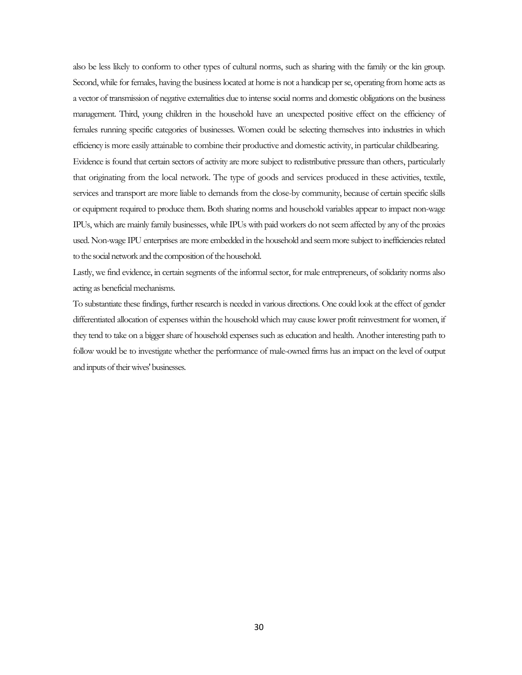also be less likely to conform to other types of cultural norms, such as sharing with the family or the kin group. Second, while for females, having the business located at home is not a handicap per se, operating from home acts as a vector of transmission of negative externalities due to intense social norms and domestic obligations on the business management. Third, young children in the household have an unexpected positive effect on the efficiency of females running specific categories of businesses. Women could be selecting themselves into industries in which efficiency is more easily attainable to combine their productive and domestic activity, in particular childbearing. Evidence is found that certain sectors of activity are more subject to redistributive pressure than others, particularly that originating from the local network. The type of goods and services produced in these activities, textile, services and transport are more liable to demands from the close-by community, because of certain specific skills or equipment required to produce them. Both sharing norms and household variables appear to impact non-wage IPUs, which are mainly family businesses, while IPUs with paid workers do not seem affected by any of the proxies used. Non-wage IPU enterprises are more embedded in the household and seem more subject to inefficiencies related to the social network and the composition of the household.

Lastly, we find evidence, in certain segments of the informal sector, for male entrepreneurs, of solidarity norms also acting as beneficial mechanisms.

To substantiate these findings, further research is needed in various directions. One could look at the effect of gender differentiated allocation of expenses within the household which may cause lower profit reinvestment for women, if they tend to take on a bigger share of household expenses such as education and health. Another interesting path to follow would be to investigate whether the performance of male-owned firms has an impact on the level of output and inputs of their wives' businesses.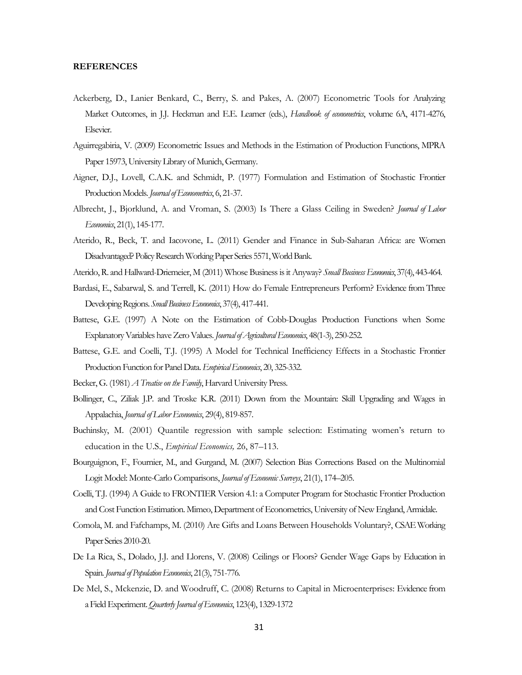#### **REFERENCES**

- Ackerberg, D., Lanier Benkard, C., Berry, S. and Pakes, A. (2007) Econometric Tools for Analyzing Market Outcomes, in J.J. Heckman and E.E. Leamer (eds.), *Handbook of econometrics*, volume 6A, 4171-4276, Elsevier.
- Aguirregabiria, V. (2009) Econometric Issues and Methods in the Estimation of Production Functions, MPRA Paper 15973, University Library of Munich, Germany.
- Aigner, D.J., Lovell, C.A.K. and Schmidt, P. (1977) Formulation and Estimation of Stochastic Frontier Production Models. *Journal of Econometrics*, 6, 21-37.
- Albrecht, J., Bjorklund, A. and Vroman, S. (2003) Is There a Glass Ceiling in Sweden? *Journal of Labor Economics*, 21(1), 145-177.
- Aterido, R., Beck, T. and Iacovone, L. (2011) Gender and Finance in Sub-Saharan Africa: are Women Disadvantaged? Policy Research Working Paper Series 5571, World Bank.
- Aterido, R. and Hallward-Driemeier, M (2011) Whose Business is it Anyway? *Small Business Economics*, 37(4), 443-464.
- Bardasi, E., Sabarwal, S. and Terrell, K. (2011) How do Female Entrepreneurs Perform? Evidence from Three Developing Regions. *Small Business Economics*, 37(4), 417-441.
- Battese, G.E. (1997) A Note on the Estimation of Cobb-Douglas Production Functions when Some Explanatory Variables have Zero Values. *Journal of Agricultural Economics*, 48(1-3), 250-252.
- Battese, G.E. and Coelli, T.J. (1995) A Model for Technical Inefficiency Effects in a Stochastic Frontier Production Function for Panel Data. *Empirical Economics*, 20, 325-332.
- Becker, G. (1981) *A Treatise on the Family*, Harvard University Press.
- Bollinger, C., Ziliak J.P. and Troske K.R. (2011) Down from the Mountain: Skill Upgrading and Wages in Appalachia, *Journal of Labor Economics*, 29(4), 819-857.
- Buchinsky, M. (2001) Quantile regression with sample selection: Estimating women's return to education in the U.S., *Empirical Economics,* 26, 87–113.
- Bourguignon, F., Fournier, M., and Gurgand, M. (2007) Selection Bias Corrections Based on the Multinomial Logit Model: Monte-Carlo Comparisons, *Journal of Economic Surveys*, 21(1), 174–205.
- Coelli, T.J. (1994) A Guide to FRONTIER Version 4.1: a Computer Program for Stochastic Frontier Production and Cost Function Estimation. Mimeo, Department of Econometrics, University of New England, Armidale.
- Comola, M. and Fafchamps, M. (2010) Are Gifts and Loans Between Households Voluntary?, CSAE Working Paper Series 2010-20.
- De La Rica, S., Dolado, J.J. and Llorens, V. (2008) Ceilings or Floors? Gender Wage Gaps by Education in Spain. *Journal of Population Economics*, 21(3), 751-776.
- De Mel, S., Mckenzie, D. and Woodruff, C. (2008) Returns to Capital in Microenterprises: Evidence from a Field Experiment. *Quarterly Journal of Economics*, 123(4), 1329-1372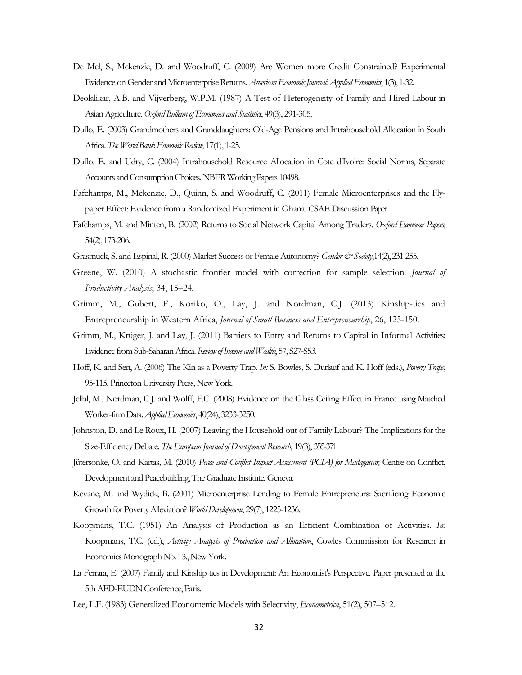- De Mel, S., Mckenzie, D. and Woodruff, C. (2009) Are Women more Credit Constrained? Experimental Evidence on Gender and Microenterprise Returns. *American Economic Journal: Applied Economics*, 1(3), 1-32.
- Deolalikar, A.B. and Vijverberg, W.P.M. (1987) A Test of Heterogeneity of Family and Hired Labour in Asian Agriculture. *Oxford Bulletin of Economics and Statistics*, 49(3), 291-305.
- Duflo, E. (2003) Grandmothers and Granddaughters: Old-Age Pensions and Intrahousehold Allocation in South Africa. *The World Bank Economic Review*, 17(1), 1-25.
- Duflo, E. and Udry, C. (2004) Intrahousehold Resource Allocation in Cote d'Ivoire: Social Norms, Separate Accounts and Consumption Choices. NBER Working Papers 10498.
- Fafchamps, M., Mckenzie, D., Quinn, S. and Woodruff, C. (2011) Female Microenterprises and the Flypaper Effect: Evidence from a Randomized Experiment in Ghana. CSAE Discussion Paper.
- Fafchamps, M. and Minten, B. (2002) Returns to Social Network Capital Among Traders. *Oxford Economic Papers*, 54(2), 173-206.
- Grasmuck, S. and Espinal, R. (2000) Market Success or Female Autonomy? *Gender & Society*,14(2), 231-255.
- Greene, W. (2010) A stochastic frontier model with correction for sample selection*. Journal of Productivity Analysis*, 34, 15–24.
- Grimm, M., Gubert, F., Koriko, O., Lay, J. and Nordman, C.J. (2013) Kinship-ties and Entrepreneurship in Western Africa, *Journal of Small Business and Entrepreneurship*, 26, 125-150.
- Grimm, M., Krüger, J. and Lay, J. (2011) Barriers to Entry and Returns to Capital in Informal Activities: Evidence from Sub-Saharan Africa. *Review of Income and Wealth*, 57, S27-S53.
- Hoff, K. and Sen, A. (2006) The Kin as a Poverty Trap. *In:* S. Bowles, S. Durlauf and K. Hoff (eds.), *Poverty Traps*, 95-115, Princeton University Press, New York.
- Jellal, M., Nordman, C.J. and Wolff, F.C. (2008) Evidence on the Glass Ceiling Effect in France using Matched Worker-firm Data. *Applied Economics*, 40(24), 3233-3250.
- Johnston, D. and Le Roux, H. (2007) Leaving the Household out of Family Labour? The Implications for the Size-Efficiency Debate. *The European Journal of Development Research*, 19(3), 355-371.
- Jütersonke, O. and Kartas, M. (2010) *Peace and Conflict Impact Assessment (PCIA) for Madagascar,* Centre on Conflict, Development and Peacebuilding, The Graduate Institute, Geneva.
- Kevane, M. and Wydick, B. (2001) Microenterprise Lending to Female Entrepreneurs: Sacrificing Economic Growth for Poverty Alleviation?*World Development*, 29(7), 1225-1236.
- Koopmans, T.C. (1951) An Analysis of Production as an Efficient Combination of Activities. *In:* Koopmans, T.C. (ed.), *Activity Analysis of Production and Allocation*, Cowles Commission for Research in Economics Monograph No. 13., New York.
- La Ferrara, E. (2007) Family and Kinship ties in Development: An Economist's Perspective. Paper presented at the 5th AFD-EUDN Conference, Paris.
- Lee, L.F. (1983) Generalized Econometric Models with Selectivity, *Econometrica*, 51(2), 507–512.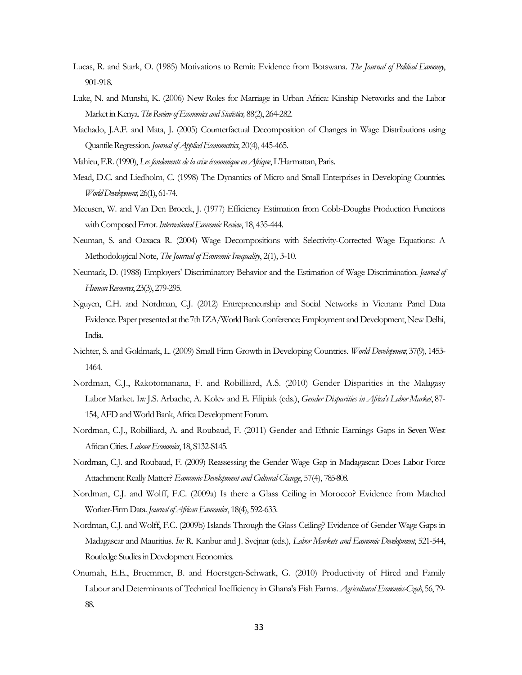- Lucas, R. and Stark, O. (1985) Motivations to Remit: Evidence from Botswana. *The Journal of Political Economy*, 901-918.
- Luke, N. and Munshi, K. (2006) New Roles for Marriage in Urban Africa: Kinship Networks and the Labor Market in Kenya. *The Review of Economics and Statistics,* 88(2), 264-282.
- Machado, J.A.F. and Mata, J. (2005) Counterfactual Decomposition of Changes in Wage Distributions using Quantile Regression. *Journal of Applied Econometrics*, 20(4), 445-465.
- Mahieu, F.R. (1990), *Les fondements de la crise économique en Afrique*, L'Harmattan, Paris.
- Mead, D.C. and Liedholm, C. (1998) The Dynamics of Micro and Small Enterprises in Developing Countries. *World Development,*26(1), 61-74.
- Meeusen, W. and Van Den Broeck, J. (1977) Efficiency Estimation from Cobb-Douglas Production Functions with Composed Error. *International Economic Review*, 18, 435-444.
- Neuman, S. and Oaxaca R. (2004) Wage Decompositions with Selectivity-Corrected Wage Equations: A Methodological Note, *The Journal of Economic Inequality*, 2(1), 3-10.
- Neumark, D. (1988) Employers' Discriminatory Behavior and the Estimation of Wage Discrimination. *Journal of Human Resources*, 23(3), 279-295.
- Nguyen, C.H. and Nordman, C.J. (2012) Entrepreneurship and Social Networks in Vietnam: Panel Data Evidence. Paper presented at the 7th IZA/World Bank Conference: Employment and Development, New Delhi, India.
- Nichter, S. and Goldmark, L. (2009) Small Firm Growth in Developing Countries. *World Development*, 37(9), 1453- 1464.
- Nordman, C.J., Rakotomanana, F. and Robilliard, A.S. (2010) Gender Disparities in the Malagasy Labor Market. I*n:* J.S. Arbache, A. Kolev and E. Filipiak (eds.), *Gender Disparities in Africa's Labor Market*, 87- 154, AFD and World Bank, Africa Development Forum.
- Nordman, C.J., Robilliard, A. and Roubaud, F. (2011) Gender and Ethnic Earnings Gaps in Seven West African Cities. *Labour Economics*, 18, S132-S145.
- Nordman, C.J. and Roubaud, F. (2009) Reassessing the Gender Wage Gap in Madagascar: Does Labor Force Attachment Really Matter? *Economic Development and Cultural Change*, 57(4), 785-808.
- Nordman, C.J. and Wolff, F.C. (2009a) Is there a Glass Ceiling in Morocco? Evidence from Matched Worker-Firm Data. *Journal of African Economies*, 18(4), 592-633.
- Nordman, C.J. and Wolff, F.C. (2009b) Islands Through the Glass Ceiling? Evidence of Gender Wage Gaps in Madagascar and Mauritius. *In:* R. Kanbur and J. Svejnar (eds.), *Labor Markets and Economic Development*, 521-544, Routledge Studies in Development Economics.
- Onumah, E.E., Bruemmer, B. and Hoerstgen-Schwark, G. (2010) Productivity of Hired and Family Labour and Determinants of Technical Inefficiency in Ghana's Fish Farms. *Agricultural Economics-Czech*, 56, 79- 88.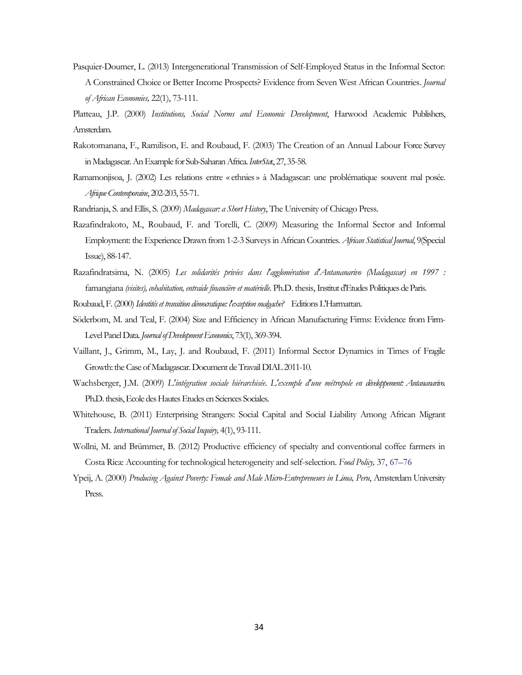- Pasquier-Doumer, L. (2013) Intergenerational Transmission of Self-Employed Status in the Informal Sector: A Constrained Choice or Better Income Prospects? Evidence from Seven West African Countries. *Journal of African Economies,* 22(1), 73-111.
- Platteau, J.P. (2000) *Institutions, Social Norms and Economic Development*, Harwood Academic Publishers, Amsterdam.
- Rakotomanana, F., Ramilison, E. and Roubaud, F. (2003) The Creation of an Annual Labour Force Survey in Madagascar. An Example for Sub-Saharan Africa. *InterSta*t, 27, 35-58.
- Ramamonjisoa, J. (2002) Les relations entre « ethnies» à Madagascar: une problématique souvent mal posée. *Afrique Contemporaine*, 202-203, 55-71.
- Randrianja, S. and Ellis, S. (2009) *Madagascar: a Short History*, The University of Chicago Press.
- Razafindrakoto, M., Roubaud, F. and Torelli, C. (2009) Measuring the Informal Sector and Informal Employment: the Experience Drawn from 1-2-3 Surveys in African Countries. *African Statistical Journal*, 9(Special Issue), 88-147.
- Razafindratsima, N. (2005) *Les solidarités privées dans l'agglomération d'Antananarivo (Madagascar) en 1997 :*  famangiana *(visites), cohabitation, entraide financière et matérielle.* Ph.D. thesis, Institut d'Etudes Politiques de Paris.
- Roubaud, F. (2000) *Identités et transition démocratique: l'exception malgache?* Editions L'Harmattan.
- Söderbom, M. and Teal, F. (2004) Size and Efficiency in African Manufacturing Firms: Evidence from Firm-Level Panel Data. *Journal of Development Economics*, 73(1), 369-394.
- Vaillant, J., Grimm, M., Lay, J. and Roubaud, F. (2011) Informal Sector Dynamics in Times of Fragile Growth: the Case of Madagascar. Document de Travail DIAL 2011-10.
- Wachsberger, J.M. (2009) *L'intégration sociale hiérarchisée. L'exemple d'une métropole en développement: Antananarivo.* Ph.D. thesis, Ecole des Hautes Etudes en Sciences Sociales.
- Whitehouse, B. (2011) Enterprising Strangers: Social Capital and Social Liability Among African Migrant Traders. *International Journal of Social Inquiry,* 4(1), 93-111.
- Wollni, M. and Brümmer, B. (2012) Productive efficiency of specialty and conventional coffee farmers in Costa Rica: Accounting for technological heterogeneity and self-selection. *Food Policy,* 37, 67–76
- Ypeij, A. (2000) *Producing Against Poverty: Female and Male Micro-Entrepreneurs in Lima, Peru*, Amsterdam University Press.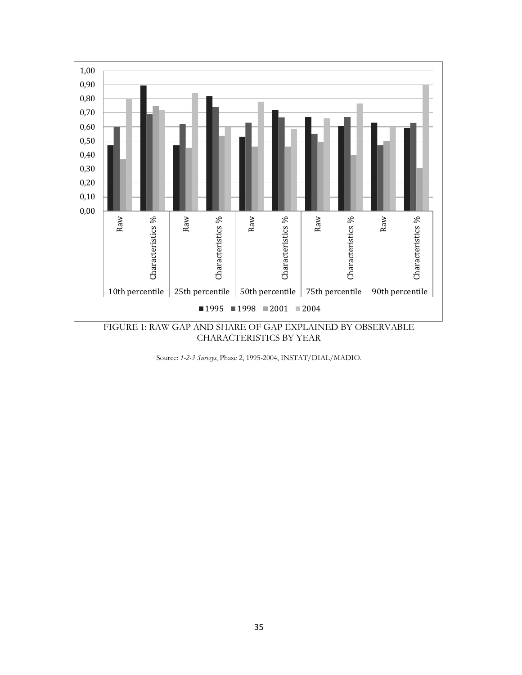

CHARACTERISTICS BY YEAR

Source: *1-2-3 Surveys*, Phase 2, 1995-2004, INSTAT/DIAL/MADIO.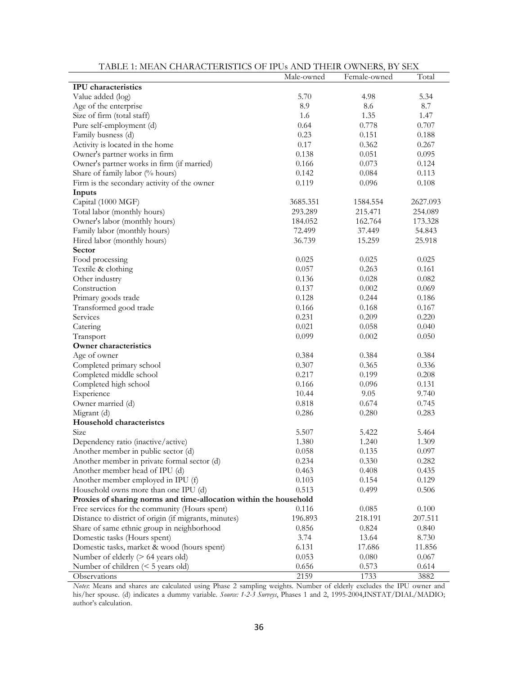| THDEE I. METHY CHANGELIND HOU OF IT US AT YES THEIN O WINEARS, BY OERY | Male-owned     | Female-owned   | Total          |
|------------------------------------------------------------------------|----------------|----------------|----------------|
| <b>IPU</b> characteristics                                             |                |                |                |
| Value added (log)                                                      | 5.70           | 4.98           | 5.34           |
| Age of the enterprise                                                  | 8.9            | 8.6            | 8.7            |
| Size of firm (total staff)                                             | 1.6            | 1.35           | 1.47           |
| Pure self-employment (d)                                               | 0.64           | 0.778          | 0.707          |
| Family busness (d)                                                     | 0.23           | 0.151          | 0.188          |
| Activity is located in the home                                        | 0.17           | 0.362          | 0.267          |
| Owner's partner works in firm                                          | 0.138          | 0.051          | 0.095          |
| Owner's partner works in firm (if married)                             | $0.166\,$      | 0.073          | 0.124          |
| Share of family labor (% hours)                                        | 0.142          | 0.084          | 0.113          |
| Firm is the secondary activity of the owner                            | 0.119          | 0.096          | 0.108          |
| Inputs                                                                 |                |                |                |
| Capital (1000 MGF)                                                     | 3685.351       | 1584.554       | 2627.093       |
| Total labor (monthly hours)                                            | 293.289        | 215.471        | 254.089        |
| Owner's labor (monthly hours)                                          | 184.052        | 162.764        | 173.328        |
| Family labor (monthly hours)                                           | 72.499         | 37.449         | 54.843         |
| Hired labor (monthly hours)                                            | 36.739         | 15.259         | 25.918         |
| Sector                                                                 |                |                |                |
| Food processing                                                        | 0.025          | 0.025          | 0.025          |
| Textile & clothing                                                     | 0.057          | 0.263          | 0.161          |
| Other industry                                                         | 0.136          | 0.028          | 0.082          |
| Construction                                                           |                |                |                |
|                                                                        | 0.137          | 0.002          | 0.069          |
| Primary goods trade                                                    | 0.128<br>0.166 | 0.244          | 0.186          |
| Transformed good trade                                                 | 0.231          | 0.168          | 0.167<br>0.220 |
| Services                                                               | 0.021          | 0.209          | 0.040          |
| Catering                                                               |                | 0.058          |                |
| Transport<br>Owner characteristics                                     | 0.099          | 0.002          | 0.050          |
|                                                                        | 0.384          |                | 0.384          |
| Age of owner                                                           | 0.307          | 0.384          | 0.336          |
| Completed primary school                                               | 0.217          | 0.365          | 0.208          |
| Completed middle school                                                |                | 0.199          |                |
| Completed high school                                                  | 0.166          | 0.096          | 0.131          |
| Experience                                                             | 10.44          | 9.05           | 9.740          |
| Owner married (d)                                                      | 0.818          | 0.674          | 0.745          |
| Migrant (d)<br>Household characteristcs                                | 0.286          | 0.280          | 0.283          |
| Size                                                                   | 5.507          |                |                |
| Dependency ratio (inactive/active)                                     | 1.380          | 5.422          | 5.464<br>1.309 |
| Another member in public sector (d)                                    | 0.058          | 1.240<br>0.135 | 0.097          |
| Another member in private formal sector (d)                            | 0.234          |                |                |
|                                                                        |                | 0.330          | 0.282          |
| Another member head of IPU (d)                                         | 0.463          | 0.408          | 0.435          |
| Another member employed in IPU (f)                                     | 0.103          | 0.154          | 0.129          |
| Household owns more than one IPU (d)                                   | 0.513          | 0.499          | 0.506          |
| Proxies of sharing norms and time-allocation within the household      |                |                |                |
| Free services for the community (Hours spent)                          | 0.116          | 0.085          | 0.100          |
| Distance to district of origin (if migrants, minutes)                  | 196.893        | 218.191        | 207.511        |
| Share of same ethnic group in neighborhood                             | 0.856          | 0.824          | 0.840          |
| Domestic tasks (Hours spent)                                           | 3.74           | 13.64          | 8.730          |
| Domestic tasks, market & wood (hours spent)                            | 6.131          | 17.686         | 11.856         |
| Number of elderly $($ > 64 years old)                                  | 0.053          | 0.080          | 0.067          |
| Number of children $(< 5$ years old)                                   | 0.656          | 0.573          | 0.614          |
| Observations                                                           | 2159           | 1733           | 3882           |

TABLE 1: MEAN CHARACTERISTICS OF IPUs AND THEIR OWNERS, BY SEX

*Notes*: Means and shares are calculated using Phase 2 sampling weights. Number of elderly excludes the IPU owner and his/her spouse. (d) indicates a dummy variable. *Source: 1-2-3 Surveys*, Phases 1 and 2, 1995-2004,INSTAT/DIAL/MADIO; author's calculation.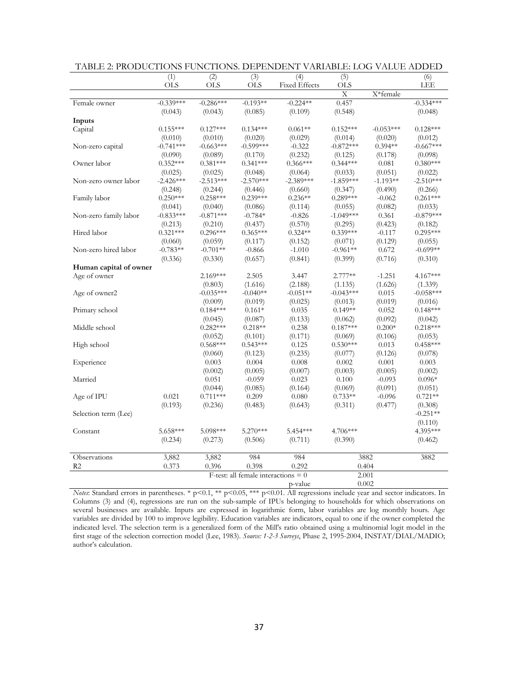| <b>OLS</b><br><b>OLS</b><br><b>OLS</b><br><b>Fixed Effects</b><br>LEE<br>X<br>X*female<br>$-0.339***$<br>$-0.286***$<br>$-0.193**$<br>$-0.224**$<br>0.457<br>$-0.334***$<br>Female owner<br>(0.043)<br>(0.043)<br>(0.085)<br>(0.109)<br>(0.548)<br>(0.048)<br>Inputs<br>Capital<br>$0.155***$<br>$0.127***$<br>$0.134***$<br>$0.061**$<br>$0.152***$<br>$-0.053***$<br>$0.128***$<br>(0.012)<br>(0.010)<br>(0.010)<br>(0.020)<br>(0.029)<br>(0.014)<br>(0.020)<br>$-0.741***$<br>$-0.663***$<br>$-0.599***$<br>$-0.322$<br>$-0.872***$<br>$0.394**$<br>$-0.667***$<br>Non-zero capital<br>(0.090)<br>(0.089)<br>(0.232)<br>(0.125)<br>(0.098)<br>(0.170)<br>(0.178)<br>Owner labor<br>$0.352***$<br>$0.381***$<br>$0.341***$<br>$0.366***$<br>$0.344***$<br>$0.380***$<br>0.081<br>(0.025)<br>(0.025)<br>(0.048)<br>(0.064)<br>(0.051)<br>(0.022)<br>(0.033)<br>$-2.426***$<br>$-2.513***$<br>$-2.570***$<br>$-2.389***$<br>$-1.859***$<br>$-1.193**$<br>$-2.510***$<br>Non-zero owner labor<br>(0.248)<br>(0.244)<br>(0.660)<br>(0.347)<br>(0.490)<br>(0.266)<br>(0.446)<br>$0.250***$<br>$0.258***$<br>$0.239***$<br>$0.236**$<br>$0.289***$<br>$0.261***$<br>Family labor<br>$-0.062$<br>(0.041)<br>(0.040)<br>(0.086)<br>(0.114)<br>(0.055)<br>(0.082)<br>(0.033)<br>$-0.879***$<br>$-0.833***$<br>$-0.871***$<br>$-0.784*$<br>$-0.826$<br>$-1.049***$<br>0.361<br>Non-zero family labor<br>(0.570)<br>(0.213)<br>(0.210)<br>(0.437)<br>(0.295)<br>(0.423)<br>(0.182)<br>Hired labor<br>$0.321***$<br>$0.365***$<br>$0.324**$<br>$0.339***$<br>$0.295***$<br>$0.296***$<br>$-0.117$<br>(0.117)<br>(0.129)<br>(0.060)<br>(0.059)<br>(0.152)<br>(0.071)<br>(0.055)<br>$-0.783**$<br>$-0.701**$<br>$-0.866$<br>$-1.010$<br>$-0.961**$<br>0.672<br>$-0.699**$<br>Non-zero hired labor<br>(0.336)<br>(0.330)<br>(0.657)<br>(0.841)<br>(0.399)<br>(0.716)<br>(0.310)<br>Human capital of owner<br>Age of owner<br>$2.169***$<br>2.505<br>3.447<br>2.777**<br>$-1.251$<br>4.167***<br>(1.616)<br>(2.188)<br>(1.626)<br>(0.803)<br>(1.135)<br>(1.339)<br>$-0.035***$<br>$-0.040**$<br>$-0.051**$<br>$-0.043***$<br>0.015<br>$-0.058***$<br>Age of owner2<br>(0.019)<br>(0.009)<br>(0.019)<br>(0.025)<br>(0.013)<br>(0.016)<br>$0.148***$<br>Primary school<br>$0.184***$<br>$0.161*$<br>0.035<br>$0.149**$<br>0.052<br>(0.087)<br>(0.133)<br>(0.092)<br>(0.045)<br>(0.062)<br>(0.042)<br>$0.282***$<br>$0.218**$<br>$0.187***$<br>$0.200*$<br>$0.218***$<br>Middle school<br>0.238<br>(0.171)<br>(0.052)<br>(0.101)<br>(0.069)<br>(0.106)<br>(0.053)<br>$0.568***$<br>$0.530***$<br>$0.543***$<br>0.125<br>0.013<br>$0.458***$<br>High school<br>(0.060)<br>(0.123)<br>(0.235)<br>(0.077)<br>(0.126)<br>(0.078)<br>Experience<br>0.008<br>0.003<br>0.003<br>0.004<br>0.002<br>0.001<br>(0.002)<br>(0.005)<br>(0.007)<br>(0.003)<br>(0.005)<br>(0.002)<br>$0.096*$<br>Married<br>0.051<br>$-0.059$<br>0.023<br>0.100<br>$-0.093$<br>(0.085)<br>(0.069)<br>(0.091)<br>(0.044)<br>(0.164)<br>(0.051)<br>0.021<br>$0.711***$<br>0.209<br>0.080<br>$0.733**$<br>$-0.096$<br>$0.721**$<br>Age of IPU<br>(0.193)<br>(0.236)<br>(0.483)<br>(0.643)<br>(0.311)<br>(0.477)<br>(0.308)<br>$-0.251**$<br>Selection term (Lee)<br>(0.110)<br>5.098***<br>$5.270***$<br>4.706***<br>4.395***<br>5.658***<br>5.454***<br>Constant<br>(0.234)<br>(0.273)<br>(0.506)<br>(0.711)<br>(0.390)<br>(0.462)<br>3,882<br>984<br>984<br>3882<br>3882<br>Observations<br>3,882<br>0.292<br>R <sub>2</sub><br>0.373<br>0.398<br>0.404<br>0.396<br>F-test: all female interactions $= 0$<br>2.001<br>0.002 | (1) | (2) | (3) | (4)     | (5)        | (6) |
|----------------------------------------------------------------------------------------------------------------------------------------------------------------------------------------------------------------------------------------------------------------------------------------------------------------------------------------------------------------------------------------------------------------------------------------------------------------------------------------------------------------------------------------------------------------------------------------------------------------------------------------------------------------------------------------------------------------------------------------------------------------------------------------------------------------------------------------------------------------------------------------------------------------------------------------------------------------------------------------------------------------------------------------------------------------------------------------------------------------------------------------------------------------------------------------------------------------------------------------------------------------------------------------------------------------------------------------------------------------------------------------------------------------------------------------------------------------------------------------------------------------------------------------------------------------------------------------------------------------------------------------------------------------------------------------------------------------------------------------------------------------------------------------------------------------------------------------------------------------------------------------------------------------------------------------------------------------------------------------------------------------------------------------------------------------------------------------------------------------------------------------------------------------------------------------------------------------------------------------------------------------------------------------------------------------------------------------------------------------------------------------------------------------------------------------------------------------------------------------------------------------------------------------------------------------------------------------------------------------------------------------------------------------------------------------------------------------------------------------------------------------------------------------------------------------------------------------------------------------------------------------------------------------------------------------------------------------------------------------------------------------------------------------------------------------------------------------------------------------------------------------------------------------------------------------------------------------------------------------------------------------------------------------------------------------------------------------------------------------------------------------------------------------------------------------------------------------------------------------------------------------------------------------------------------------------------|-----|-----|-----|---------|------------|-----|
|                                                                                                                                                                                                                                                                                                                                                                                                                                                                                                                                                                                                                                                                                                                                                                                                                                                                                                                                                                                                                                                                                                                                                                                                                                                                                                                                                                                                                                                                                                                                                                                                                                                                                                                                                                                                                                                                                                                                                                                                                                                                                                                                                                                                                                                                                                                                                                                                                                                                                                                                                                                                                                                                                                                                                                                                                                                                                                                                                                                                                                                                                                                                                                                                                                                                                                                                                                                                                                                                                                                                                                            |     |     |     |         | <b>OLS</b> |     |
|                                                                                                                                                                                                                                                                                                                                                                                                                                                                                                                                                                                                                                                                                                                                                                                                                                                                                                                                                                                                                                                                                                                                                                                                                                                                                                                                                                                                                                                                                                                                                                                                                                                                                                                                                                                                                                                                                                                                                                                                                                                                                                                                                                                                                                                                                                                                                                                                                                                                                                                                                                                                                                                                                                                                                                                                                                                                                                                                                                                                                                                                                                                                                                                                                                                                                                                                                                                                                                                                                                                                                                            |     |     |     |         |            |     |
|                                                                                                                                                                                                                                                                                                                                                                                                                                                                                                                                                                                                                                                                                                                                                                                                                                                                                                                                                                                                                                                                                                                                                                                                                                                                                                                                                                                                                                                                                                                                                                                                                                                                                                                                                                                                                                                                                                                                                                                                                                                                                                                                                                                                                                                                                                                                                                                                                                                                                                                                                                                                                                                                                                                                                                                                                                                                                                                                                                                                                                                                                                                                                                                                                                                                                                                                                                                                                                                                                                                                                                            |     |     |     |         |            |     |
|                                                                                                                                                                                                                                                                                                                                                                                                                                                                                                                                                                                                                                                                                                                                                                                                                                                                                                                                                                                                                                                                                                                                                                                                                                                                                                                                                                                                                                                                                                                                                                                                                                                                                                                                                                                                                                                                                                                                                                                                                                                                                                                                                                                                                                                                                                                                                                                                                                                                                                                                                                                                                                                                                                                                                                                                                                                                                                                                                                                                                                                                                                                                                                                                                                                                                                                                                                                                                                                                                                                                                                            |     |     |     |         |            |     |
|                                                                                                                                                                                                                                                                                                                                                                                                                                                                                                                                                                                                                                                                                                                                                                                                                                                                                                                                                                                                                                                                                                                                                                                                                                                                                                                                                                                                                                                                                                                                                                                                                                                                                                                                                                                                                                                                                                                                                                                                                                                                                                                                                                                                                                                                                                                                                                                                                                                                                                                                                                                                                                                                                                                                                                                                                                                                                                                                                                                                                                                                                                                                                                                                                                                                                                                                                                                                                                                                                                                                                                            |     |     |     |         |            |     |
|                                                                                                                                                                                                                                                                                                                                                                                                                                                                                                                                                                                                                                                                                                                                                                                                                                                                                                                                                                                                                                                                                                                                                                                                                                                                                                                                                                                                                                                                                                                                                                                                                                                                                                                                                                                                                                                                                                                                                                                                                                                                                                                                                                                                                                                                                                                                                                                                                                                                                                                                                                                                                                                                                                                                                                                                                                                                                                                                                                                                                                                                                                                                                                                                                                                                                                                                                                                                                                                                                                                                                                            |     |     |     |         |            |     |
|                                                                                                                                                                                                                                                                                                                                                                                                                                                                                                                                                                                                                                                                                                                                                                                                                                                                                                                                                                                                                                                                                                                                                                                                                                                                                                                                                                                                                                                                                                                                                                                                                                                                                                                                                                                                                                                                                                                                                                                                                                                                                                                                                                                                                                                                                                                                                                                                                                                                                                                                                                                                                                                                                                                                                                                                                                                                                                                                                                                                                                                                                                                                                                                                                                                                                                                                                                                                                                                                                                                                                                            |     |     |     |         |            |     |
|                                                                                                                                                                                                                                                                                                                                                                                                                                                                                                                                                                                                                                                                                                                                                                                                                                                                                                                                                                                                                                                                                                                                                                                                                                                                                                                                                                                                                                                                                                                                                                                                                                                                                                                                                                                                                                                                                                                                                                                                                                                                                                                                                                                                                                                                                                                                                                                                                                                                                                                                                                                                                                                                                                                                                                                                                                                                                                                                                                                                                                                                                                                                                                                                                                                                                                                                                                                                                                                                                                                                                                            |     |     |     |         |            |     |
|                                                                                                                                                                                                                                                                                                                                                                                                                                                                                                                                                                                                                                                                                                                                                                                                                                                                                                                                                                                                                                                                                                                                                                                                                                                                                                                                                                                                                                                                                                                                                                                                                                                                                                                                                                                                                                                                                                                                                                                                                                                                                                                                                                                                                                                                                                                                                                                                                                                                                                                                                                                                                                                                                                                                                                                                                                                                                                                                                                                                                                                                                                                                                                                                                                                                                                                                                                                                                                                                                                                                                                            |     |     |     |         |            |     |
|                                                                                                                                                                                                                                                                                                                                                                                                                                                                                                                                                                                                                                                                                                                                                                                                                                                                                                                                                                                                                                                                                                                                                                                                                                                                                                                                                                                                                                                                                                                                                                                                                                                                                                                                                                                                                                                                                                                                                                                                                                                                                                                                                                                                                                                                                                                                                                                                                                                                                                                                                                                                                                                                                                                                                                                                                                                                                                                                                                                                                                                                                                                                                                                                                                                                                                                                                                                                                                                                                                                                                                            |     |     |     |         |            |     |
|                                                                                                                                                                                                                                                                                                                                                                                                                                                                                                                                                                                                                                                                                                                                                                                                                                                                                                                                                                                                                                                                                                                                                                                                                                                                                                                                                                                                                                                                                                                                                                                                                                                                                                                                                                                                                                                                                                                                                                                                                                                                                                                                                                                                                                                                                                                                                                                                                                                                                                                                                                                                                                                                                                                                                                                                                                                                                                                                                                                                                                                                                                                                                                                                                                                                                                                                                                                                                                                                                                                                                                            |     |     |     |         |            |     |
|                                                                                                                                                                                                                                                                                                                                                                                                                                                                                                                                                                                                                                                                                                                                                                                                                                                                                                                                                                                                                                                                                                                                                                                                                                                                                                                                                                                                                                                                                                                                                                                                                                                                                                                                                                                                                                                                                                                                                                                                                                                                                                                                                                                                                                                                                                                                                                                                                                                                                                                                                                                                                                                                                                                                                                                                                                                                                                                                                                                                                                                                                                                                                                                                                                                                                                                                                                                                                                                                                                                                                                            |     |     |     |         |            |     |
|                                                                                                                                                                                                                                                                                                                                                                                                                                                                                                                                                                                                                                                                                                                                                                                                                                                                                                                                                                                                                                                                                                                                                                                                                                                                                                                                                                                                                                                                                                                                                                                                                                                                                                                                                                                                                                                                                                                                                                                                                                                                                                                                                                                                                                                                                                                                                                                                                                                                                                                                                                                                                                                                                                                                                                                                                                                                                                                                                                                                                                                                                                                                                                                                                                                                                                                                                                                                                                                                                                                                                                            |     |     |     |         |            |     |
|                                                                                                                                                                                                                                                                                                                                                                                                                                                                                                                                                                                                                                                                                                                                                                                                                                                                                                                                                                                                                                                                                                                                                                                                                                                                                                                                                                                                                                                                                                                                                                                                                                                                                                                                                                                                                                                                                                                                                                                                                                                                                                                                                                                                                                                                                                                                                                                                                                                                                                                                                                                                                                                                                                                                                                                                                                                                                                                                                                                                                                                                                                                                                                                                                                                                                                                                                                                                                                                                                                                                                                            |     |     |     |         |            |     |
|                                                                                                                                                                                                                                                                                                                                                                                                                                                                                                                                                                                                                                                                                                                                                                                                                                                                                                                                                                                                                                                                                                                                                                                                                                                                                                                                                                                                                                                                                                                                                                                                                                                                                                                                                                                                                                                                                                                                                                                                                                                                                                                                                                                                                                                                                                                                                                                                                                                                                                                                                                                                                                                                                                                                                                                                                                                                                                                                                                                                                                                                                                                                                                                                                                                                                                                                                                                                                                                                                                                                                                            |     |     |     |         |            |     |
|                                                                                                                                                                                                                                                                                                                                                                                                                                                                                                                                                                                                                                                                                                                                                                                                                                                                                                                                                                                                                                                                                                                                                                                                                                                                                                                                                                                                                                                                                                                                                                                                                                                                                                                                                                                                                                                                                                                                                                                                                                                                                                                                                                                                                                                                                                                                                                                                                                                                                                                                                                                                                                                                                                                                                                                                                                                                                                                                                                                                                                                                                                                                                                                                                                                                                                                                                                                                                                                                                                                                                                            |     |     |     |         |            |     |
|                                                                                                                                                                                                                                                                                                                                                                                                                                                                                                                                                                                                                                                                                                                                                                                                                                                                                                                                                                                                                                                                                                                                                                                                                                                                                                                                                                                                                                                                                                                                                                                                                                                                                                                                                                                                                                                                                                                                                                                                                                                                                                                                                                                                                                                                                                                                                                                                                                                                                                                                                                                                                                                                                                                                                                                                                                                                                                                                                                                                                                                                                                                                                                                                                                                                                                                                                                                                                                                                                                                                                                            |     |     |     |         |            |     |
|                                                                                                                                                                                                                                                                                                                                                                                                                                                                                                                                                                                                                                                                                                                                                                                                                                                                                                                                                                                                                                                                                                                                                                                                                                                                                                                                                                                                                                                                                                                                                                                                                                                                                                                                                                                                                                                                                                                                                                                                                                                                                                                                                                                                                                                                                                                                                                                                                                                                                                                                                                                                                                                                                                                                                                                                                                                                                                                                                                                                                                                                                                                                                                                                                                                                                                                                                                                                                                                                                                                                                                            |     |     |     |         |            |     |
|                                                                                                                                                                                                                                                                                                                                                                                                                                                                                                                                                                                                                                                                                                                                                                                                                                                                                                                                                                                                                                                                                                                                                                                                                                                                                                                                                                                                                                                                                                                                                                                                                                                                                                                                                                                                                                                                                                                                                                                                                                                                                                                                                                                                                                                                                                                                                                                                                                                                                                                                                                                                                                                                                                                                                                                                                                                                                                                                                                                                                                                                                                                                                                                                                                                                                                                                                                                                                                                                                                                                                                            |     |     |     |         |            |     |
|                                                                                                                                                                                                                                                                                                                                                                                                                                                                                                                                                                                                                                                                                                                                                                                                                                                                                                                                                                                                                                                                                                                                                                                                                                                                                                                                                                                                                                                                                                                                                                                                                                                                                                                                                                                                                                                                                                                                                                                                                                                                                                                                                                                                                                                                                                                                                                                                                                                                                                                                                                                                                                                                                                                                                                                                                                                                                                                                                                                                                                                                                                                                                                                                                                                                                                                                                                                                                                                                                                                                                                            |     |     |     |         |            |     |
|                                                                                                                                                                                                                                                                                                                                                                                                                                                                                                                                                                                                                                                                                                                                                                                                                                                                                                                                                                                                                                                                                                                                                                                                                                                                                                                                                                                                                                                                                                                                                                                                                                                                                                                                                                                                                                                                                                                                                                                                                                                                                                                                                                                                                                                                                                                                                                                                                                                                                                                                                                                                                                                                                                                                                                                                                                                                                                                                                                                                                                                                                                                                                                                                                                                                                                                                                                                                                                                                                                                                                                            |     |     |     |         |            |     |
|                                                                                                                                                                                                                                                                                                                                                                                                                                                                                                                                                                                                                                                                                                                                                                                                                                                                                                                                                                                                                                                                                                                                                                                                                                                                                                                                                                                                                                                                                                                                                                                                                                                                                                                                                                                                                                                                                                                                                                                                                                                                                                                                                                                                                                                                                                                                                                                                                                                                                                                                                                                                                                                                                                                                                                                                                                                                                                                                                                                                                                                                                                                                                                                                                                                                                                                                                                                                                                                                                                                                                                            |     |     |     |         |            |     |
|                                                                                                                                                                                                                                                                                                                                                                                                                                                                                                                                                                                                                                                                                                                                                                                                                                                                                                                                                                                                                                                                                                                                                                                                                                                                                                                                                                                                                                                                                                                                                                                                                                                                                                                                                                                                                                                                                                                                                                                                                                                                                                                                                                                                                                                                                                                                                                                                                                                                                                                                                                                                                                                                                                                                                                                                                                                                                                                                                                                                                                                                                                                                                                                                                                                                                                                                                                                                                                                                                                                                                                            |     |     |     |         |            |     |
|                                                                                                                                                                                                                                                                                                                                                                                                                                                                                                                                                                                                                                                                                                                                                                                                                                                                                                                                                                                                                                                                                                                                                                                                                                                                                                                                                                                                                                                                                                                                                                                                                                                                                                                                                                                                                                                                                                                                                                                                                                                                                                                                                                                                                                                                                                                                                                                                                                                                                                                                                                                                                                                                                                                                                                                                                                                                                                                                                                                                                                                                                                                                                                                                                                                                                                                                                                                                                                                                                                                                                                            |     |     |     |         |            |     |
|                                                                                                                                                                                                                                                                                                                                                                                                                                                                                                                                                                                                                                                                                                                                                                                                                                                                                                                                                                                                                                                                                                                                                                                                                                                                                                                                                                                                                                                                                                                                                                                                                                                                                                                                                                                                                                                                                                                                                                                                                                                                                                                                                                                                                                                                                                                                                                                                                                                                                                                                                                                                                                                                                                                                                                                                                                                                                                                                                                                                                                                                                                                                                                                                                                                                                                                                                                                                                                                                                                                                                                            |     |     |     |         |            |     |
|                                                                                                                                                                                                                                                                                                                                                                                                                                                                                                                                                                                                                                                                                                                                                                                                                                                                                                                                                                                                                                                                                                                                                                                                                                                                                                                                                                                                                                                                                                                                                                                                                                                                                                                                                                                                                                                                                                                                                                                                                                                                                                                                                                                                                                                                                                                                                                                                                                                                                                                                                                                                                                                                                                                                                                                                                                                                                                                                                                                                                                                                                                                                                                                                                                                                                                                                                                                                                                                                                                                                                                            |     |     |     |         |            |     |
|                                                                                                                                                                                                                                                                                                                                                                                                                                                                                                                                                                                                                                                                                                                                                                                                                                                                                                                                                                                                                                                                                                                                                                                                                                                                                                                                                                                                                                                                                                                                                                                                                                                                                                                                                                                                                                                                                                                                                                                                                                                                                                                                                                                                                                                                                                                                                                                                                                                                                                                                                                                                                                                                                                                                                                                                                                                                                                                                                                                                                                                                                                                                                                                                                                                                                                                                                                                                                                                                                                                                                                            |     |     |     |         |            |     |
|                                                                                                                                                                                                                                                                                                                                                                                                                                                                                                                                                                                                                                                                                                                                                                                                                                                                                                                                                                                                                                                                                                                                                                                                                                                                                                                                                                                                                                                                                                                                                                                                                                                                                                                                                                                                                                                                                                                                                                                                                                                                                                                                                                                                                                                                                                                                                                                                                                                                                                                                                                                                                                                                                                                                                                                                                                                                                                                                                                                                                                                                                                                                                                                                                                                                                                                                                                                                                                                                                                                                                                            |     |     |     |         |            |     |
|                                                                                                                                                                                                                                                                                                                                                                                                                                                                                                                                                                                                                                                                                                                                                                                                                                                                                                                                                                                                                                                                                                                                                                                                                                                                                                                                                                                                                                                                                                                                                                                                                                                                                                                                                                                                                                                                                                                                                                                                                                                                                                                                                                                                                                                                                                                                                                                                                                                                                                                                                                                                                                                                                                                                                                                                                                                                                                                                                                                                                                                                                                                                                                                                                                                                                                                                                                                                                                                                                                                                                                            |     |     |     |         |            |     |
|                                                                                                                                                                                                                                                                                                                                                                                                                                                                                                                                                                                                                                                                                                                                                                                                                                                                                                                                                                                                                                                                                                                                                                                                                                                                                                                                                                                                                                                                                                                                                                                                                                                                                                                                                                                                                                                                                                                                                                                                                                                                                                                                                                                                                                                                                                                                                                                                                                                                                                                                                                                                                                                                                                                                                                                                                                                                                                                                                                                                                                                                                                                                                                                                                                                                                                                                                                                                                                                                                                                                                                            |     |     |     |         |            |     |
|                                                                                                                                                                                                                                                                                                                                                                                                                                                                                                                                                                                                                                                                                                                                                                                                                                                                                                                                                                                                                                                                                                                                                                                                                                                                                                                                                                                                                                                                                                                                                                                                                                                                                                                                                                                                                                                                                                                                                                                                                                                                                                                                                                                                                                                                                                                                                                                                                                                                                                                                                                                                                                                                                                                                                                                                                                                                                                                                                                                                                                                                                                                                                                                                                                                                                                                                                                                                                                                                                                                                                                            |     |     |     |         |            |     |
|                                                                                                                                                                                                                                                                                                                                                                                                                                                                                                                                                                                                                                                                                                                                                                                                                                                                                                                                                                                                                                                                                                                                                                                                                                                                                                                                                                                                                                                                                                                                                                                                                                                                                                                                                                                                                                                                                                                                                                                                                                                                                                                                                                                                                                                                                                                                                                                                                                                                                                                                                                                                                                                                                                                                                                                                                                                                                                                                                                                                                                                                                                                                                                                                                                                                                                                                                                                                                                                                                                                                                                            |     |     |     |         |            |     |
|                                                                                                                                                                                                                                                                                                                                                                                                                                                                                                                                                                                                                                                                                                                                                                                                                                                                                                                                                                                                                                                                                                                                                                                                                                                                                                                                                                                                                                                                                                                                                                                                                                                                                                                                                                                                                                                                                                                                                                                                                                                                                                                                                                                                                                                                                                                                                                                                                                                                                                                                                                                                                                                                                                                                                                                                                                                                                                                                                                                                                                                                                                                                                                                                                                                                                                                                                                                                                                                                                                                                                                            |     |     |     |         |            |     |
|                                                                                                                                                                                                                                                                                                                                                                                                                                                                                                                                                                                                                                                                                                                                                                                                                                                                                                                                                                                                                                                                                                                                                                                                                                                                                                                                                                                                                                                                                                                                                                                                                                                                                                                                                                                                                                                                                                                                                                                                                                                                                                                                                                                                                                                                                                                                                                                                                                                                                                                                                                                                                                                                                                                                                                                                                                                                                                                                                                                                                                                                                                                                                                                                                                                                                                                                                                                                                                                                                                                                                                            |     |     |     |         |            |     |
|                                                                                                                                                                                                                                                                                                                                                                                                                                                                                                                                                                                                                                                                                                                                                                                                                                                                                                                                                                                                                                                                                                                                                                                                                                                                                                                                                                                                                                                                                                                                                                                                                                                                                                                                                                                                                                                                                                                                                                                                                                                                                                                                                                                                                                                                                                                                                                                                                                                                                                                                                                                                                                                                                                                                                                                                                                                                                                                                                                                                                                                                                                                                                                                                                                                                                                                                                                                                                                                                                                                                                                            |     |     |     |         |            |     |
|                                                                                                                                                                                                                                                                                                                                                                                                                                                                                                                                                                                                                                                                                                                                                                                                                                                                                                                                                                                                                                                                                                                                                                                                                                                                                                                                                                                                                                                                                                                                                                                                                                                                                                                                                                                                                                                                                                                                                                                                                                                                                                                                                                                                                                                                                                                                                                                                                                                                                                                                                                                                                                                                                                                                                                                                                                                                                                                                                                                                                                                                                                                                                                                                                                                                                                                                                                                                                                                                                                                                                                            |     |     |     |         |            |     |
|                                                                                                                                                                                                                                                                                                                                                                                                                                                                                                                                                                                                                                                                                                                                                                                                                                                                                                                                                                                                                                                                                                                                                                                                                                                                                                                                                                                                                                                                                                                                                                                                                                                                                                                                                                                                                                                                                                                                                                                                                                                                                                                                                                                                                                                                                                                                                                                                                                                                                                                                                                                                                                                                                                                                                                                                                                                                                                                                                                                                                                                                                                                                                                                                                                                                                                                                                                                                                                                                                                                                                                            |     |     |     |         |            |     |
|                                                                                                                                                                                                                                                                                                                                                                                                                                                                                                                                                                                                                                                                                                                                                                                                                                                                                                                                                                                                                                                                                                                                                                                                                                                                                                                                                                                                                                                                                                                                                                                                                                                                                                                                                                                                                                                                                                                                                                                                                                                                                                                                                                                                                                                                                                                                                                                                                                                                                                                                                                                                                                                                                                                                                                                                                                                                                                                                                                                                                                                                                                                                                                                                                                                                                                                                                                                                                                                                                                                                                                            |     |     |     |         |            |     |
|                                                                                                                                                                                                                                                                                                                                                                                                                                                                                                                                                                                                                                                                                                                                                                                                                                                                                                                                                                                                                                                                                                                                                                                                                                                                                                                                                                                                                                                                                                                                                                                                                                                                                                                                                                                                                                                                                                                                                                                                                                                                                                                                                                                                                                                                                                                                                                                                                                                                                                                                                                                                                                                                                                                                                                                                                                                                                                                                                                                                                                                                                                                                                                                                                                                                                                                                                                                                                                                                                                                                                                            |     |     |     |         |            |     |
|                                                                                                                                                                                                                                                                                                                                                                                                                                                                                                                                                                                                                                                                                                                                                                                                                                                                                                                                                                                                                                                                                                                                                                                                                                                                                                                                                                                                                                                                                                                                                                                                                                                                                                                                                                                                                                                                                                                                                                                                                                                                                                                                                                                                                                                                                                                                                                                                                                                                                                                                                                                                                                                                                                                                                                                                                                                                                                                                                                                                                                                                                                                                                                                                                                                                                                                                                                                                                                                                                                                                                                            |     |     |     |         |            |     |
|                                                                                                                                                                                                                                                                                                                                                                                                                                                                                                                                                                                                                                                                                                                                                                                                                                                                                                                                                                                                                                                                                                                                                                                                                                                                                                                                                                                                                                                                                                                                                                                                                                                                                                                                                                                                                                                                                                                                                                                                                                                                                                                                                                                                                                                                                                                                                                                                                                                                                                                                                                                                                                                                                                                                                                                                                                                                                                                                                                                                                                                                                                                                                                                                                                                                                                                                                                                                                                                                                                                                                                            |     |     |     |         |            |     |
|                                                                                                                                                                                                                                                                                                                                                                                                                                                                                                                                                                                                                                                                                                                                                                                                                                                                                                                                                                                                                                                                                                                                                                                                                                                                                                                                                                                                                                                                                                                                                                                                                                                                                                                                                                                                                                                                                                                                                                                                                                                                                                                                                                                                                                                                                                                                                                                                                                                                                                                                                                                                                                                                                                                                                                                                                                                                                                                                                                                                                                                                                                                                                                                                                                                                                                                                                                                                                                                                                                                                                                            |     |     |     |         |            |     |
|                                                                                                                                                                                                                                                                                                                                                                                                                                                                                                                                                                                                                                                                                                                                                                                                                                                                                                                                                                                                                                                                                                                                                                                                                                                                                                                                                                                                                                                                                                                                                                                                                                                                                                                                                                                                                                                                                                                                                                                                                                                                                                                                                                                                                                                                                                                                                                                                                                                                                                                                                                                                                                                                                                                                                                                                                                                                                                                                                                                                                                                                                                                                                                                                                                                                                                                                                                                                                                                                                                                                                                            |     |     |     |         |            |     |
|                                                                                                                                                                                                                                                                                                                                                                                                                                                                                                                                                                                                                                                                                                                                                                                                                                                                                                                                                                                                                                                                                                                                                                                                                                                                                                                                                                                                                                                                                                                                                                                                                                                                                                                                                                                                                                                                                                                                                                                                                                                                                                                                                                                                                                                                                                                                                                                                                                                                                                                                                                                                                                                                                                                                                                                                                                                                                                                                                                                                                                                                                                                                                                                                                                                                                                                                                                                                                                                                                                                                                                            |     |     |     |         |            |     |
|                                                                                                                                                                                                                                                                                                                                                                                                                                                                                                                                                                                                                                                                                                                                                                                                                                                                                                                                                                                                                                                                                                                                                                                                                                                                                                                                                                                                                                                                                                                                                                                                                                                                                                                                                                                                                                                                                                                                                                                                                                                                                                                                                                                                                                                                                                                                                                                                                                                                                                                                                                                                                                                                                                                                                                                                                                                                                                                                                                                                                                                                                                                                                                                                                                                                                                                                                                                                                                                                                                                                                                            |     |     |     |         |            |     |
|                                                                                                                                                                                                                                                                                                                                                                                                                                                                                                                                                                                                                                                                                                                                                                                                                                                                                                                                                                                                                                                                                                                                                                                                                                                                                                                                                                                                                                                                                                                                                                                                                                                                                                                                                                                                                                                                                                                                                                                                                                                                                                                                                                                                                                                                                                                                                                                                                                                                                                                                                                                                                                                                                                                                                                                                                                                                                                                                                                                                                                                                                                                                                                                                                                                                                                                                                                                                                                                                                                                                                                            |     |     |     |         |            |     |
|                                                                                                                                                                                                                                                                                                                                                                                                                                                                                                                                                                                                                                                                                                                                                                                                                                                                                                                                                                                                                                                                                                                                                                                                                                                                                                                                                                                                                                                                                                                                                                                                                                                                                                                                                                                                                                                                                                                                                                                                                                                                                                                                                                                                                                                                                                                                                                                                                                                                                                                                                                                                                                                                                                                                                                                                                                                                                                                                                                                                                                                                                                                                                                                                                                                                                                                                                                                                                                                                                                                                                                            |     |     |     | p-value |            |     |

TABLE 2: PRODUCTIONS FUNCTIONS. DEPENDENT VARIABLE: LOG VALUE ADDED

*Notes*: Standard errors in parentheses. \* p<0.1, \*\* p<0.05, \*\*\* p<0.01. All regressions include year and sector indicators. In Columns (3) and (4), regressions are run on the sub-sample of IPUs belonging to households for which observations on several businesses are available. Inputs are expressed in logarithmic form, labor variables are log monthly hours. Age variables are divided by 100 to improve legibility. Education variables are indicators, equal to one if the owner completed the indicated level. The selection term is a generalized form of the Mill's ratio obtained using a multinomial logit model in the first stage of the selection correction model (Lee, 1983). *Source: 1-2-3 Surveys*, Phase 2, 1995-2004, INSTAT/DIAL/MADIO; author's calculation.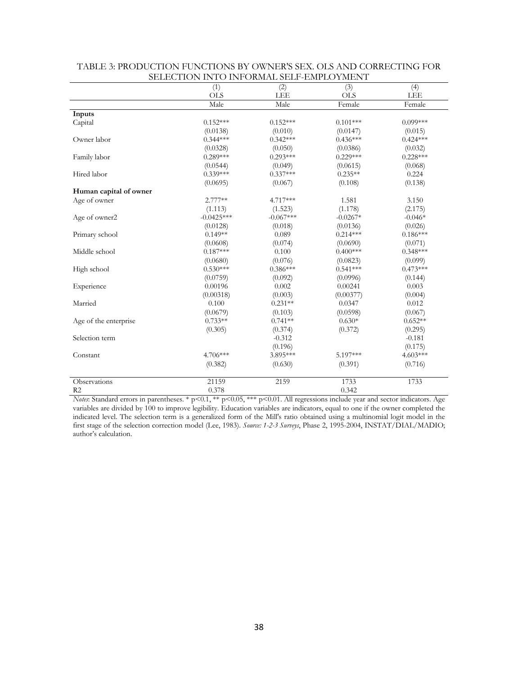|                        | (1)                    | (2)                   | (3)                    | (4)                   |
|------------------------|------------------------|-----------------------|------------------------|-----------------------|
|                        | <b>OLS</b>             | <b>LEE</b>            | <b>OLS</b>             | <b>LEE</b>            |
|                        | Male                   | Male                  | Female                 | Female                |
| Inputs                 |                        |                       |                        |                       |
| Capital                | $0.152***$             | $0.152***$            | $0.101***$             | $0.099***$            |
|                        | (0.0138)               | (0.010)               | (0.0147)               | (0.015)               |
| Owner labor            | $0.344***$             | $0.342***$            | $0.436***$             | $0.424***$            |
|                        |                        |                       |                        |                       |
|                        | (0.0328)<br>$0.289***$ | (0.050)<br>$0.293***$ | (0.0386)<br>$0.229***$ | (0.032)<br>$0.228***$ |
| Family labor           |                        |                       |                        |                       |
| Hired labor            | (0.0544)<br>$0.339***$ | (0.049)<br>$0.337***$ | (0.0615)<br>$0.235**$  | (0.068)               |
|                        |                        |                       |                        | 0.224                 |
|                        | (0.0695)               | (0.067)               | (0.108)                | (0.138)               |
| Human capital of owner |                        |                       |                        |                       |
| Age of owner           | $2.777**$              | 4.717***              | 1.581                  | 3.150                 |
|                        | (1.113)                | (1.523)               | (1.178)                | (2.175)               |
| Age of owner2          | $-0.0425***$           | $-0.067***$           | $-0.0267*$             | $-0.046*$             |
|                        | (0.0128)               | (0.018)               | (0.0136)               | (0.026)               |
| Primary school         | $0.149**$              | 0.089                 | $0.214***$             | $0.186***$            |
|                        | (0.0608)               | (0.074)               | (0.0690)               | (0.071)               |
| Middle school          | $0.187***$             | 0.100                 | $0.400***$             | $0.348***$            |
|                        | (0.0680)               | (0.076)               | (0.0823)               | (0.099)               |
| High school            | $0.530***$             | $0.386***$            | $0.541***$             | $0.473***$            |
|                        | (0.0759)               | (0.092)               | (0.0996)               | (0.144)               |
| Experience             | 0.00196                | 0.002                 | 0.00241                | 0.003                 |
|                        | (0.00318)              | (0.003)               | (0.00377)              | (0.004)               |
| Married                | 0.100                  | $0.231**$             | 0.0347                 | 0.012                 |
|                        | (0.0679)               | (0.103)               | (0.0598)               | (0.067)               |
| Age of the enterprise  | $0.733**$              | $0.741**$             | $0.630*$               | $0.652**$             |
|                        | (0.305)                | (0.374)               | (0.372)                | (0.295)               |
| Selection term         |                        | $-0.312$              |                        | $-0.181$              |
|                        |                        | (0.196)               |                        | (0.175)               |
| Constant               | 4.706***               | 3.895***              | 5.197***               | $4.603***$            |
|                        | (0.382)                | (0.630)               | (0.391)                | (0.716)               |
| Observations           | 21159                  | 2159                  | 1733                   | 1733                  |
| R <sub>2</sub>         | 0.378                  |                       | 0.342                  |                       |

| TABLE 3: PRODUCTION FUNCTIONS BY OWNER'S SEX. OLS AND CORRECTING FOR |
|----------------------------------------------------------------------|
| SELECTION INTO INFORMAL SELF-EMPLOYMENT                              |

*Notes*: Standard errors in parentheses. \* p<0.1, \*\* p<0.05, \*\*\* p<0.01. All regressions include year and sector indicators. Age variables are divided by 100 to improve legibility. Education variables are indicators, equal to one if the owner completed the indicated level. The selection term is a generalized form of the Mill's ratio obtained using a multinomial logit model in the first stage of the selection correction model (Lee, 1983). *Source: 1-2-3 Surveys*, Phase 2, 1995-2004, INSTAT/DIAL/MADIO; author's calculation.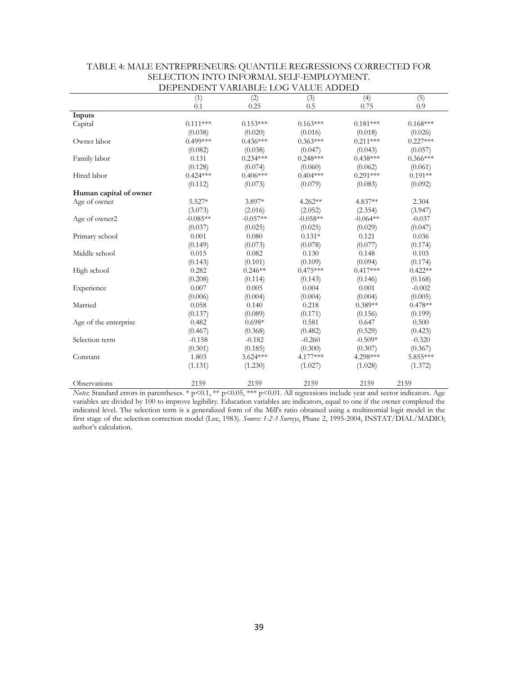|                        | <u> レロエロエマレエエマエ</u> | VANUADLE LOO VALOL ADDLD |            |            |            |
|------------------------|---------------------|--------------------------|------------|------------|------------|
|                        | (1)                 | (2)                      | (3)        | (4)        | (5)        |
|                        | 0.1                 | 0.25                     | 0.5        | 0.75       | 0.9        |
| Inputs                 |                     |                          |            |            |            |
| Capital                | $0.111***$          | $0.153***$               | $0.163***$ | $0.181***$ | $0.168***$ |
|                        | (0.038)             | (0.020)                  | (0.016)    | (0.018)    | (0.026)    |
| Owner labor            | $0.499***$          | $0.436***$               | $0.363***$ | $0.211***$ | $0.227***$ |
|                        | (0.082)             | (0.038)                  | (0.047)    | (0.043)    | (0.057)    |
| Family labor           | 0.131               | $0.234***$               | $0.248***$ | $0.438***$ | $0.366***$ |
|                        | (0.128)             | (0.074)                  | (0.060)    | (0.062)    | (0.061)    |
| Hired labor            | $0.424***$          | $0.406***$               | $0.404***$ | $0.291***$ | $0.191**$  |
|                        | (0.112)             | (0.073)                  | (0.079)    | (0.083)    | (0.092)    |
| Human capital of owner |                     |                          |            |            |            |
| Age of owner           | $5.527*$            | 3.897*                   | $4.262**$  | 4.837**    | 2.304      |
|                        | (3.073)             | (2.016)                  | (2.052)    | (2.354)    | (3.947)    |
| Age of owner2          | $-0.085**$          | $-0.057**$               | $-0.058**$ | $-0.064**$ | $-0.037$   |
|                        | (0.037)             | (0.025)                  | (0.025)    | (0.029)    | (0.047)    |
| Primary school         | 0.001               | 0.080                    | $0.131*$   | 0.121      | 0.036      |
|                        | (0.149)             | (0.073)                  | (0.078)    | (0.077)    | (0.174)    |
| Middle school          | 0.015               | 0.082                    | 0.130      | 0.148      | 0.103      |
|                        | (0.143)             | (0.101)                  | (0.109)    | (0.094)    | (0.174)    |
| High school            | 0.282               | $0.246**$                | $0.475***$ | $0.417***$ | $0.422**$  |
|                        | (0.208)             | (0.114)                  | (0.143)    | (0.146)    | (0.168)    |
| Experience             | 0.007               | 0.005                    | 0.004      | $0.001\,$  | $-0.002$   |
|                        | (0.006)             | (0.004)                  | (0.004)    | (0.004)    | (0.005)    |
| Married                | 0.058               | 0.140                    | 0.218      | $0.389**$  | $0.478**$  |
|                        | (0.137)             | (0.089)                  | (0.171)    | (0.156)    | (0.199)    |
| Age of the enterprise  | 0.482               | $0.698*$                 | 0.581      | 0.647      | 0.500      |
|                        | (0.467)             | (0.368)                  | (0.482)    | (0.529)    | (0.423)    |
| Selection term         | $-0.158$            | $-0.182$                 | $-0.260$   | $-0.509*$  | $-0.320$   |
|                        | (0.301)             | (0.185)                  | (0.300)    | (0.307)    | (0.367)    |
| Constant               | 1.803               | $3.624***$               | 4.177***   | 4.298***   | 5.855***   |
|                        | (1.131)             | (1.230)                  | (1.027)    | (1.028)    | (1.372)    |
|                        |                     |                          |            |            |            |
| Observations           | 2159                | 2159                     | 2159       | 2159       | 2159       |

#### TABLE 4: MALE ENTREPRENEURS: QUANTILE REGRESSIONS CORRECTED FOR SELECTION INTO INFORMAL SELF-EMPLOYMENT. DEPENDENT VARIABLE: LOG VALUE ADDED

*Notes*: Standard errors in parentheses. \* p<0.1, \*\* p<0.05, \*\*\* p<0.01. All regressions include year and sector indicators. Age variables are divided by 100 to improve legibility. Education variables are indicators, equal to one if the owner completed the indicated level. The selection term is a generalized form of the Mill's ratio obtained using a multinomial logit model in the first stage of the selection correction model (Lee, 1983). *Source: 1-2-3 Surveys*, Phase 2, 1995-2004, INSTAT/DIAL/MADIO; author's calculation.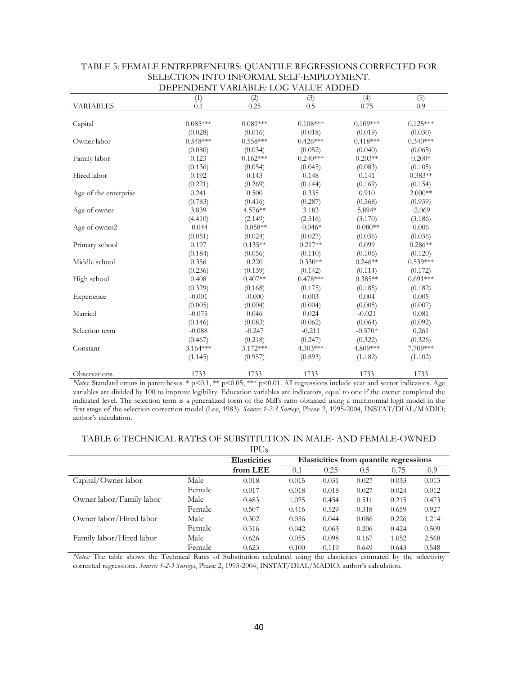|                       | <u> ยน ยนพยนพร</u> | VANUADLE LOO VALOL ADDLE |            |            |            |
|-----------------------|--------------------|--------------------------|------------|------------|------------|
|                       | (1)                | (2)                      | (3)        | (4)        | (5)        |
| <b>VARIABLES</b>      | 0.1                | 0.25                     | 0.5        | 0.75       | 0.9        |
|                       |                    |                          |            |            |            |
| Capital               | $0.085***$         | $0.089***$               | $0.108***$ | $0.109***$ | $0.125***$ |
|                       | (0.028)            | (0.016)                  | (0.018)    | (0.019)    | (0.030)    |
| Owner labor           | $0.548***$         | $0.558***$               | $0.426***$ | $0.418***$ | $0.340***$ |
|                       | (0.080)            | (0.034)                  | (0.052)    | (0.040)    | (0.065)    |
| Family labor          | 0.123              | $0.162***$               | $0.240***$ | $0.203**$  | $0.200*$   |
|                       | (0.136)            | (0.054)                  | (0.045)    | (0.083)    | (0.105)    |
| Hired labor           | 0.192              | 0.143                    | 0.148      | 0.141      | $0.383**$  |
|                       | (0.221)            | (0.269)                  | (0.144)    | (0.169)    | (0.154)    |
| Age of the enterprise | 0.241              | 0.500                    | 0.335      | 0.910      | $2.000**$  |
|                       | (0.783)            | (0.416)                  | (0.287)    | (0.568)    | (0.959)    |
| Age of owner          | 3.839              | 4.576**                  | 3.183      | 5.894*     | $-2.069$   |
|                       | (4.410)            | (2.149)                  | (2.516)    | (3.170)    | (3.186)    |
| Age of owner2         | $-0.044$           | $-0.058**$               | $-0.046*$  | $-0.080**$ | 0.006      |
|                       | (0.051)            | (0.024)                  | (0.027)    | (0.036)    | (0.036)    |
| Primary school        | 0.197              | $0.135**$                | $0.217**$  | 0.099      | $0.286**$  |
|                       | (0.184)            | (0.056)                  | (0.110)    | (0.106)    | (0.120)    |
| Middle school         | 0.356              | 0.220                    | $0.330**$  | $0.246**$  | $0.539***$ |
|                       | (0.236)            | (0.139)                  | (0.142)    | (0.114)    | (0.172)    |
| High school           | 0.408              | $0.407**$                | $0.478***$ | $0.385**$  | $0.691***$ |
|                       | (0.329)            | (0.168)                  | (0.175)    | (0.185)    | (0.182)    |
| Experience            | $-0.001$           | $-0.000$                 | 0.003      | 0.004      | 0.005      |
|                       | (0.005)            | (0.004)                  | (0.004)    | (0.005)    | (0.007)    |
| Married               | $-0.075$           | 0.046                    | 0.024      | $-0.021$   | 0.081      |
|                       | (0.146)            | (0.083)                  | (0.062)    | (0.064)    | (0.092)    |
| Selection term        | $-0.088$           | $-0.247$                 | $-0.211$   | $-0.570*$  | 0.261      |
|                       | (0.467)            | (0.218)                  | (0.247)    | (0.322)    | (0.326)    |
| Constant              | $3.164***$         | $3.172***$               | 4.303***   | 4.809***   | 7.709***   |
|                       | (1.145)            | (0.957)                  | (0.893)    | (1.182)    | (1.102)    |
| Observations          | 1733               | 1733                     | 1733       | 1733       | 1733       |

| TABLE 5: FEMALE ENTREPRENEURS: QUANTILE REGRESSIONS CORRECTED FOR |
|-------------------------------------------------------------------|
| SELECTION INTO INFORMAL SELF-EMPLOYMENT.                          |
| DEPENDENT VARIABLE: LOG VALUE ADDED                               |

*Notes*: Standard errors in parentheses. \* p<0.1, \*\* p<0.05, \*\*\* p<0.01. All regressions include year and sector indicators. Age variables are divided by 100 to improve legibility. Education variables are indicators, equal to one if the owner completed the indicated level. The selection term is a generalized form of the Mill's ratio obtained using a multinomial logit model in the first stage of the selection correction model (Lee, 1983). *Source: 1-2-3 Surveys*, Phase 2, 1995-2004, INSTAT/DIAL/MADIO; author's calculation.

#### TABLE 6: TECHNICAL RATES OF SUBSTITUTION IN MALE- AND FEMALE-OWNED

|                          |        | <b>IPUs</b>         |       |       |                                        |       |       |
|--------------------------|--------|---------------------|-------|-------|----------------------------------------|-------|-------|
|                          |        | <b>Elasticities</b> |       |       | Elasticities from quantile regressions |       |       |
|                          |        | from LEE            | 0.1   | 0.25  | 0.5                                    | 0.75  | 0.9   |
| Capital/Owner labor      | Male   | 0.018               | 0.015 | 0.031 | 0.027                                  | 0.033 | 0.013 |
|                          | Female | 0.017               | 0.018 | 0.018 | 0.027                                  | 0.024 | 0.012 |
| Owner labor/Family labor | Male   | 0.483               | 1.025 | 0.454 | 0.511                                  | 0.215 | 0.473 |
|                          | Female | 0.507               | 0.416 | 0.529 | 0.318                                  | 0.659 | 0.927 |
| Owner labor/Hired labor  | Male   | 0.302               | 0.056 | 0.044 | 0.086                                  | 0.226 | 1.214 |
|                          | Female | 0.316               | 0.042 | 0.063 | 0.206                                  | 0.424 | 0.509 |
| Family labor/Hired labor | Male   | 0.626               | 0.055 | 0.098 | 0.167                                  | 1.052 | 2.568 |
|                          | Female | 0.623               | 0.100 | 0.119 | 0.649                                  | 0.643 | 0.548 |

*Notes:* The table shows the Technical Rates of Substitution calculated using the elasticities estimated by the selectivity corrected regressions. *Source: 1-2-3 Surveys*, Phase 2, 1995-2004, INSTAT/DIAL/MADIO; author's calculation.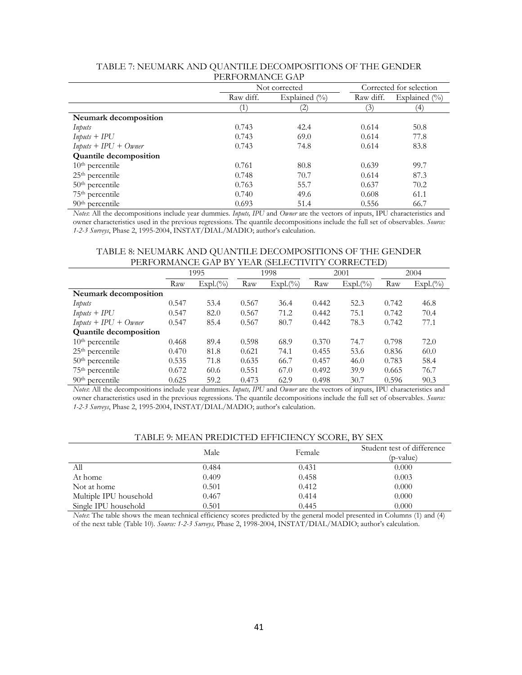|                               |                  | Not corrected     | Corrected for selection |                   |  |  |
|-------------------------------|------------------|-------------------|-------------------------|-------------------|--|--|
|                               | Raw diff.        | Explained $(\%$   | Raw diff.               | Explained $(\% )$ |  |  |
|                               | $\left( \right)$ | $\left( 2\right)$ | (3)                     | $^{(4)}$          |  |  |
| Neumark decomposition         |                  |                   |                         |                   |  |  |
| Inputs                        | 0.743            | 42.4              | 0.614                   | 50.8              |  |  |
| $InputStream + IPU$           | 0.743            | 69.0              | 0.614                   | 77.8              |  |  |
| $InputStream + IPU + Owner$   | 0.743            | 74.8              | 0.614                   | 83.8              |  |  |
| <b>Quantile decomposition</b> |                  |                   |                         |                   |  |  |
| $10th$ percentile             | 0.761            | 80.8              | 0.639                   | 99.7              |  |  |
| $25th$ percentile             | 0.748            | 70.7              | 0.614                   | 87.3              |  |  |
| $50th$ percentile             | 0.763            | 55.7              | 0.637                   | 70.2              |  |  |
| 75 <sup>th</sup> percentile   | 0.740            | 49.6              | 0.608                   | 61.1              |  |  |
| $90th$ percentile             | 0.693            | 51.4              | 0.556                   | 66.7              |  |  |

#### TABLE 7: NEUMARK AND QUANTILE DECOMPOSITIONS OF THE GENDER PERFORMANCE GAP

*Notes*: All the decompositions include year dummies. *Inputs, IPU* and *Owner* are the vectors of inputs, IPU characteristics and owner characteristics used in the previous regressions. The quantile decompositions include the full set of observables. *Source: 1-2-3 Surveys*, Phase 2, 1995-2004, INSTAT/DIAL/MADIO; author's calculation.

#### TABLE 8: NEUMARK AND QUANTILE DECOMPOSITIONS OF THE GENDER PERFORMANCE GAP BY YEAR (SELECTIVITY CORRECTED)

|                               | 1995  |             | 1998  |             | 2001  |             | 2004  |             |
|-------------------------------|-------|-------------|-------|-------------|-------|-------------|-------|-------------|
|                               | Raw   | $Expl.(\%)$ | Raw   | $Expl.(\%)$ | Raw   | $Expl.(\%)$ | Raw   | $Expl.(\%)$ |
| Neumark decomposition         |       |             |       |             |       |             |       |             |
| Inputs                        | 0.547 | 53.4        | 0.567 | 36.4        | 0.442 | 52.3        | 0.742 | 46.8        |
| $InputStream + IPU$           | 0.547 | 82.0        | 0.567 | 71.2        | 0.442 | 75.1        | 0.742 | 70.4        |
| $InputStream+IPU +Owner$      | 0.547 | 85.4        | 0.567 | 80.7        | 0.442 | 78.3        | 0.742 | 77.1        |
| <b>Quantile decomposition</b> |       |             |       |             |       |             |       |             |
| $10th$ percentile             | 0.468 | 89.4        | 0.598 | 68.9        | 0.370 | 74.7        | 0.798 | 72.0        |
| $25th$ percentile             | 0.470 | 81.8        | 0.621 | 74.1        | 0.455 | 53.6        | 0.836 | 60.0        |
| $50th$ percentile             | 0.535 | 71.8        | 0.635 | 66.7        | 0.457 | 46.0        | 0.783 | 58.4        |
| 75 <sup>th</sup> percentile   | 0.672 | 60.6        | 0.551 | 67.0        | 0.492 | 39.9        | 0.665 | 76.7        |
| $90th$ percentile             | 0.625 | 59.2        | 0.473 | 62.9        | 0.498 | 30.7        | 0.596 | 90.3        |

*Notes*: All the decompositions include year dummies. *Inputs, IPU* and *Owner* are the vectors of inputs, IPU characteristics and owner characteristics used in the previous regressions. The quantile decompositions include the full set of observables. *Source: 1-2-3 Surveys*, Phase 2, 1995-2004, INSTAT/DIAL/MADIO; author's calculation.

#### TABLE 9: MEAN PREDICTED EFFICIENCY SCORE, BY SEX

|                        | Male  | Female | Student test of difference<br>(p-value) |
|------------------------|-------|--------|-----------------------------------------|
| All                    | 0.484 | 0.431  | 0.000                                   |
| At home                | 0.409 | 0.458  | 0.003                                   |
| Not at home            | 0.501 | 0.412  | 0.000                                   |
| Multiple IPU household | 0.467 | 0.414  | 0.000                                   |
| Single IPU household   | 0.501 | 0.445  | 0.000                                   |

*Notes*: The table shows the mean technical efficiency scores predicted by the general model presented in Columns (1) and (4) of the next table (Table 10). *Source: 1-2-3 Surveys,* Phase 2, 1998-2004, INSTAT/DIAL/MADIO; author's calculation.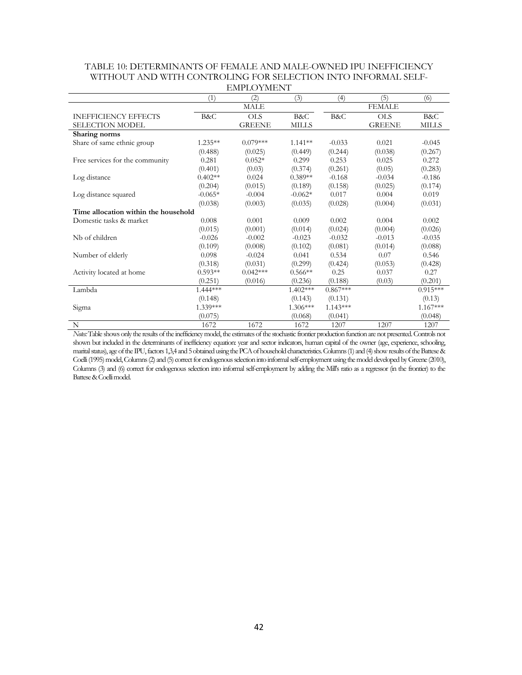|                                      |            | EINH LO I INEI V I |              |            |               |              |
|--------------------------------------|------------|--------------------|--------------|------------|---------------|--------------|
|                                      | (1)        | (2)                | (3)          | (4)        | (5)           | (6)          |
|                                      |            | MALE               |              |            | <b>FEMALE</b> |              |
| <b>INEFFICIENCY EFFECTS</b>          | B&C        | <b>OLS</b>         | B&C          | B&C        | <b>OLS</b>    | B&C          |
| SELECTION MODEL                      |            | <b>GREENE</b>      | <b>MILLS</b> |            | <b>GREENE</b> | <b>MILLS</b> |
| Sharing norms                        |            |                    |              |            |               |              |
| Share of same ethnic group           | $1.235**$  | $0.079***$         | $1.141**$    | $-0.033$   | 0.021         | $-0.045$     |
|                                      | (0.488)    | (0.025)            | (0.449)      | (0.244)    | (0.038)       | (0.267)      |
| Free services for the community      | 0.281      | $0.052*$           | 0.299        | 0.253      | 0.025         | 0.272        |
|                                      | (0.401)    | (0.03)             | (0.374)      | (0.261)    | (0.05)        | (0.283)      |
| Log distance                         | $0.402**$  | 0.024              | $0.389**$    | $-0.168$   | $-0.034$      | $-0.186$     |
|                                      | (0.204)    | (0.015)            | (0.189)      | (0.158)    | (0.025)       | (0.174)      |
| Log distance squared                 | $-0.065*$  | $-0.004$           | $-0.062*$    | 0.017      | 0.004         | 0.019        |
|                                      | (0.038)    | (0.003)            | (0.035)      | (0.028)    | (0.004)       | (0.031)      |
| Time allocation within the household |            |                    |              |            |               |              |
| Domestic tasks & market              | 0.008      | 0.001              | 0.009        | 0.002      | 0.004         | 0.002        |
|                                      | (0.015)    | (0.001)            | (0.014)      | (0.024)    | (0.004)       | (0.026)      |
| Nb of children                       | $-0.026$   | $-0.002$           | $-0.023$     | $-0.032$   | $-0.013$      | $-0.035$     |
|                                      | (0.109)    | (0.008)            | (0.102)      | (0.081)    | (0.014)       | (0.088)      |
| Number of elderly                    | 0.098      | $-0.024$           | 0.041        | 0.534      | 0.07          | 0.546        |
|                                      | (0.318)    | (0.031)            | (0.299)      | (0.424)    | (0.053)       | (0.428)      |
| Activity located at home             | $0.593**$  | $0.042***$         | $0.566**$    | 0.25       | 0.037         | 0.27         |
|                                      | (0.251)    | (0.016)            | (0.236)      | (0.188)    | (0.03)        | (0.201)      |
| Lambda                               | $1.444***$ |                    | $1.402***$   | $0.867***$ |               | $0.915***$   |
|                                      | (0.148)    |                    | (0.143)      | (0.131)    |               | (0.13)       |
| Sigma                                | 1.339***   |                    | $1.306***$   | $1.143***$ |               | $1.167***$   |
|                                      | (0.075)    |                    | (0.068)      | (0.041)    |               | (0.048)      |
| N                                    | 1672       | 1672               | 1672         | 1207       | 1207          | 1207         |

#### TABLE 10: DETERMINANTS OF FEMALE AND MALE-OWNED IPU INEFFICIENCY WITHOUT AND WITH CONTROLING FOR SELECTION INTO INFORMAL SELF-EMPLOYMENT

*Notes:* Table shows only the results of the inefficiency model, the estimates of the stochastic frontier production function are not presented. Controls not shown but included in the determinants of inefficiency equation: year and sector indicators, human capital of the owner (age, experience, schooling, mantal status), age of the IPU, factors 1,3,4 and 5 obtained using the PCA of household characteristics. Columns (1) and (4) show results of the Battese & Coelli (1995) model, Columns (2) and (5) correct for endogenous selection into informal self-employment using the model developed by Greene (2010), Columns (3) and (6) correct for endogenous selection into informal self-employment by adding the Mill's ratio as a regressor (in the frontier) to the Battese & Coelli model.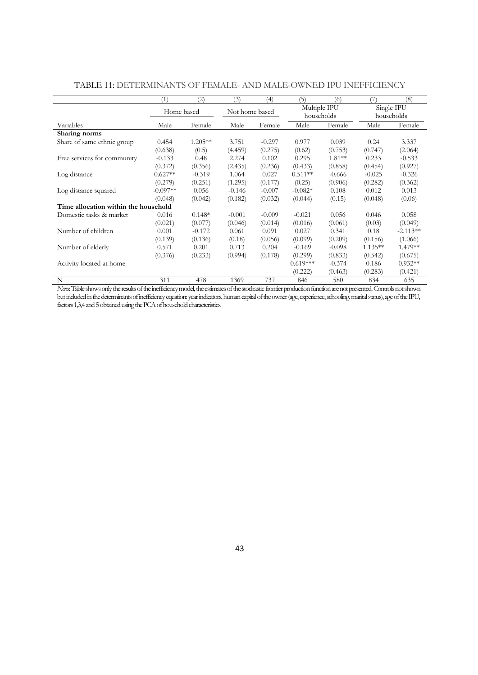|                                      | (1)            | $\left( 2\right)$ | (3)            | (4)      | (5)                        | (6)            | 7                        | (8)        |  |
|--------------------------------------|----------------|-------------------|----------------|----------|----------------------------|----------------|--------------------------|------------|--|
|                                      | Home based     |                   | Not home based |          | Multiple IPU<br>households |                | Single IPU<br>households |            |  |
| Variables                            | Male<br>Female |                   | Male           | Female   |                            | Male<br>Female |                          | Female     |  |
| Sharing norms                        |                |                   |                |          |                            |                |                          |            |  |
| Share of same ethnic group           | 0.454          | $1.205**$         | 3.751          | $-0.297$ | 0.977                      | 0.039          | 0.24                     | 3.337      |  |
|                                      | (0.638)        | (0.5)             | (4.459)        | (0.275)  | (0.62)                     | (0.753)        | (0.747)                  | (2.064)    |  |
| Free services for community          | $-0.133$       | 0.48              | 2.274          | 0.102    | 0.295                      | $1.81**$       | 0.233                    | $-0.533$   |  |
|                                      | (0.372)        | (0.356)           | (2.435)        | (0.236)  | (0.433)                    | (0.858)        | (0.454)                  | (0.927)    |  |
| Log distance                         | $0.627**$      | $-0.319$          | 1.064          | 0.027    | $0.511**$                  | $-0.666$       | $-0.025$                 | $-0.326$   |  |
|                                      | (0.279)        | (0.251)           | (1.295)        | (0.177)  | (0.25)                     | (0.906)        | (0.282)                  | (0.362)    |  |
| Log distance squared                 | $-0.097**$     | 0.056             | $-0.146$       | $-0.007$ | $-0.082*$                  | 0.108          | 0.012                    | 0.013      |  |
|                                      | (0.048)        | (0.042)           | (0.182)        | (0.032)  | (0.044)                    | (0.15)         | (0.048)                  | (0.06)     |  |
| Time allocation within the household |                |                   |                |          |                            |                |                          |            |  |
| Domestic tasks & market              | 0.016          | $0.148*$          | $-0.001$       | $-0.009$ | $-0.021$                   | 0.056          | 0.046                    | 0.058      |  |
|                                      | (0.021)        | (0.077)           | (0.046)        | (0.014)  | (0.016)                    | (0.061)        | (0.03)                   | (0.049)    |  |
| Number of children                   | 0.001          | $-0.172$          | 0.061          | 0.091    | 0.027                      | 0.341          | 0.18                     | $-2.113**$ |  |
|                                      | (0.139)        | (0.136)           | (0.18)         | (0.056)  | (0.099)                    | (0.209)        | (0.156)                  | (1.066)    |  |
| Number of elderly                    | 0.571          | 0.201             | 0.713          | 0.204    | $-0.169$                   | $-0.098$       | $1.135**$                | 1.479**    |  |
|                                      | (0.376)        | (0.233)           | (0.994)        | (0.178)  | (0.299)                    | (0.833)        | (0.542)                  | (0.675)    |  |
| Activity located at home             |                |                   |                |          | $0.619***$                 | $-0.374$       | 0.186                    | $0.932**$  |  |
|                                      |                |                   |                |          | (0.222)                    | (0.463)        | (0.283)                  | (0.421)    |  |
| N                                    | 311            | 478               | 1369           | 737      | 846                        | 580            | 834                      | 635        |  |

### TABLE 11: DETERMINANTS OF FEMALE- AND MALE-OWNED IPU INEFFICIENCY

*Notes*: Table shows only the results of the inefficiency model, the estimates of the stochastic frontier production function are not presented. Controls not shown but included in the determinants of inefficiency equation: year indicators, human capital of the owner (age, experience, schooling, marital status), age of the IPU, factors 1,3,4 and 5 obtained using the PCA of household characteristics.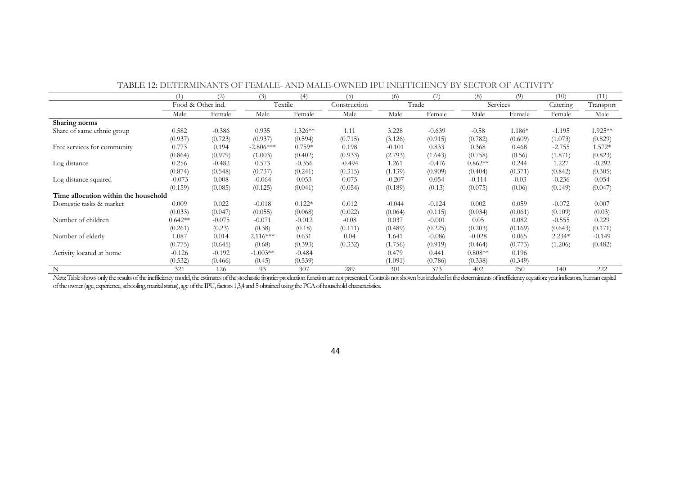|                                      |                   | (2)      | (3)         | (4)       | (5)          | (6)      |          | (8)       | (9)      | (10)<br>Catering | (11)      |
|--------------------------------------|-------------------|----------|-------------|-----------|--------------|----------|----------|-----------|----------|------------------|-----------|
|                                      | Food & Other ind. |          | Textile     |           | Construction |          | Trade    |           | Services |                  | Transport |
|                                      | Male              | Female   | Male        | Female    | Male         | Male     | Female   | Male      | Female   | Female           | Male      |
| Sharing norms                        |                   |          |             |           |              |          |          |           |          |                  |           |
| Share of same ethnic group           | 0.582             | $-0.386$ | 0.935       | $1.326**$ | 1.11         | 3.228    | $-0.639$ | $-0.58$   | $1.186*$ | $-1.195$         | 1.925**   |
|                                      | (0.937)           | (0.723)  | (0.937)     | (0.594)   | (0.715)      | (3.126)  | (0.915)  | (0.782)   | (0.609)  | (1.073)          | (0.829)   |
| Free services for community          | 0.773             | 0.194    | $-2.806***$ | $0.759*$  | 0.198        | $-0.101$ | 0.833    | 0.368     | 0.468    | $-2.755$         | 1.572*    |
|                                      | (0.864)           | (0.979)  | (1.003)     | (0.402)   | (0.933)      | (2.793)  | (1.643)  | (0.758)   | (0.56)   | (1.871)          | (0.823)   |
| Log distance                         | 0.256             | $-0.482$ | 0.573       | $-0.356$  | $-0.494$     | 1.261    | $-0.476$ | $0.862**$ | 0.244    | 1.227            | $-0.292$  |
|                                      | (0.874)           | (0.548)  | (0.737)     | (0.241)   | (0.315)      | (1.139)  | (0.909)  | (0.404)   | (0.371)  | (0.842)          | (0.305)   |
| Log distance squared                 | $-0.073$          | 0.008    | $-0.064$    | 0.053     | 0.075        | $-0.207$ | 0.054    | $-0.114$  | $-0.03$  | $-0.236$         | 0.054     |
|                                      | (0.159)           | (0.085)  | (0.125)     | (0.041)   | (0.054)      | (0.189)  | (0.13)   | (0.075)   | (0.06)   | (0.149)          | (0.047)   |
| Time allocation within the household |                   |          |             |           |              |          |          |           |          |                  |           |
| Domestic tasks & market              | 0.009             | 0.022    | $-0.018$    | $0.122*$  | 0.012        | $-0.044$ | $-0.124$ | 0.002     | 0.059    | $-0.072$         | 0.007     |
|                                      | (0.033)           | (0.047)  | (0.055)     | (0.068)   | (0.022)      | (0.064)  | (0.115)  | (0.034)   | (0.061)  | (0.109)          | (0.03)    |
| Number of children                   | $0.642**$         | $-0.075$ | $-0.071$    | $-0.012$  | $-0.08$      | 0.037    | $-0.001$ | 0.05      | 0.082    | $-0.555$         | 0.229     |
|                                      | (0.261)           | (0.23)   | (0.38)      | (0.18)    | (0.111)      | (0.489)  | (0.225)  | (0.203)   | (0.169)  | (0.643)          | (0.171)   |
| Number of elderly                    | 1.087             | 0.014    | $2.116***$  | 0.631     | 0.04         | 1.641    | $-0.086$ | $-0.028$  | 0.065    | $2.234*$         | $-0.149$  |
|                                      | (0.775)           | (0.645)  | (0.68)      | (0.393)   | (0.332)      | (1.756)  | (0.919)  | (0.464)   | (0.773)  | (1.206)          | (0.482)   |
| Activity located at home             | $-0.126$          | $-0.192$ | $-1.003**$  | $-0.484$  |              | 0.479    | 0.441    | $0.808**$ | 0.196    |                  |           |
|                                      | (0.532)           | (0.466)  | (0.45)      | (0.539)   |              | (1.091)  | (0.786)  | (0.338)   | (0.349)  |                  |           |
| N                                    | 321               | 126      | 93          | 307       | 289          | 301      | 373      | 402       | 250      | 140              | 222       |

TABLE 12: DETERMINANTS OF FEMALE- AND MALE-OWNED IPU INEFFICIENCY BY SECTOR OF ACTIVITY

Notes: Table shows only the results of the inefficiency model, the estimates of the stochastic frontier production function are not presented. Controls not shown but included in the determinants of inefficiency equation: y of the owner (age, experience, schooling, marital status), age of the IPU, factors 1,3,4 and 5 obtained using the PCA of household characteristics.

44